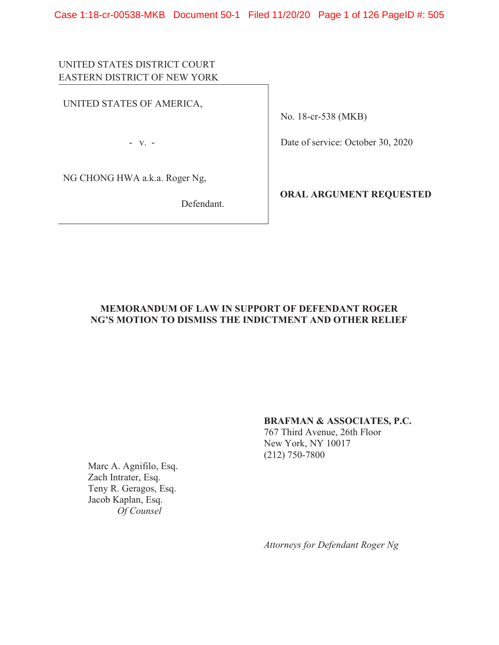Case 1:18-cr-00538-MKB Document 50-1 Filed 11/20/20 Page 1 of 126 PageID #: 505

# UNITED STATES DISTRICT COURT EASTERN DISTRICT OF NEW YORK

UNITED STATES OF AMERICA,

- v. -

NG CHONG HWA a.k.a. Roger Ng,

Defendant.

No. 18-cr-538 (MKB)

Date of service: October 30, 2020

## ORAL ARGUMENT REQUESTED

# MEMORANDUM OF LAW IN SUPPORT OF DEFENDANT ROGER NG'S MOTION TO DISMISS THE INDICTMENT AND OTHER RELIEF

BRAFMAN & ASSOCIATES, P.C.

 767 Third Avenue, 26th Floor New York, NY 10017 (212) 750-7800

Marc A. Agnifilo, Esq. Zach Intrater, Esq. Teny R. Geragos, Esq. Jacob Kaplan, Esq. Of Counsel

Attorneys for Defendant Roger Ng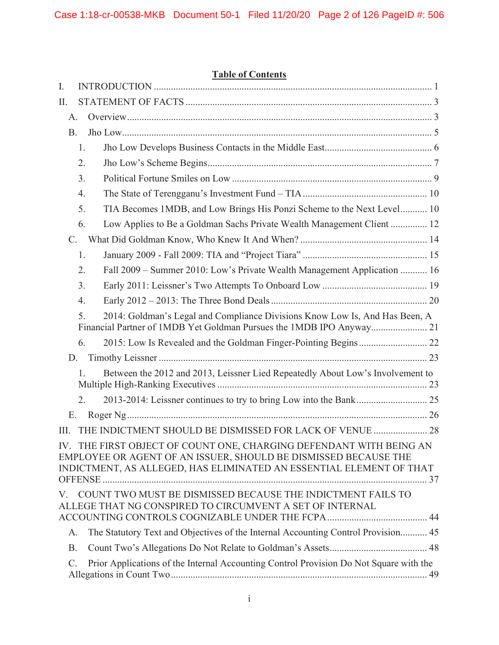# Table of Contents

| I.              |                  |                                                                                                                                                                                                               |  |  |
|-----------------|------------------|---------------------------------------------------------------------------------------------------------------------------------------------------------------------------------------------------------------|--|--|
| II.             |                  |                                                                                                                                                                                                               |  |  |
| A.              |                  |                                                                                                                                                                                                               |  |  |
| <b>B.</b>       |                  |                                                                                                                                                                                                               |  |  |
|                 | 1.               |                                                                                                                                                                                                               |  |  |
|                 | 2.               |                                                                                                                                                                                                               |  |  |
|                 | 3.               |                                                                                                                                                                                                               |  |  |
|                 | 4.               |                                                                                                                                                                                                               |  |  |
|                 | 5.               | TIA Becomes 1MDB, and Low Brings His Ponzi Scheme to the Next Level 10                                                                                                                                        |  |  |
|                 | 6.               | Low Applies to Be a Goldman Sachs Private Wealth Management Client  12                                                                                                                                        |  |  |
| C.              |                  |                                                                                                                                                                                                               |  |  |
|                 | 1.               |                                                                                                                                                                                                               |  |  |
|                 | 2.               | Fall 2009 – Summer 2010: Low's Private Wealth Management Application  16                                                                                                                                      |  |  |
|                 | 3.               |                                                                                                                                                                                                               |  |  |
|                 | $\overline{4}$ . |                                                                                                                                                                                                               |  |  |
|                 | 5.               | 2014: Goldman's Legal and Compliance Divisions Know Low Is, And Has Been, A<br>Financial Partner of 1MDB Yet Goldman Pursues the 1MDB IPO Anyway 21                                                           |  |  |
|                 | 6.               |                                                                                                                                                                                                               |  |  |
| D.              |                  |                                                                                                                                                                                                               |  |  |
|                 | 1.               | Between the 2012 and 2013, Leissner Lied Repeatedly About Low's Involvement to                                                                                                                                |  |  |
|                 | 2.               |                                                                                                                                                                                                               |  |  |
| Ε.              |                  |                                                                                                                                                                                                               |  |  |
| III.            |                  | THE INDICTMENT SHOULD BE DISMISSED FOR LACK OF VENUE  28                                                                                                                                                      |  |  |
|                 |                  | IV. THE FIRST OBJECT OF COUNT ONE, CHARGING DEFENDANT WITH BEING AN<br>EMPLOYEE OR AGENT OF AN ISSUER, SHOULD BE DISMISSED BECAUSE THE<br>INDICTMENT, AS ALLEGED, HAS ELIMINATED AN ESSENTIAL ELEMENT OF THAT |  |  |
| V.              |                  | COUNT TWO MUST BE DISMISSED BECAUSE THE INDICTMENT FAILS TO<br>ALLEGE THAT NG CONSPIRED TO CIRCUMVENT A SET OF INTERNAL                                                                                       |  |  |
| A.              |                  | The Statutory Text and Objectives of the Internal Accounting Control Provision 45                                                                                                                             |  |  |
| <b>B.</b>       |                  |                                                                                                                                                                                                               |  |  |
| $\mathcal{C}$ . |                  | Prior Applications of the Internal Accounting Control Provision Do Not Square with the                                                                                                                        |  |  |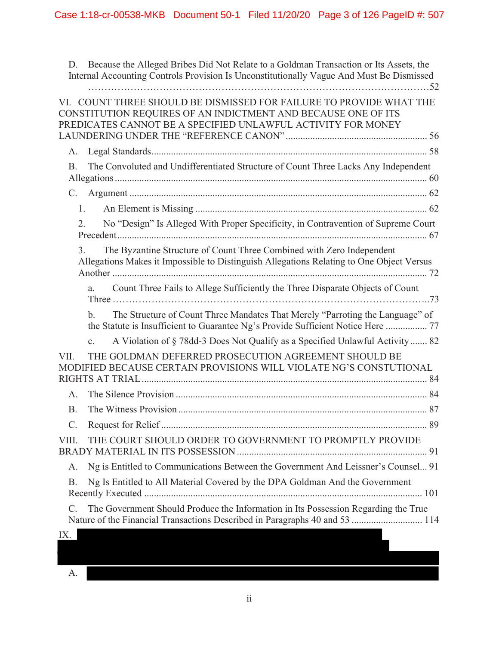D. Because the Alleged Bribes Did Not Relate to a Goldman Transaction or Its Assets, the Internal Accounting Controls Provision Is Unconstitutionally Vague And Must Be Dismissed ……………………………………………………………………………………………52 VI. COUNT THREE SHOULD BE DISMISSED FOR FAILURE TO PROVIDE WHAT THE CONSTITUTION REQUIRES OF AN INDICTMENT AND BECAUSE ONE OF ITS PREDICATES CANNOT BE A SPECIFIED UNLAWFUL ACTIVITY FOR MONEY LAUNDERING UNDER THE "REFERENCE CANON" .......................................................... 56 A. Legal Standards ................................................................................................................. 58 B. The Convoluted and Undifferentiated Structure of Count Three Lacks Any Independent Allegations ................................................................................................................................ 60 C. Argument .......................................................................................................................... 62 1. An Element is Missing ............................................................................................... 62 2. No "Design" Is Alleged With Proper Specificity, in Contravention of Supreme Court Precedent ............................................................................................................................... 67 3. The Byzantine Structure of Count Three Combined with Zero Independent Allegations Makes it Impossible to Distinguish Allegations Relating to One Object Versus Another ................................................................................................................................. 72 a. Count Three Fails to Allege Sufficiently the Three Disparate Objects of Count Three ……………………………………………………………………………………..73 b. The Structure of Count Three Mandates That Merely "Parroting the Language" of the Statute is Insufficient to Guarantee Ng's Provide Sufficient Notice Here ................. 77 c. A Violation of § 78dd-3 Does Not Qualify as a Specified Unlawful Activity ....... 82 VII. THE GOLDMAN DEFERRED PROSECUTION AGREEMENT SHOULD BE MODIFIED BECAUSE CERTAIN PROVISIONS WILL VIOLATE NG'S CONSTUTIONAL RIGHTS AT TRIAL ..................................................................................................................... 84 A. The Silence Provision ....................................................................................................... 84 B. The Witness Provision ...................................................................................................... 87 C. Request for Relief ............................................................................................................. 89 VIII. THE COURT SHOULD ORDER TO GOVERNMENT TO PROMPTLY PROVIDE BRADY MATERIAL IN ITS POSSESSION .............................................................................. 91 A. Ng is Entitled to Communications Between the Government And Leissner's Counsel... 91 B. Ng Is Entitled to All Material Covered by the DPA Goldman And the Government Recently Executed .................................................................................................................. 101 C. The Government Should Produce the Information in Its Possession Regarding the True Nature of the Financial Transactions Described in Paragraphs 40 and 53 ............................. 114

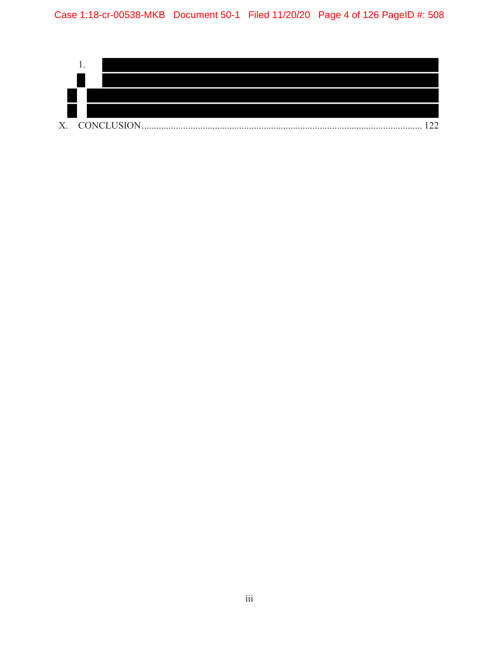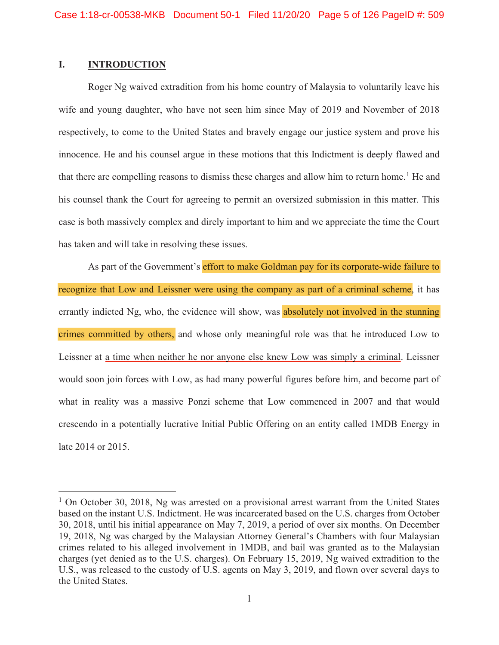#### I. INTRODUCTION

 Roger Ng waived extradition from his home country of Malaysia to voluntarily leave his wife and young daughter, who have not seen him since May of 2019 and November of 2018 respectively, to come to the United States and bravely engage our justice system and prove his innocence. He and his counsel argue in these motions that this Indictment is deeply flawed and that there are compelling reasons to dismiss these charges and allow him to return home.<sup>1</sup> He and his counsel thank the Court for agreeing to permit an oversized submission in this matter. This case is both massively complex and direly important to him and we appreciate the time the Court has taken and will take in resolving these issues.

As part of the Government's effort to make Goldman pay for its corporate-wide failure to recognize that Low and Leissner were using the company as part of a criminal scheme, it has errantly indicted Ng, who, the evidence will show, was absolutely not involved in the stunning crimes committed by others, and whose only meaningful role was that he introduced Low to Leissner at a time when neither he nor anyone else knew Low was simply a criminal. Leissner would soon join forces with Low, as had many powerful figures before him, and become part of what in reality was a massive Ponzi scheme that Low commenced in 2007 and that would crescendo in a potentially lucrative Initial Public Offering on an entity called 1MDB Energy in late 2014 or 2015.

<sup>&</sup>lt;sup>1</sup> On October 30, 2018, Ng was arrested on a provisional arrest warrant from the United States based on the instant U.S. Indictment. He was incarcerated based on the U.S. charges from October 30, 2018, until his initial appearance on May 7, 2019, a period of over six months. On December 19, 2018, Ng was charged by the Malaysian Attorney General's Chambers with four Malaysian crimes related to his alleged involvement in 1MDB, and bail was granted as to the Malaysian charges (yet denied as to the U.S. charges). On February 15, 2019, Ng waived extradition to the U.S., was released to the custody of U.S. agents on May 3, 2019, and flown over several days to the United States.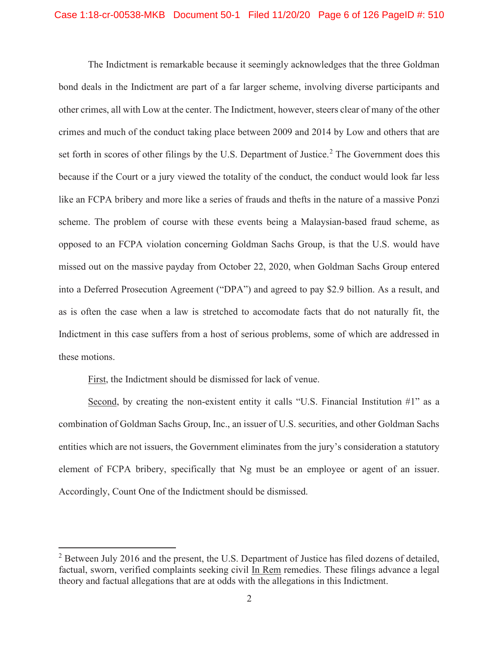The Indictment is remarkable because it seemingly acknowledges that the three Goldman bond deals in the Indictment are part of a far larger scheme, involving diverse participants and other crimes, all with Low at the center. The Indictment, however, steers clear of many of the other crimes and much of the conduct taking place between 2009 and 2014 by Low and others that are set forth in scores of other filings by the U.S. Department of Justice.<sup>2</sup> The Government does this because if the Court or a jury viewed the totality of the conduct, the conduct would look far less like an FCPA bribery and more like a series of frauds and thefts in the nature of a massive Ponzi scheme. The problem of course with these events being a Malaysian-based fraud scheme, as opposed to an FCPA violation concerning Goldman Sachs Group, is that the U.S. would have missed out on the massive payday from October 22, 2020, when Goldman Sachs Group entered into a Deferred Prosecution Agreement ("DPA") and agreed to pay \$2.9 billion. As a result, and as is often the case when a law is stretched to accomodate facts that do not naturally fit, the Indictment in this case suffers from a host of serious problems, some of which are addressed in these motions.

First, the Indictment should be dismissed for lack of venue.

Second, by creating the non-existent entity it calls "U.S. Financial Institution #1" as a combination of Goldman Sachs Group, Inc., an issuer of U.S. securities, and other Goldman Sachs entities which are not issuers, the Government eliminates from the jury's consideration a statutory element of FCPA bribery, specifically that Ng must be an employee or agent of an issuer. Accordingly, Count One of the Indictment should be dismissed.

 $2$  Between July 2016 and the present, the U.S. Department of Justice has filed dozens of detailed, factual, sworn, verified complaints seeking civil In Rem remedies. These filings advance a legal theory and factual allegations that are at odds with the allegations in this Indictment.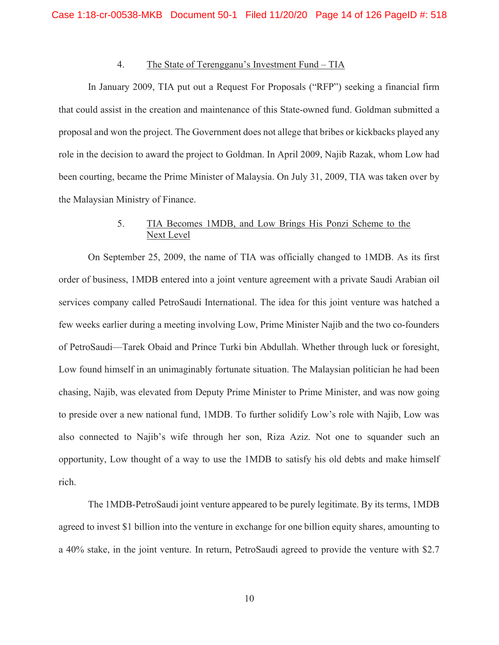#### 4. The State of Terengganu's Investment Fund – TIA

 In January 2009, TIA put out a Request For Proposals ("RFP") seeking a financial firm that could assist in the creation and maintenance of this State-owned fund. Goldman submitted a proposal and won the project. The Government does not allege that bribes or kickbacks played any role in the decision to award the project to Goldman. In April 2009, Najib Razak, whom Low had been courting, became the Prime Minister of Malaysia. On July 31, 2009, TIA was taken over by the Malaysian Ministry of Finance.

## 5. TIA Becomes 1MDB, and Low Brings His Ponzi Scheme to the Next Level

 On September 25, 2009, the name of TIA was officially changed to 1MDB. As its first order of business, 1MDB entered into a joint venture agreement with a private Saudi Arabian oil services company called PetroSaudi International. The idea for this joint venture was hatched a few weeks earlier during a meeting involving Low, Prime Minister Najib and the two co-founders of PetroSaudi—Tarek Obaid and Prince Turki bin Abdullah. Whether through luck or foresight, Low found himself in an unimaginably fortunate situation. The Malaysian politician he had been chasing, Najib, was elevated from Deputy Prime Minister to Prime Minister, and was now going to preside over a new national fund, 1MDB. To further solidify Low's role with Najib, Low was also connected to Najib's wife through her son, Riza Aziz. Not one to squander such an opportunity, Low thought of a way to use the 1MDB to satisfy his old debts and make himself rich.

 The 1MDB-PetroSaudi joint venture appeared to be purely legitimate. By its terms, 1MDB agreed to invest \$1 billion into the venture in exchange for one billion equity shares, amounting to a 40% stake, in the joint venture. In return, PetroSaudi agreed to provide the venture with \$2.7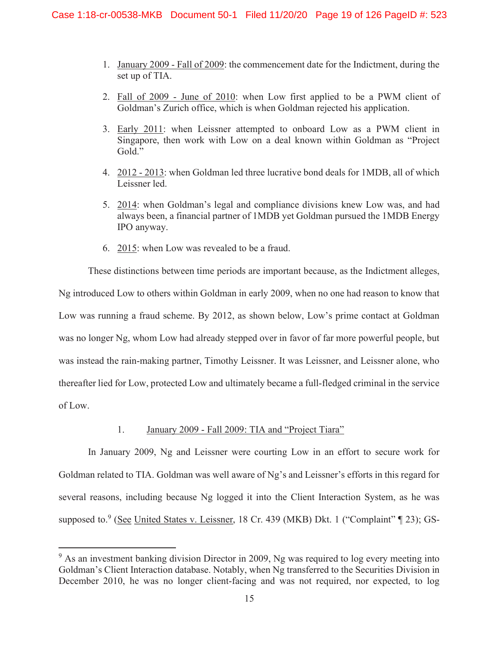- 1. January 2009 Fall of 2009: the commencement date for the Indictment, during the set up of TIA.
- 2. Fall of 2009 June of 2010: when Low first applied to be a PWM client of Goldman's Zurich office, which is when Goldman rejected his application.
- 3. Early 2011: when Leissner attempted to onboard Low as a PWM client in Singapore, then work with Low on a deal known within Goldman as "Project Gold."
- 4. 2012 2013: when Goldman led three lucrative bond deals for 1MDB, all of which Leissner led.
- 5. 2014: when Goldman's legal and compliance divisions knew Low was, and had always been, a financial partner of 1MDB yet Goldman pursued the 1MDB Energy IPO anyway.
- 6. 2015: when Low was revealed to be a fraud.

 These distinctions between time periods are important because, as the Indictment alleges, Ng introduced Low to others within Goldman in early 2009, when no one had reason to know that Low was running a fraud scheme. By 2012, as shown below, Low's prime contact at Goldman was no longer Ng, whom Low had already stepped over in favor of far more powerful people, but was instead the rain-making partner, Timothy Leissner. It was Leissner, and Leissner alone, who thereafter lied for Low, protected Low and ultimately became a full-fledged criminal in the service of Low.

#### 1. January 2009 - Fall 2009: TIA and "Project Tiara"

In January 2009, Ng and Leissner were courting Low in an effort to secure work for Goldman related to TIA. Goldman was well aware of Ng's and Leissner's efforts in this regard for several reasons, including because Ng logged it into the Client Interaction System, as he was supposed to.<sup>9</sup> (See United States v. Leissner, 18 Cr. 439 (MKB) Dkt. 1 ("Complaint" [23); GS-

<sup>&</sup>lt;sup>9</sup> As an investment banking division Director in 2009, Ng was required to log every meeting into Goldman's Client Interaction database. Notably, when Ng transferred to the Securities Division in December 2010, he was no longer client-facing and was not required, nor expected, to log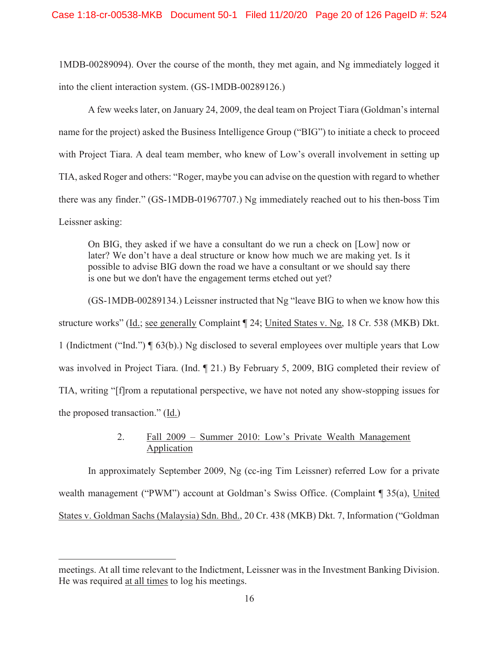1MDB-00289094). Over the course of the month, they met again, and Ng immediately logged it into the client interaction system. (GS-1MDB-00289126.)

A few weeks later, on January 24, 2009, the deal team on Project Tiara (Goldman's internal name for the project) asked the Business Intelligence Group ("BIG") to initiate a check to proceed with Project Tiara. A deal team member, who knew of Low's overall involvement in setting up TIA, asked Roger and others: "Roger, maybe you can advise on the question with regard to whether there was any finder." (GS-1MDB-01967707.) Ng immediately reached out to his then-boss Tim Leissner asking:

On BIG, they asked if we have a consultant do we run a check on [Low] now or later? We don't have a deal structure or know how much we are making yet. Is it possible to advise BIG down the road we have a consultant or we should say there is one but we don't have the engagement terms etched out yet?

(GS-1MDB-00289134.) Leissner instructed that Ng "leave BIG to when we know how this structure works" (Id.; see generally Complaint ¶ 24; United States v. Ng, 18 Cr. 538 (MKB) Dkt. 1 (Indictment ("Ind.") ¶ 63(b).) Ng disclosed to several employees over multiple years that Low was involved in Project Tiara. (Ind. ¶ 21.) By February 5, 2009, BIG completed their review of TIA, writing "[f]rom a reputational perspective, we have not noted any show-stopping issues for the proposed transaction." (Id.)

## 2. Fall 2009 – Summer 2010: Low's Private Wealth Management Application

In approximately September 2009, Ng (cc-ing Tim Leissner) referred Low for a private wealth management ("PWM") account at Goldman's Swiss Office. (Complaint ¶ 35(a), United States v. Goldman Sachs (Malaysia) Sdn. Bhd., 20 Cr. 438 (MKB) Dkt. 7, Information ("Goldman

meetings. At all time relevant to the Indictment, Leissner was in the Investment Banking Division. He was required at all times to log his meetings.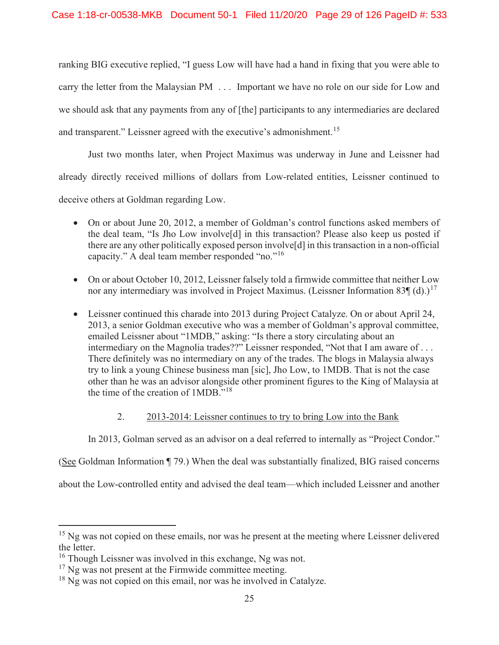ranking BIG executive replied, "I guess Low will have had a hand in fixing that you were able to carry the letter from the Malaysian PM . . . Important we have no role on our side for Low and we should ask that any payments from any of [the] participants to any intermediaries are declared and transparent." Leissner agreed with the executive's admonishment.<sup>15</sup>

Just two months later, when Project Maximus was underway in June and Leissner had already directly received millions of dollars from Low-related entities, Leissner continued to deceive others at Goldman regarding Low.

- On or about June 20, 2012, a member of Goldman's control functions asked members of the deal team, "Is Jho Low involve[d] in this transaction? Please also keep us posted if there are any other politically exposed person involve[d] in this transaction in a non-official capacity." A deal team member responded "no."<sup>16</sup>
- On or about October 10, 2012, Leissner falsely told a firmwide committee that neither Low nor any intermediary was involved in Project Maximus. (Leissner Information  $83\degree$  (d).)<sup>17</sup>
- Leissner continued this charade into 2013 during Project Catalyze. On or about April 24, 2013, a senior Goldman executive who was a member of Goldman's approval committee, emailed Leissner about "1MDB," asking: "Is there a story circulating about an intermediary on the Magnolia trades??" Leissner responded, "Not that I am aware of . . . There definitely was no intermediary on any of the trades. The blogs in Malaysia always try to link a young Chinese business man [sic], Jho Low, to 1MDB. That is not the case other than he was an advisor alongside other prominent figures to the King of Malaysia at the time of the creation of 1MDB."<sup>18</sup>

# 2. 2013-2014: Leissner continues to try to bring Low into the Bank

In 2013, Golman served as an advisor on a deal referred to internally as "Project Condor."

(See Goldman Information ¶ 79.) When the deal was substantially finalized, BIG raised concerns

about the Low-controlled entity and advised the deal team—which included Leissner and another

<sup>&</sup>lt;sup>15</sup> Ng was not copied on these emails, nor was he present at the meeting where Leissner delivered the letter.

<sup>&</sup>lt;sup>16</sup> Though Leissner was involved in this exchange, Ng was not.

 $17$  Ng was not present at the Firmwide committee meeting.

 $18$  Ng was not copied on this email, nor was he involved in Catalyze.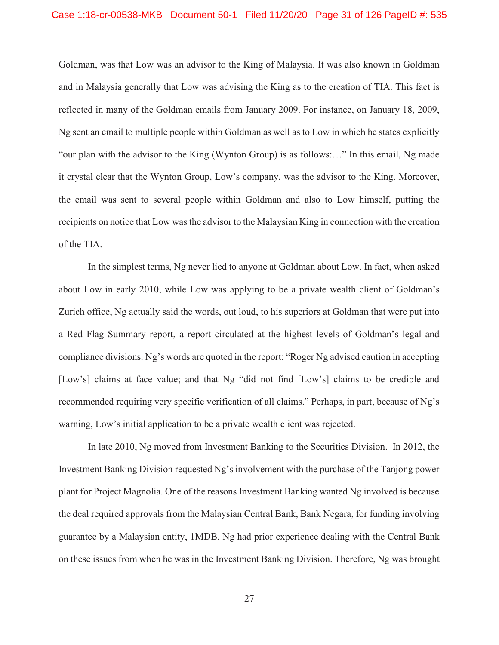Goldman, was that Low was an advisor to the King of Malaysia. It was also known in Goldman and in Malaysia generally that Low was advising the King as to the creation of TIA. This fact is reflected in many of the Goldman emails from January 2009. For instance, on January 18, 2009, Ng sent an email to multiple people within Goldman as well as to Low in which he states explicitly "our plan with the advisor to the King (Wynton Group) is as follows:…" In this email, Ng made it crystal clear that the Wynton Group, Low's company, was the advisor to the King. Moreover, the email was sent to several people within Goldman and also to Low himself, putting the recipients on notice that Low was the advisor to the Malaysian King in connection with the creation of the TIA.

In the simplest terms, Ng never lied to anyone at Goldman about Low. In fact, when asked about Low in early 2010, while Low was applying to be a private wealth client of Goldman's Zurich office, Ng actually said the words, out loud, to his superiors at Goldman that were put into a Red Flag Summary report, a report circulated at the highest levels of Goldman's legal and compliance divisions. Ng's words are quoted in the report: "Roger Ng advised caution in accepting [Low's] claims at face value; and that Ng "did not find [Low's] claims to be credible and recommended requiring very specific verification of all claims." Perhaps, in part, because of Ng's warning, Low's initial application to be a private wealth client was rejected.

In late 2010, Ng moved from Investment Banking to the Securities Division. In 2012, the Investment Banking Division requested Ng's involvement with the purchase of the Tanjong power plant for Project Magnolia. One of the reasons Investment Banking wanted Ng involved is because the deal required approvals from the Malaysian Central Bank, Bank Negara, for funding involving guarantee by a Malaysian entity, 1MDB. Ng had prior experience dealing with the Central Bank on these issues from when he was in the Investment Banking Division. Therefore, Ng was brought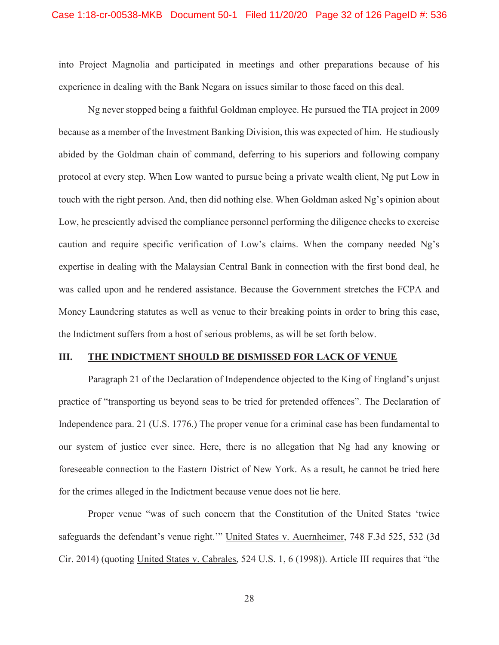into Project Magnolia and participated in meetings and other preparations because of his experience in dealing with the Bank Negara on issues similar to those faced on this deal.

Ng never stopped being a faithful Goldman employee. He pursued the TIA project in 2009 because as a member of the Investment Banking Division, this was expected of him. He studiously abided by the Goldman chain of command, deferring to his superiors and following company protocol at every step. When Low wanted to pursue being a private wealth client, Ng put Low in touch with the right person. And, then did nothing else. When Goldman asked Ng's opinion about Low, he presciently advised the compliance personnel performing the diligence checks to exercise caution and require specific verification of Low's claims. When the company needed Ng's expertise in dealing with the Malaysian Central Bank in connection with the first bond deal, he was called upon and he rendered assistance. Because the Government stretches the FCPA and Money Laundering statutes as well as venue to their breaking points in order to bring this case, the Indictment suffers from a host of serious problems, as will be set forth below.

#### III. THE INDICTMENT SHOULD BE DISMISSED FOR LACK OF VENUE

Paragraph 21 of the Declaration of Independence objected to the King of England's unjust practice of "transporting us beyond seas to be tried for pretended offences". The Declaration of Independence para. 21 (U.S. 1776.) The proper venue for a criminal case has been fundamental to our system of justice ever since. Here, there is no allegation that Ng had any knowing or foreseeable connection to the Eastern District of New York. As a result, he cannot be tried here for the crimes alleged in the Indictment because venue does not lie here.

Proper venue "was of such concern that the Constitution of the United States 'twice safeguards the defendant's venue right.'" United States v. Auernheimer, 748 F.3d 525, 532 (3d Cir. 2014) (quoting United States v. Cabrales, 524 U.S. 1, 6 (1998)). Article III requires that "the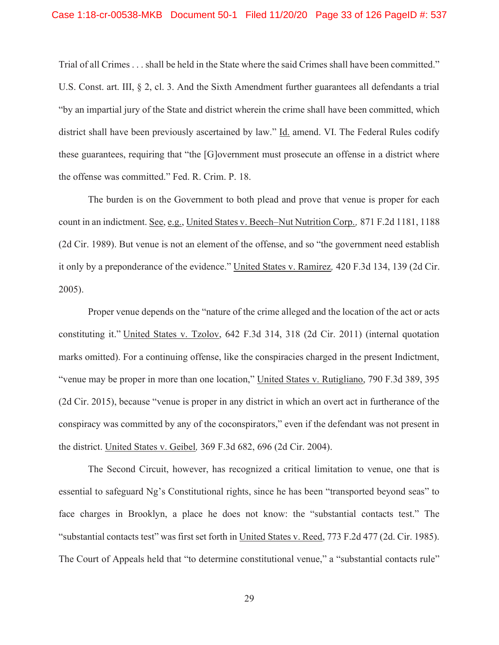Trial of all Crimes . . . shall be held in the State where the said Crimes shall have been committed." U.S. Const. art. III, § 2, cl. 3. And the Sixth Amendment further guarantees all defendants a trial "by an impartial jury of the State and district wherein the crime shall have been committed, which district shall have been previously ascertained by law." Id. amend. VI. The Federal Rules codify these guarantees, requiring that "the [G]overnment must prosecute an offense in a district where the offense was committed." Fed. R. Crim. P. 18.

The burden is on the Government to both plead and prove that venue is proper for each count in an indictment. See, e.g., United States v. Beech–Nut Nutrition Corp., 871 F.2d 1181, 1188 (2d Cir. 1989). But venue is not an element of the offense, and so "the government need establish it only by a preponderance of the evidence." United States v. Ramirez, 420 F.3d 134, 139 (2d Cir. 2005).

Proper venue depends on the "nature of the crime alleged and the location of the act or acts constituting it." United States v. Tzolov, 642 F.3d 314, 318 (2d Cir. 2011) (internal quotation marks omitted). For a continuing offense, like the conspiracies charged in the present Indictment, "venue may be proper in more than one location," United States v. Rutigliano, 790 F.3d 389, 395 (2d Cir. 2015), because "venue is proper in any district in which an overt act in furtherance of the conspiracy was committed by any of the coconspirators," even if the defendant was not present in the district. United States v. Geibel, 369 F.3d 682, 696 (2d Cir. 2004).

The Second Circuit, however, has recognized a critical limitation to venue, one that is essential to safeguard Ng's Constitutional rights, since he has been "transported beyond seas" to face charges in Brooklyn, a place he does not know: the "substantial contacts test." The "substantial contacts test" was first set forth in United States v. Reed, 773 F.2d 477 (2d. Cir. 1985). The Court of Appeals held that "to determine constitutional venue," a "substantial contacts rule"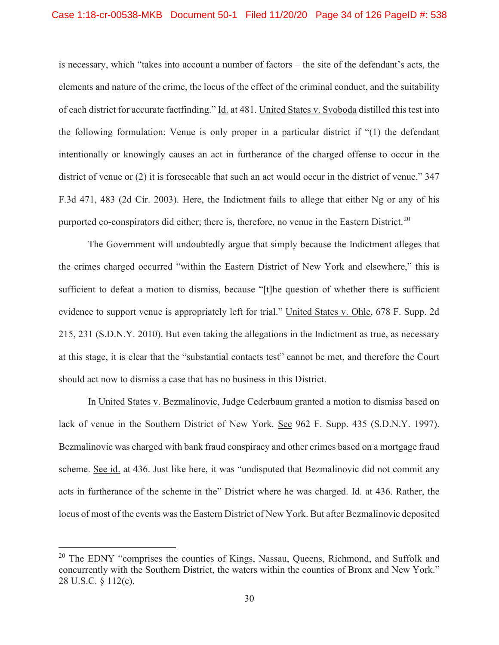is necessary, which "takes into account a number of factors – the site of the defendant's acts, the elements and nature of the crime, the locus of the effect of the criminal conduct, and the suitability of each district for accurate factfinding." Id. at 481. United States v. Svoboda distilled this test into the following formulation: Venue is only proper in a particular district if "(1) the defendant intentionally or knowingly causes an act in furtherance of the charged offense to occur in the district of venue or (2) it is foreseeable that such an act would occur in the district of venue." 347 F.3d 471, 483 (2d Cir. 2003). Here, the Indictment fails to allege that either Ng or any of his purported co-conspirators did either; there is, therefore, no venue in the Eastern District.<sup>20</sup>

The Government will undoubtedly argue that simply because the Indictment alleges that the crimes charged occurred "within the Eastern District of New York and elsewhere," this is sufficient to defeat a motion to dismiss, because "[t]he question of whether there is sufficient evidence to support venue is appropriately left for trial." United States v. Ohle, 678 F. Supp. 2d 215, 231 (S.D.N.Y. 2010). But even taking the allegations in the Indictment as true, as necessary at this stage, it is clear that the "substantial contacts test" cannot be met, and therefore the Court should act now to dismiss a case that has no business in this District.

 In United States v. Bezmalinovic, Judge Cederbaum granted a motion to dismiss based on lack of venue in the Southern District of New York. See 962 F. Supp. 435 (S.D.N.Y. 1997). Bezmalinovic was charged with bank fraud conspiracy and other crimes based on a mortgage fraud scheme. See id. at 436. Just like here, it was "undisputed that Bezmalinovic did not commit any acts in furtherance of the scheme in the" District where he was charged. Id. at 436. Rather, the locus of most of the events was the Eastern District of New York. But after Bezmalinovic deposited

<sup>&</sup>lt;sup>20</sup> The EDNY "comprises the counties of Kings, Nassau, Queens, Richmond, and Suffolk and concurrently with the Southern District, the waters within the counties of Bronx and New York." 28 U.S.C. § 112(c).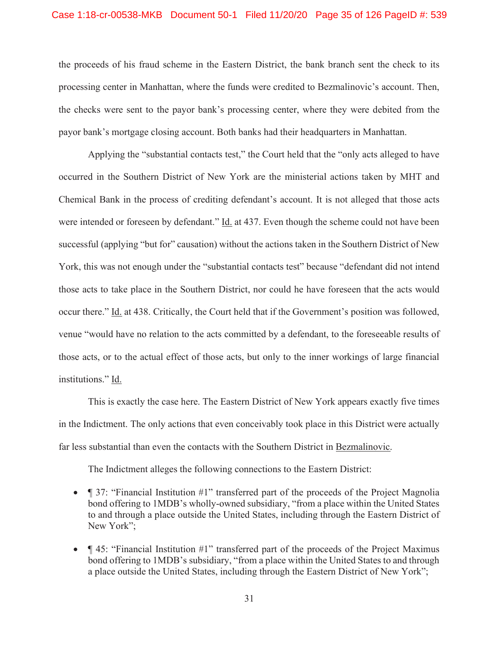the proceeds of his fraud scheme in the Eastern District, the bank branch sent the check to its processing center in Manhattan, where the funds were credited to Bezmalinovic's account. Then, the checks were sent to the payor bank's processing center, where they were debited from the payor bank's mortgage closing account. Both banks had their headquarters in Manhattan.

 Applying the "substantial contacts test," the Court held that the "only acts alleged to have occurred in the Southern District of New York are the ministerial actions taken by MHT and Chemical Bank in the process of crediting defendant's account. It is not alleged that those acts were intended or foreseen by defendant." Id. at 437. Even though the scheme could not have been successful (applying "but for" causation) without the actions taken in the Southern District of New York, this was not enough under the "substantial contacts test" because "defendant did not intend those acts to take place in the Southern District, nor could he have foreseen that the acts would occur there." Id. at 438. Critically, the Court held that if the Government's position was followed, venue "would have no relation to the acts committed by a defendant, to the foreseeable results of those acts, or to the actual effect of those acts, but only to the inner workings of large financial institutions." Id.

 This is exactly the case here. The Eastern District of New York appears exactly five times in the Indictment. The only actions that even conceivably took place in this District were actually far less substantial than even the contacts with the Southern District in Bezmalinovic.

The Indictment alleges the following connections to the Eastern District:

- $\bullet$   $\parallel$  37: "Financial Institution #1" transferred part of the proceeds of the Project Magnolia bond offering to 1MDB's wholly-owned subsidiary, "from a place within the United States to and through a place outside the United States, including through the Eastern District of New York";
- $\parallel$  45: "Financial Institution #1" transferred part of the proceeds of the Project Maximus bond offering to 1MDB's subsidiary, "from a place within the United States to and through a place outside the United States, including through the Eastern District of New York";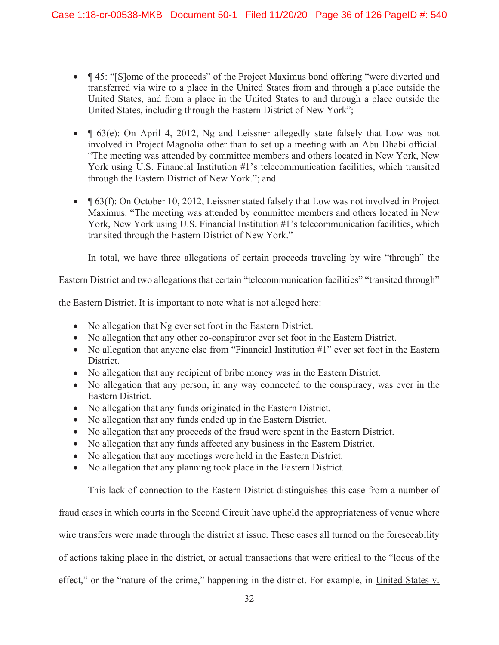- ¶ 45: "[S]ome of the proceeds" of the Project Maximus bond offering "were diverted and transferred via wire to a place in the United States from and through a place outside the United States, and from a place in the United States to and through a place outside the United States, including through the Eastern District of New York";
- $\bullet$   $\parallel$  63(e): On April 4, 2012, Ng and Leissner allegedly state falsely that Low was not involved in Project Magnolia other than to set up a meeting with an Abu Dhabi official. "The meeting was attended by committee members and others located in New York, New York using U.S. Financial Institution #1's telecommunication facilities, which transited through the Eastern District of New York."; and
- $\bullet$   $\P$  63(f): On October 10, 2012, Leissner stated falsely that Low was not involved in Project Maximus. "The meeting was attended by committee members and others located in New York, New York using U.S. Financial Institution #1's telecommunication facilities, which transited through the Eastern District of New York."

In total, we have three allegations of certain proceeds traveling by wire "through" the

Eastern District and two allegations that certain "telecommunication facilities" "transited through"

the Eastern District. It is important to note what is not alleged here:

- No allegation that Ng ever set foot in the Eastern District.
- No allegation that any other co-conspirator ever set foot in the Eastern District.
- No allegation that anyone else from "Financial Institution  $#1$ " ever set foot in the Eastern District.
- No allegation that any recipient of bribe money was in the Eastern District.
- No allegation that any person, in any way connected to the conspiracy, was ever in the Eastern District.
- No allegation that any funds originated in the Eastern District.
- No allegation that any funds ended up in the Eastern District.
- No allegation that any proceeds of the fraud were spent in the Eastern District.
- No allegation that any funds affected any business in the Eastern District.
- No allegation that any meetings were held in the Eastern District.
- $\bullet$  No allegation that any planning took place in the Eastern District.

This lack of connection to the Eastern District distinguishes this case from a number of

fraud cases in which courts in the Second Circuit have upheld the appropriateness of venue where

wire transfers were made through the district at issue. These cases all turned on the foreseeability

of actions taking place in the district, or actual transactions that were critical to the "locus of the

effect," or the "nature of the crime," happening in the district. For example, in United States v.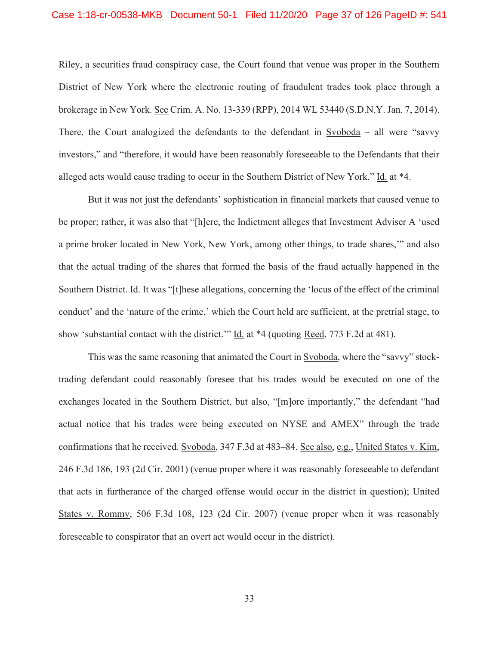Riley, a securities fraud conspiracy case, the Court found that venue was proper in the Southern District of New York where the electronic routing of fraudulent trades took place through a brokerage in New York. See Crim. A. No. 13-339 (RPP), 2014 WL 53440 (S.D.N.Y. Jan. 7, 2014). There, the Court analogized the defendants to the defendant in Svoboda – all were "savvy investors," and "therefore, it would have been reasonably foreseeable to the Defendants that their alleged acts would cause trading to occur in the Southern District of New York." Id. at \*4.

But it was not just the defendants' sophistication in financial markets that caused venue to be proper; rather, it was also that "[h]ere, the Indictment alleges that Investment Adviser A 'used a prime broker located in New York, New York, among other things, to trade shares,'" and also that the actual trading of the shares that formed the basis of the fraud actually happened in the Southern District. Id. It was "[t]hese allegations, concerning the 'locus of the effect of the criminal conduct' and the 'nature of the crime,' which the Court held are sufficient, at the pretrial stage, to show 'substantial contact with the district.'"  $\underline{Id}$  at \*4 (quoting Reed, 773 F.2d at 481).

This was the same reasoning that animated the Court in Svoboda, where the "savvy" stocktrading defendant could reasonably foresee that his trades would be executed on one of the exchanges located in the Southern District, but also, "[m]ore importantly," the defendant "had actual notice that his trades were being executed on NYSE and AMEX" through the trade confirmations that he received. Svoboda, 347 F.3d at 483–84. See also, e.g., United States v. Kim, 246 F.3d 186, 193 (2d Cir. 2001) (venue proper where it was reasonably foreseeable to defendant that acts in furtherance of the charged offense would occur in the district in question); United States v. Rommy, 506 F.3d 108, 123 (2d Cir. 2007) (venue proper when it was reasonably foreseeable to conspirator that an overt act would occur in the district).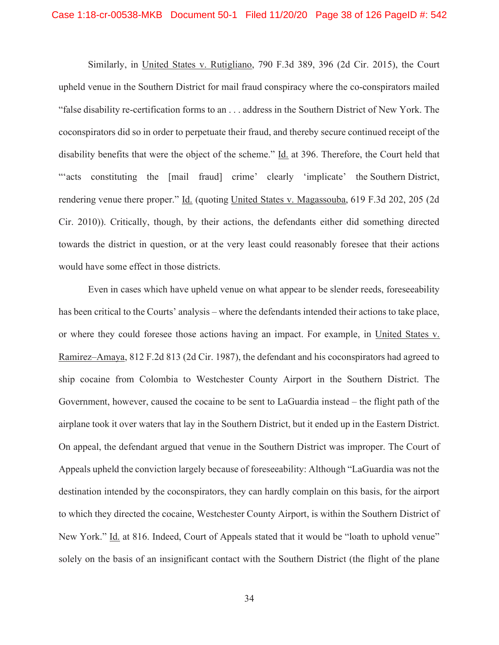Similarly, in United States v. Rutigliano, 790 F.3d 389, 396 (2d Cir. 2015), the Court upheld venue in the Southern District for mail fraud conspiracy where the co-conspirators mailed "false disability re-certification forms to an . . . address in the Southern District of New York. The coconspirators did so in order to perpetuate their fraud, and thereby secure continued receipt of the disability benefits that were the object of the scheme." Id. at 396. Therefore, the Court held that "acts constituting the [mail fraud] crime' clearly 'implicate' the Southern District, rendering venue there proper." Id. (quoting United States v. Magassouba, 619 F.3d 202, 205 (2d Cir. 2010)). Critically, though, by their actions, the defendants either did something directed towards the district in question, or at the very least could reasonably foresee that their actions would have some effect in those districts.

 Even in cases which have upheld venue on what appear to be slender reeds, foreseeability has been critical to the Courts' analysis – where the defendants intended their actions to take place, or where they could foresee those actions having an impact. For example, in United States v. Ramirez–Amaya, 812 F.2d 813 (2d Cir. 1987), the defendant and his coconspirators had agreed to ship cocaine from Colombia to Westchester County Airport in the Southern District. The Government, however, caused the cocaine to be sent to LaGuardia instead – the flight path of the airplane took it over waters that lay in the Southern District, but it ended up in the Eastern District. On appeal, the defendant argued that venue in the Southern District was improper. The Court of Appeals upheld the conviction largely because of foreseeability: Although "LaGuardia was not the destination intended by the coconspirators, they can hardly complain on this basis, for the airport to which they directed the cocaine, Westchester County Airport, is within the Southern District of New York." Id. at 816. Indeed, Court of Appeals stated that it would be "loath to uphold venue" solely on the basis of an insignificant contact with the Southern District (the flight of the plane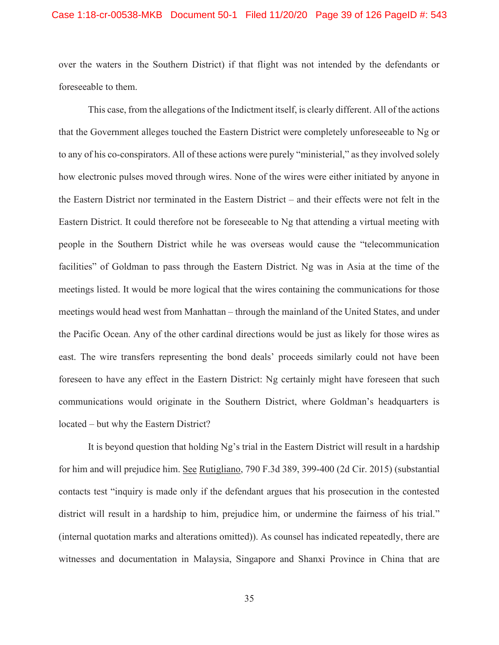over the waters in the Southern District) if that flight was not intended by the defendants or foreseeable to them.

 This case, from the allegations of the Indictment itself, is clearly different. All of the actions that the Government alleges touched the Eastern District were completely unforeseeable to Ng or to any of his co-conspirators. All of these actions were purely "ministerial," as they involved solely how electronic pulses moved through wires. None of the wires were either initiated by anyone in the Eastern District nor terminated in the Eastern District – and their effects were not felt in the Eastern District. It could therefore not be foreseeable to Ng that attending a virtual meeting with people in the Southern District while he was overseas would cause the "telecommunication facilities" of Goldman to pass through the Eastern District. Ng was in Asia at the time of the meetings listed. It would be more logical that the wires containing the communications for those meetings would head west from Manhattan – through the mainland of the United States, and under the Pacific Ocean. Any of the other cardinal directions would be just as likely for those wires as east. The wire transfers representing the bond deals' proceeds similarly could not have been foreseen to have any effect in the Eastern District: Ng certainly might have foreseen that such communications would originate in the Southern District, where Goldman's headquarters is located – but why the Eastern District?

 It is beyond question that holding Ng's trial in the Eastern District will result in a hardship for him and will prejudice him. See Rutigliano, 790 F.3d 389, 399-400 (2d Cir. 2015) (substantial contacts test "inquiry is made only if the defendant argues that his prosecution in the contested district will result in a hardship to him, prejudice him, or undermine the fairness of his trial." (internal quotation marks and alterations omitted)). As counsel has indicated repeatedly, there are witnesses and documentation in Malaysia, Singapore and Shanxi Province in China that are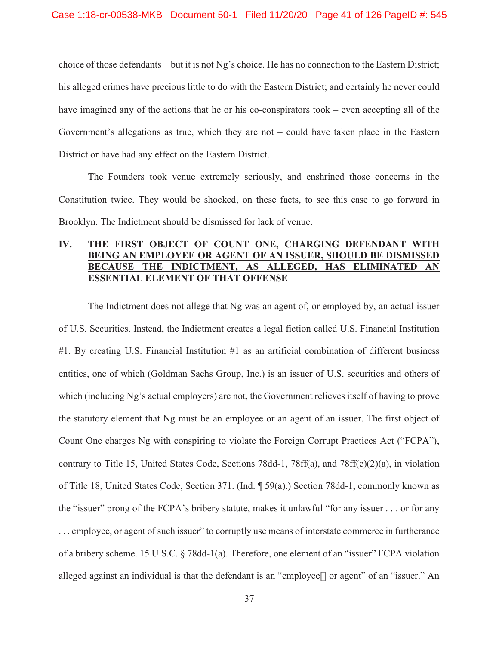choice of those defendants – but it is not Ng's choice. He has no connection to the Eastern District; his alleged crimes have precious little to do with the Eastern District; and certainly he never could have imagined any of the actions that he or his co-conspirators took – even accepting all of the Government's allegations as true, which they are not – could have taken place in the Eastern District or have had any effect on the Eastern District.

 The Founders took venue extremely seriously, and enshrined those concerns in the Constitution twice. They would be shocked, on these facts, to see this case to go forward in Brooklyn. The Indictment should be dismissed for lack of venue.

# IV. THE FIRST OBJECT OF COUNT ONE, CHARGING DEFENDANT WITH BEING AN EMPLOYEE OR AGENT OF AN ISSUER, SHOULD BE DISMISSED BECAUSE THE INDICTMENT, AS ALLEGED, HAS ELIMINATED AN ESSENTIAL ELEMENT OF THAT OFFENSE

 The Indictment does not allege that Ng was an agent of, or employed by, an actual issuer of U.S. Securities. Instead, the Indictment creates a legal fiction called U.S. Financial Institution #1. By creating U.S. Financial Institution #1 as an artificial combination of different business entities, one of which (Goldman Sachs Group, Inc.) is an issuer of U.S. securities and others of which (including Ng's actual employers) are not, the Government relieves itself of having to prove the statutory element that Ng must be an employee or an agent of an issuer. The first object of Count One charges Ng with conspiring to violate the Foreign Corrupt Practices Act ("FCPA"), contrary to Title 15, United States Code, Sections 78dd-1, 78ff(a), and 78ff(c)(2)(a), in violation of Title 18, United States Code, Section 371. (Ind. ¶ 59(a).) Section 78dd-1, commonly known as the "issuer" prong of the FCPA's bribery statute, makes it unlawful "for any issuer . . . or for any . . . employee, or agent of such issuer" to corruptly use means of interstate commerce in furtherance of a bribery scheme. 15 U.S.C. § 78dd-1(a). Therefore, one element of an "issuer" FCPA violation alleged against an individual is that the defendant is an "employee[] or agent" of an "issuer." An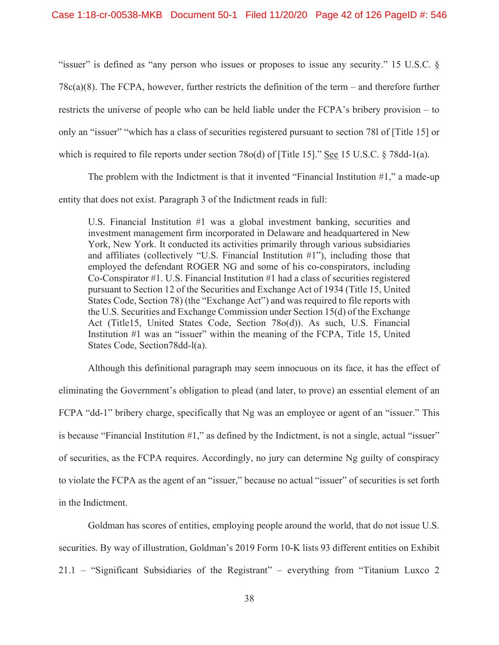"issuer" is defined as "any person who issues or proposes to issue any security." 15 U.S.C.  $\delta$ 78c(a)(8). The FCPA, however, further restricts the definition of the term – and therefore further restricts the universe of people who can be held liable under the FCPA's bribery provision – to only an "issuer" "which has a class of securities registered pursuant to section 78l of [Title 15] or which is required to file reports under section 78o(d) of [Title 15]." See 15 U.S.C. § 78dd-1(a).

The problem with the Indictment is that it invented "Financial Institution #1," a made-up

entity that does not exist. Paragraph 3 of the Indictment reads in full:

U.S. Financial Institution #1 was a global investment banking, securities and investment management firm incorporated in Delaware and headquartered in New York, New York. It conducted its activities primarily through various subsidiaries and affiliates (collectively "U.S. Financial Institution #1"), including those that employed the defendant ROGER NG and some of his co-conspirators, including Co-Conspirator #1. U.S. Financial Institution #1 had a class of securities registered pursuant to Section 12 of the Securities and Exchange Act of 1934 (Title 15, United States Code, Section 78) (the "Exchange Act") and was required to file reports with the U.S. Securities and Exchange Commission under Section 15(d) of the Exchange Act (Title15, United States Code, Section 78o(d)). As such, U.S. Financial Institution #1 was an "issuer" within the meaning of the FCPA, Title 15, United States Code, Section78dd-l(a).

 Although this definitional paragraph may seem innocuous on its face, it has the effect of eliminating the Government's obligation to plead (and later, to prove) an essential element of an FCPA "dd-1" bribery charge, specifically that Ng was an employee or agent of an "issuer." This is because "Financial Institution #1," as defined by the Indictment, is not a single, actual "issuer" of securities, as the FCPA requires. Accordingly, no jury can determine Ng guilty of conspiracy to violate the FCPA as the agent of an "issuer," because no actual "issuer" of securities is set forth in the Indictment.

Goldman has scores of entities, employing people around the world, that do not issue U.S. securities. By way of illustration, Goldman's 2019 Form 10-K lists 93 different entities on Exhibit 21.1 – "Significant Subsidiaries of the Registrant" – everything from "Titanium Luxco 2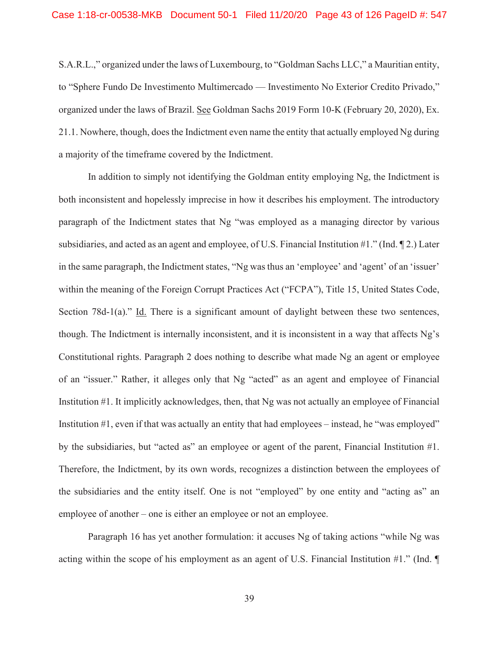S.A.R.L.," organized under the laws of Luxembourg, to "Goldman Sachs LLC," a Mauritian entity, to "Sphere Fundo De Investimento Multimercado — Investimento No Exterior Credito Privado," organized under the laws of Brazil. See Goldman Sachs 2019 Form 10-K (February 20, 2020), Ex. 21.1. Nowhere, though, does the Indictment even name the entity that actually employed Ng during a majority of the timeframe covered by the Indictment.

In addition to simply not identifying the Goldman entity employing Ng, the Indictment is both inconsistent and hopelessly imprecise in how it describes his employment. The introductory paragraph of the Indictment states that Ng "was employed as a managing director by various subsidiaries, and acted as an agent and employee, of U.S. Financial Institution #1." (Ind. ¶ 2.) Later in the same paragraph, the Indictment states, "Ng was thus an 'employee' and 'agent' of an 'issuer' within the meaning of the Foreign Corrupt Practices Act ("FCPA"), Title 15, United States Code, Section 78d-1(a)." Id. There is a significant amount of daylight between these two sentences, though. The Indictment is internally inconsistent, and it is inconsistent in a way that affects Ng's Constitutional rights. Paragraph 2 does nothing to describe what made Ng an agent or employee of an "issuer." Rather, it alleges only that Ng "acted" as an agent and employee of Financial Institution #1. It implicitly acknowledges, then, that Ng was not actually an employee of Financial Institution #1, even if that was actually an entity that had employees – instead, he "was employed" by the subsidiaries, but "acted as" an employee or agent of the parent, Financial Institution #1. Therefore, the Indictment, by its own words, recognizes a distinction between the employees of the subsidiaries and the entity itself. One is not "employed" by one entity and "acting as" an employee of another – one is either an employee or not an employee.

Paragraph 16 has yet another formulation: it accuses Ng of taking actions "while Ng was acting within the scope of his employment as an agent of U.S. Financial Institution #1." (Ind. ¶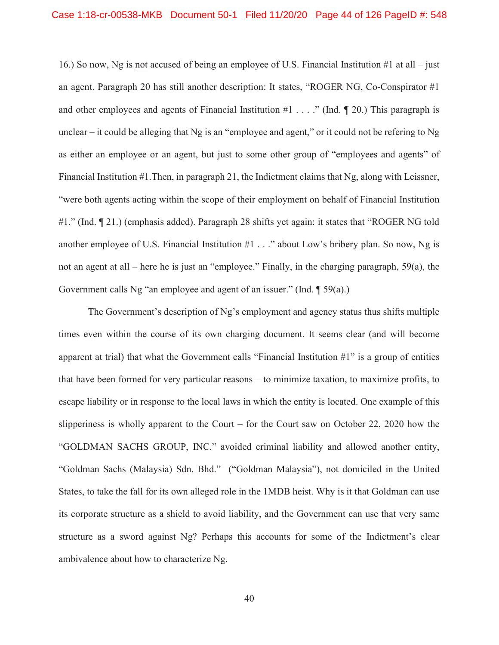16.) So now, Ng is not accused of being an employee of U.S. Financial Institution #1 at all – just an agent. Paragraph 20 has still another description: It states, "ROGER NG, Co-Conspirator #1 and other employees and agents of Financial Institution  $\#1 \ldots$ ." (Ind.  $\P$  20.) This paragraph is unclear – it could be alleging that Ng is an "employee and agent," or it could not be refering to Ng as either an employee or an agent, but just to some other group of "employees and agents" of Financial Institution #1.Then, in paragraph 21, the Indictment claims that Ng, along with Leissner, "were both agents acting within the scope of their employment on behalf of Financial Institution #1." (Ind. ¶ 21.) (emphasis added). Paragraph 28 shifts yet again: it states that "ROGER NG told another employee of U.S. Financial Institution #1 . . ." about Low's bribery plan. So now, Ng is not an agent at all – here he is just an "employee." Finally, in the charging paragraph, 59(a), the Government calls Ng "an employee and agent of an issuer." (Ind. ¶ 59(a).)

 The Government's description of Ng's employment and agency status thus shifts multiple times even within the course of its own charging document. It seems clear (and will become apparent at trial) that what the Government calls "Financial Institution #1" is a group of entities that have been formed for very particular reasons – to minimize taxation, to maximize profits, to escape liability or in response to the local laws in which the entity is located. One example of this slipperiness is wholly apparent to the Court – for the Court saw on October 22, 2020 how the "GOLDMAN SACHS GROUP, INC." avoided criminal liability and allowed another entity, "Goldman Sachs (Malaysia) Sdn. Bhd." ("Goldman Malaysia"), not domiciled in the United States, to take the fall for its own alleged role in the 1MDB heist. Why is it that Goldman can use its corporate structure as a shield to avoid liability, and the Government can use that very same structure as a sword against Ng? Perhaps this accounts for some of the Indictment's clear ambivalence about how to characterize Ng.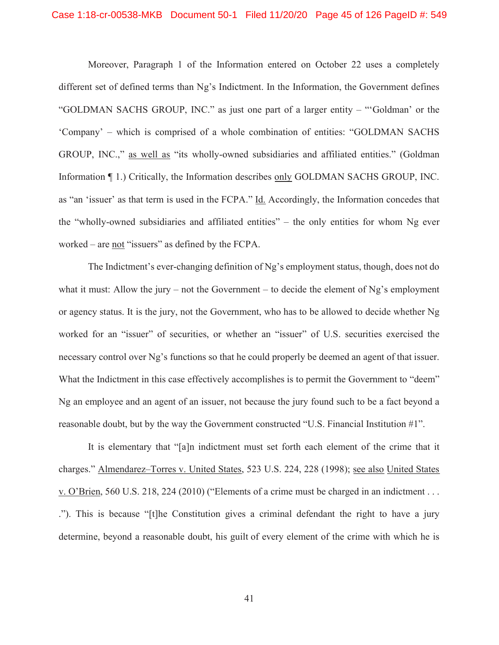Moreover, Paragraph 1 of the Information entered on October 22 uses a completely different set of defined terms than Ng's Indictment. In the Information, the Government defines "GOLDMAN SACHS GROUP, INC." as just one part of a larger entity – "'Goldman' or the 'Company' – which is comprised of a whole combination of entities: "GOLDMAN SACHS GROUP, INC.," as well as "its wholly-owned subsidiaries and affiliated entities." (Goldman Information ¶ 1.) Critically, the Information describes only GOLDMAN SACHS GROUP, INC. as "an 'issuer' as that term is used in the FCPA." Id. Accordingly, the Information concedes that the "wholly-owned subsidiaries and affiliated entities" – the only entities for whom Ng ever worked – are not "issuers" as defined by the FCPA.

The Indictment's ever-changing definition of Ng's employment status, though, does not do what it must: Allow the jury – not the Government – to decide the element of  $Ng$ 's employment or agency status. It is the jury, not the Government, who has to be allowed to decide whether Ng worked for an "issuer" of securities, or whether an "issuer" of U.S. securities exercised the necessary control over Ng's functions so that he could properly be deemed an agent of that issuer. What the Indictment in this case effectively accomplishes is to permit the Government to "deem" Ng an employee and an agent of an issuer, not because the jury found such to be a fact beyond a reasonable doubt, but by the way the Government constructed "U.S. Financial Institution #1".

It is elementary that "[a]n indictment must set forth each element of the crime that it charges." Almendarez–Torres v. United States, 523 U.S. 224, 228 (1998); see also United States v. O'Brien, 560 U.S. 218, 224 (2010) ("Elements of a crime must be charged in an indictment . . . ."). This is because "[t]he Constitution gives a criminal defendant the right to have a jury determine, beyond a reasonable doubt, his guilt of every element of the crime with which he is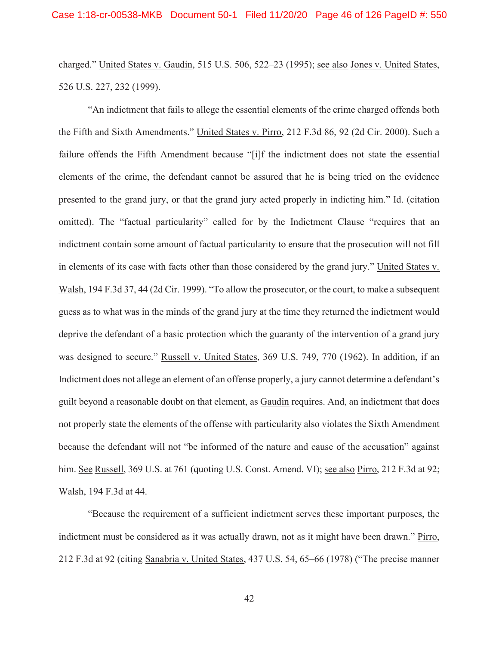charged." United States v. Gaudin, 515 U.S. 506, 522–23 (1995); see also Jones v. United States, 526 U.S. 227, 232 (1999).

"An indictment that fails to allege the essential elements of the crime charged offends both the Fifth and Sixth Amendments." United States v. Pirro, 212 F.3d 86, 92 (2d Cir. 2000). Such a failure offends the Fifth Amendment because "[i]f the indictment does not state the essential elements of the crime, the defendant cannot be assured that he is being tried on the evidence presented to the grand jury, or that the grand jury acted properly in indicting him." Id. (citation omitted). The "factual particularity" called for by the Indictment Clause "requires that an indictment contain some amount of factual particularity to ensure that the prosecution will not fill in elements of its case with facts other than those considered by the grand jury." United States v. Walsh, 194 F.3d 37, 44 (2d Cir. 1999). "To allow the prosecutor, or the court, to make a subsequent guess as to what was in the minds of the grand jury at the time they returned the indictment would deprive the defendant of a basic protection which the guaranty of the intervention of a grand jury was designed to secure." Russell v. United States, 369 U.S. 749, 770 (1962). In addition, if an Indictment does not allege an element of an offense properly, a jury cannot determine a defendant's guilt beyond a reasonable doubt on that element, as Gaudin requires. And, an indictment that does not properly state the elements of the offense with particularity also violates the Sixth Amendment because the defendant will not "be informed of the nature and cause of the accusation" against him. See Russell, 369 U.S. at 761 (quoting U.S. Const. Amend. VI); see also Pirro, 212 F.3d at 92; Walsh, 194 F.3d at 44.

"Because the requirement of a sufficient indictment serves these important purposes, the indictment must be considered as it was actually drawn, not as it might have been drawn." Pirro, 212 F.3d at 92 (citing Sanabria v. United States, 437 U.S. 54, 65–66 (1978) ("The precise manner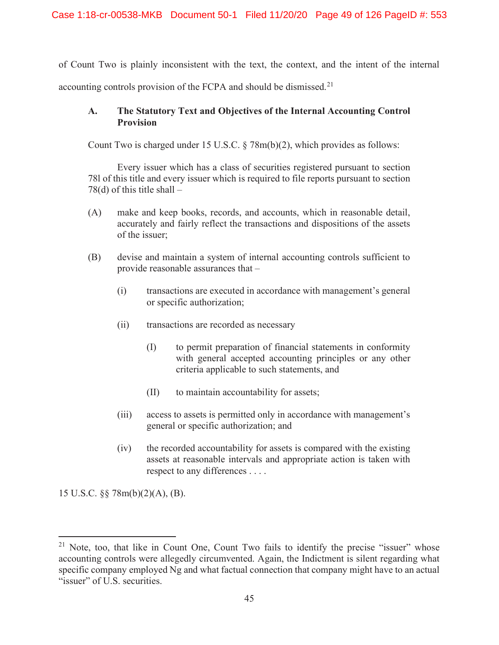of Count Two is plainly inconsistent with the text, the context, and the intent of the internal

accounting controls provision of the FCPA and should be dismissed.<sup>21</sup>

# A. The Statutory Text and Objectives of the Internal Accounting Control **Provision**

Count Two is charged under 15 U.S.C. § 78m(b)(2), which provides as follows:

Every issuer which has a class of securities registered pursuant to section 78l of this title and every issuer which is required to file reports pursuant to section 78(d) of this title shall  $-$ 

- (A) make and keep books, records, and accounts, which in reasonable detail, accurately and fairly reflect the transactions and dispositions of the assets of the issuer;
- (B) devise and maintain a system of internal accounting controls sufficient to provide reasonable assurances that –
	- (i) transactions are executed in accordance with management's general or specific authorization;
	- (ii) transactions are recorded as necessary
		- (I) to permit preparation of financial statements in conformity with general accepted accounting principles or any other criteria applicable to such statements, and
		- (II) to maintain accountability for assets;
	- (iii) access to assets is permitted only in accordance with management's general or specific authorization; and
	- (iv) the recorded accountability for assets is compared with the existing assets at reasonable intervals and appropriate action is taken with respect to any differences . . . .

15 U.S.C. §§ 78m(b)(2)(A), (B).

<sup>&</sup>lt;sup>21</sup> Note, too, that like in Count One, Count Two fails to identify the precise "issuer" whose accounting controls were allegedly circumvented. Again, the Indictment is silent regarding what specific company employed Ng and what factual connection that company might have to an actual "issuer" of U.S. securities.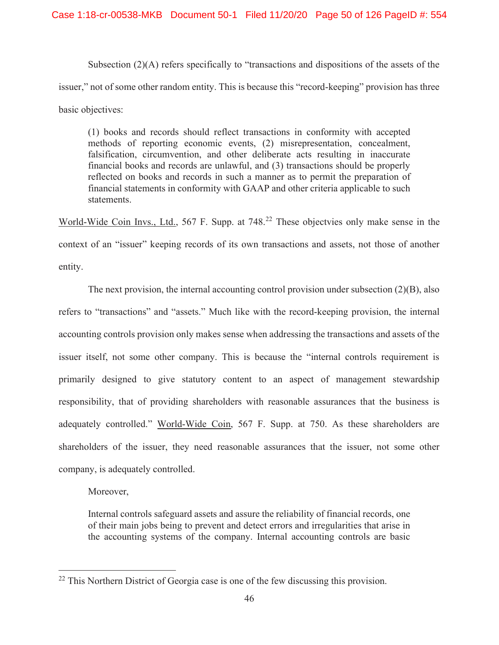Subsection (2)(A) refers specifically to "transactions and dispositions of the assets of the issuer," not of some other random entity. This is because this "record-keeping" provision has three basic objectives:

(1) books and records should reflect transactions in conformity with accepted methods of reporting economic events, (2) misrepresentation, concealment, falsification, circumvention, and other deliberate acts resulting in inaccurate financial books and records are unlawful, and (3) transactions should be properly reflected on books and records in such a manner as to permit the preparation of financial statements in conformity with GAAP and other criteria applicable to such statements.

World-Wide Coin Invs., Ltd., 567 F. Supp. at 748.<sup>22</sup> These objectvies only make sense in the context of an "issuer" keeping records of its own transactions and assets, not those of another entity.

The next provision, the internal accounting control provision under subsection  $(2)(B)$ , also refers to "transactions" and "assets." Much like with the record-keeping provision, the internal accounting controls provision only makes sense when addressing the transactions and assets of the issuer itself, not some other company. This is because the "internal controls requirement is primarily designed to give statutory content to an aspect of management stewardship responsibility, that of providing shareholders with reasonable assurances that the business is adequately controlled." World-Wide Coin, 567 F. Supp. at 750. As these shareholders are shareholders of the issuer, they need reasonable assurances that the issuer, not some other company, is adequately controlled.

Moreover,

Internal controls safeguard assets and assure the reliability of financial records, one of their main jobs being to prevent and detect errors and irregularities that arise in the accounting systems of the company. Internal accounting controls are basic

<sup>&</sup>lt;sup>22</sup> This Northern District of Georgia case is one of the few discussing this provision.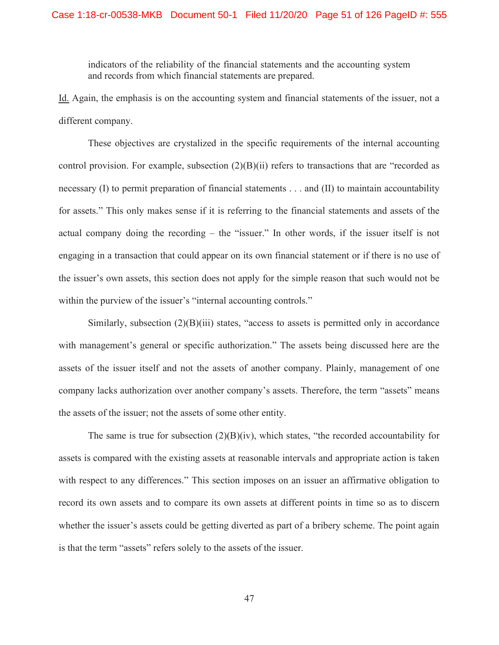indicators of the reliability of the financial statements and the accounting system and records from which financial statements are prepared.

Id. Again, the emphasis is on the accounting system and financial statements of the issuer, not a different company.

These objectives are crystalized in the specific requirements of the internal accounting control provision. For example, subsection (2)(B)(ii) refers to transactions that are "recorded as necessary (I) to permit preparation of financial statements . . . and (II) to maintain accountability for assets." This only makes sense if it is referring to the financial statements and assets of the actual company doing the recording – the "issuer." In other words, if the issuer itself is not engaging in a transaction that could appear on its own financial statement or if there is no use of the issuer's own assets, this section does not apply for the simple reason that such would not be within the purview of the issuer's "internal accounting controls."

Similarly, subsection  $(2)(B)(iii)$  states, "access to assets is permitted only in accordance with management's general or specific authorization." The assets being discussed here are the assets of the issuer itself and not the assets of another company. Plainly, management of one company lacks authorization over another company's assets. Therefore, the term "assets" means the assets of the issuer; not the assets of some other entity.

The same is true for subsection  $(2)(B)(iv)$ , which states, "the recorded accountability for assets is compared with the existing assets at reasonable intervals and appropriate action is taken with respect to any differences." This section imposes on an issuer an affirmative obligation to record its own assets and to compare its own assets at different points in time so as to discern whether the issuer's assets could be getting diverted as part of a bribery scheme. The point again is that the term "assets" refers solely to the assets of the issuer.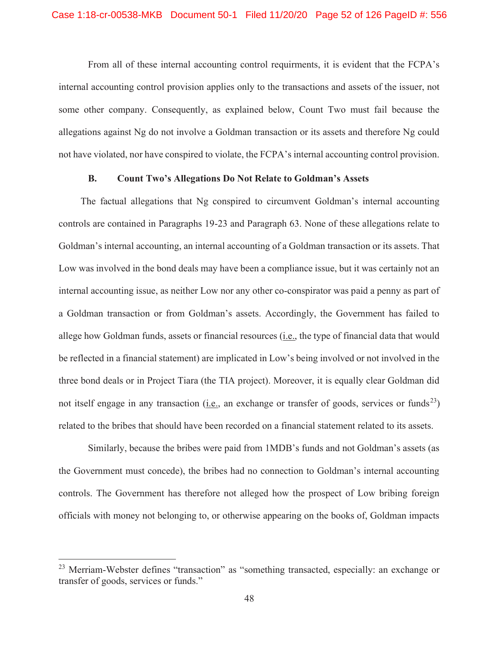From all of these internal accounting control requirments, it is evident that the FCPA's internal accounting control provision applies only to the transactions and assets of the issuer, not some other company. Consequently, as explained below, Count Two must fail because the allegations against Ng do not involve a Goldman transaction or its assets and therefore Ng could not have violated, nor have conspired to violate, the FCPA's internal accounting control provision.

### B. Count Two's Allegations Do Not Relate to Goldman's Assets

The factual allegations that Ng conspired to circumvent Goldman's internal accounting controls are contained in Paragraphs 19-23 and Paragraph 63. None of these allegations relate to Goldman's internal accounting, an internal accounting of a Goldman transaction or its assets. That Low was involved in the bond deals may have been a compliance issue, but it was certainly not an internal accounting issue, as neither Low nor any other co-conspirator was paid a penny as part of a Goldman transaction or from Goldman's assets. Accordingly, the Government has failed to allege how Goldman funds, assets or financial resources (*i.e.*, the type of financial data that would be reflected in a financial statement) are implicated in Low's being involved or not involved in the three bond deals or in Project Tiara (the TIA project). Moreover, it is equally clear Goldman did not itself engage in any transaction (i.e., an exchange or transfer of goods, services or funds<sup>23</sup>) related to the bribes that should have been recorded on a financial statement related to its assets.

Similarly, because the bribes were paid from 1MDB's funds and not Goldman's assets (as the Government must concede), the bribes had no connection to Goldman's internal accounting controls. The Government has therefore not alleged how the prospect of Low bribing foreign officials with money not belonging to, or otherwise appearing on the books of, Goldman impacts

 $23$  Merriam-Webster defines "transaction" as "something transacted, especially: an exchange or transfer of goods, services or funds."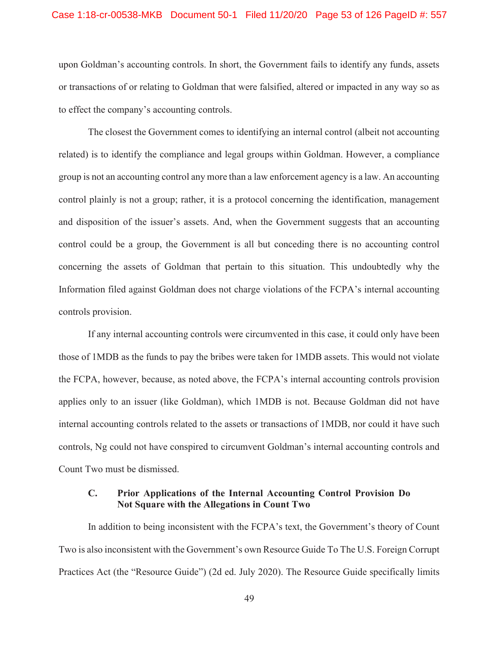upon Goldman's accounting controls. In short, the Government fails to identify any funds, assets or transactions of or relating to Goldman that were falsified, altered or impacted in any way so as to effect the company's accounting controls.

 The closest the Government comes to identifying an internal control (albeit not accounting related) is to identify the compliance and legal groups within Goldman. However, a compliance group is not an accounting control any more than a law enforcement agency is a law. An accounting control plainly is not a group; rather, it is a protocol concerning the identification, management and disposition of the issuer's assets. And, when the Government suggests that an accounting control could be a group, the Government is all but conceding there is no accounting control concerning the assets of Goldman that pertain to this situation. This undoubtedly why the Information filed against Goldman does not charge violations of the FCPA's internal accounting controls provision.

If any internal accounting controls were circumvented in this case, it could only have been those of 1MDB as the funds to pay the bribes were taken for 1MDB assets. This would not violate the FCPA, however, because, as noted above, the FCPA's internal accounting controls provision applies only to an issuer (like Goldman), which 1MDB is not. Because Goldman did not have internal accounting controls related to the assets or transactions of 1MDB, nor could it have such controls, Ng could not have conspired to circumvent Goldman's internal accounting controls and Count Two must be dismissed.

### C. Prior Applications of the Internal Accounting Control Provision Do Not Square with the Allegations in Count Two

In addition to being inconsistent with the FCPA's text, the Government's theory of Count Two is also inconsistent with the Government's own Resource Guide To The U.S. Foreign Corrupt Practices Act (the "Resource Guide") (2d ed. July 2020). The Resource Guide specifically limits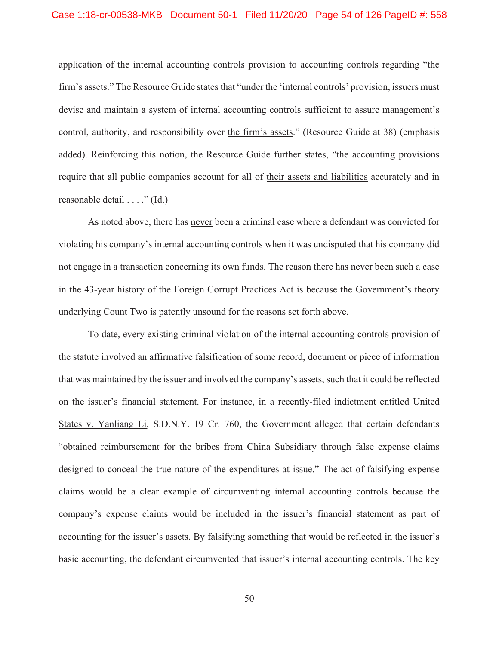application of the internal accounting controls provision to accounting controls regarding "the firm's assets." The Resource Guide states that "under the 'internal controls' provision, issuers must devise and maintain a system of internal accounting controls sufficient to assure management's control, authority, and responsibility over the firm's assets." (Resource Guide at 38) (emphasis added). Reinforcing this notion, the Resource Guide further states, "the accounting provisions require that all public companies account for all of their assets and liabilities accurately and in reasonable detail . . . ." (Id.)

As noted above, there has never been a criminal case where a defendant was convicted for violating his company's internal accounting controls when it was undisputed that his company did not engage in a transaction concerning its own funds. The reason there has never been such a case in the 43-year history of the Foreign Corrupt Practices Act is because the Government's theory underlying Count Two is patently unsound for the reasons set forth above.

To date, every existing criminal violation of the internal accounting controls provision of the statute involved an affirmative falsification of some record, document or piece of information that was maintained by the issuer and involved the company's assets, such that it could be reflected on the issuer's financial statement. For instance, in a recently-filed indictment entitled United States v. Yanliang Li, S.D.N.Y. 19 Cr. 760, the Government alleged that certain defendants "obtained reimbursement for the bribes from China Subsidiary through false expense claims designed to conceal the true nature of the expenditures at issue." The act of falsifying expense claims would be a clear example of circumventing internal accounting controls because the company's expense claims would be included in the issuer's financial statement as part of accounting for the issuer's assets. By falsifying something that would be reflected in the issuer's basic accounting, the defendant circumvented that issuer's internal accounting controls. The key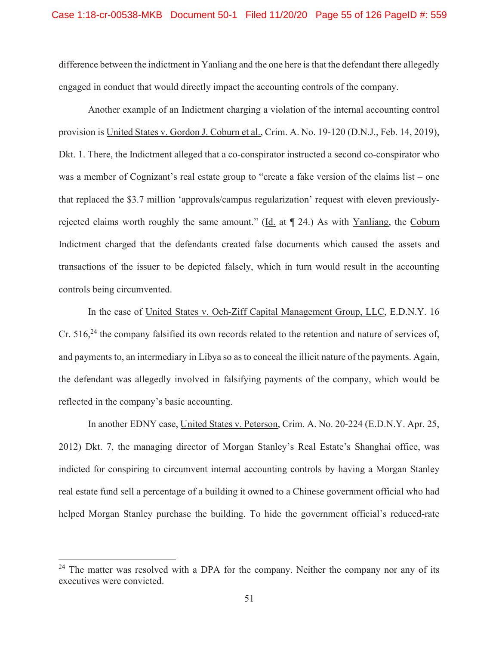difference between the indictment in Yanliang and the one here is that the defendant there allegedly engaged in conduct that would directly impact the accounting controls of the company.

Another example of an Indictment charging a violation of the internal accounting control provision is United States v. Gordon J. Coburn et al., Crim. A. No. 19-120 (D.N.J., Feb. 14, 2019), Dkt. 1. There, the Indictment alleged that a co-conspirator instructed a second co-conspirator who was a member of Cognizant's real estate group to "create a fake version of the claims list – one that replaced the \$3.7 million 'approvals/campus regularization' request with eleven previouslyrejected claims worth roughly the same amount." (Id. at ¶ 24.) As with Yanliang, the Coburn Indictment charged that the defendants created false documents which caused the assets and transactions of the issuer to be depicted falsely, which in turn would result in the accounting controls being circumvented.

In the case of United States v. Och-Ziff Capital Management Group, LLC, E.D.N.Y. 16 Cr.  $516<sup>24</sup>$  the company falsified its own records related to the retention and nature of services of, and payments to, an intermediary in Libya so as to conceal the illicit nature of the payments. Again, the defendant was allegedly involved in falsifying payments of the company, which would be reflected in the company's basic accounting.

In another EDNY case, United States v. Peterson, Crim. A. No. 20-224 (E.D.N.Y. Apr. 25, 2012) Dkt. 7, the managing director of Morgan Stanley's Real Estate's Shanghai office, was indicted for conspiring to circumvent internal accounting controls by having a Morgan Stanley real estate fund sell a percentage of a building it owned to a Chinese government official who had helped Morgan Stanley purchase the building. To hide the government official's reduced-rate

<sup>&</sup>lt;sup>24</sup> The matter was resolved with a DPA for the company. Neither the company nor any of its executives were convicted.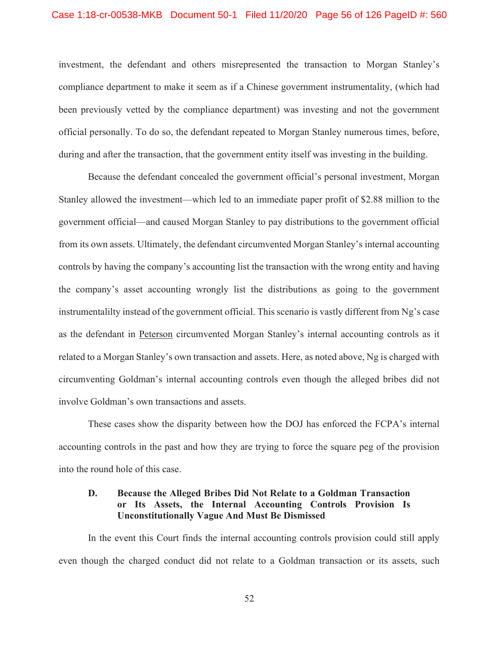investment, the defendant and others misrepresented the transaction to Morgan Stanley's compliance department to make it seem as if a Chinese government instrumentality, (which had been previously vetted by the compliance department) was investing and not the government official personally. To do so, the defendant repeated to Morgan Stanley numerous times, before, during and after the transaction, that the government entity itself was investing in the building.

Because the defendant concealed the government official's personal investment, Morgan Stanley allowed the investment—which led to an immediate paper profit of \$2.88 million to the government official—and caused Morgan Stanley to pay distributions to the government official from its own assets. Ultimately, the defendant circumvented Morgan Stanley's internal accounting controls by having the company's accounting list the transaction with the wrong entity and having the company's asset accounting wrongly list the distributions as going to the government instrumentalilty instead of the government official. This scenario is vastly different from Ng's case as the defendant in Peterson circumvented Morgan Stanley's internal accounting controls as it related to a Morgan Stanley's own transaction and assets. Here, as noted above, Ng is charged with circumventing Goldman's internal accounting controls even though the alleged bribes did not involve Goldman's own transactions and assets.

These cases show the disparity between how the DOJ has enforced the FCPA's internal accounting controls in the past and how they are trying to force the square peg of the provision into the round hole of this case.

### D. Because the Alleged Bribes Did Not Relate to a Goldman Transaction or Its Assets, the Internal Accounting Controls Provision Is Unconstitutionally Vague And Must Be Dismissed

 In the event this Court finds the internal accounting controls provision could still apply even though the charged conduct did not relate to a Goldman transaction or its assets, such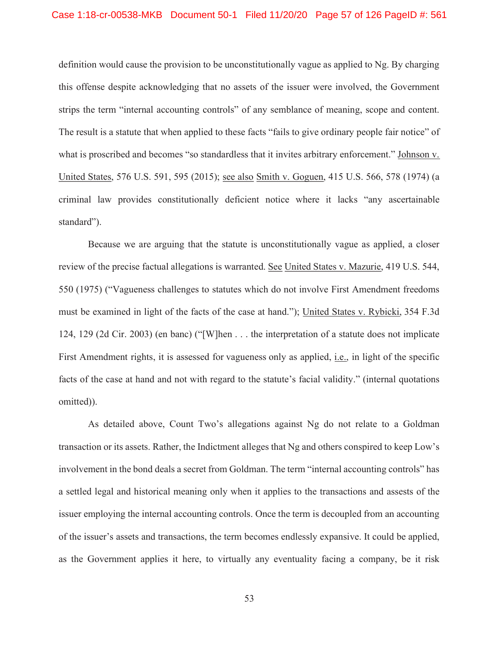definition would cause the provision to be unconstitutionally vague as applied to Ng. By charging this offense despite acknowledging that no assets of the issuer were involved, the Government strips the term "internal accounting controls" of any semblance of meaning, scope and content. The result is a statute that when applied to these facts "fails to give ordinary people fair notice" of what is proscribed and becomes "so standardless that it invites arbitrary enforcement." Johnson v. United States, 576 U.S. 591, 595 (2015); see also Smith v. Goguen, 415 U.S. 566, 578 (1974) (a criminal law provides constitutionally deficient notice where it lacks "any ascertainable standard").

 Because we are arguing that the statute is unconstitutionally vague as applied, a closer review of the precise factual allegations is warranted. See United States v. Mazurie, 419 U.S. 544, 550 (1975) ("Vagueness challenges to statutes which do not involve First Amendment freedoms must be examined in light of the facts of the case at hand."); United States v. Rybicki, 354 F.3d 124, 129 (2d Cir. 2003) (en banc) ("[W]hen . . . the interpretation of a statute does not implicate First Amendment rights, it is assessed for vagueness only as applied, i.e., in light of the specific facts of the case at hand and not with regard to the statute's facial validity." (internal quotations omitted)).

As detailed above, Count Two's allegations against Ng do not relate to a Goldman transaction or its assets. Rather, the Indictment alleges that Ng and others conspired to keep Low's involvement in the bond deals a secret from Goldman. The term "internal accounting controls" has a settled legal and historical meaning only when it applies to the transactions and assests of the issuer employing the internal accounting controls. Once the term is decoupled from an accounting of the issuer's assets and transactions, the term becomes endlessly expansive. It could be applied, as the Government applies it here, to virtually any eventuality facing a company, be it risk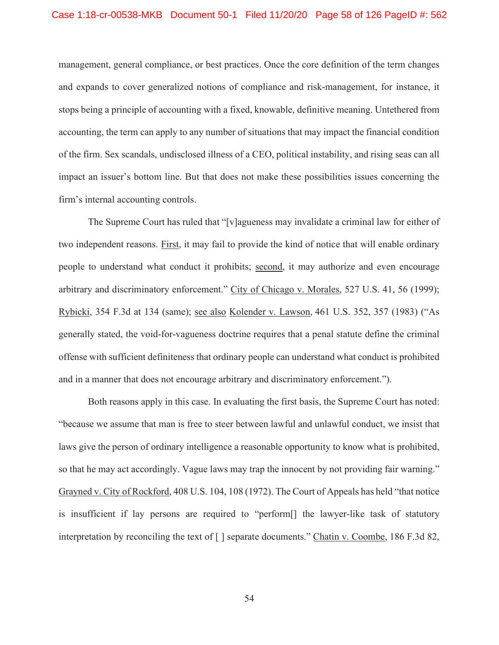management, general compliance, or best practices. Once the core definition of the term changes and expands to cover generalized notions of compliance and risk-management, for instance, it stops being a principle of accounting with a fixed, knowable, definitive meaning. Untethered from accounting, the term can apply to any number of situations that may impact the financial condition of the firm. Sex scandals, undisclosed illness of a CEO, political instability, and rising seas can all impact an issuer's bottom line. But that does not make these possibilities issues concerning the firm's internal accounting controls.

The Supreme Court has ruled that "[v]agueness may invalidate a criminal law for either of two independent reasons. First, it may fail to provide the kind of notice that will enable ordinary people to understand what conduct it prohibits; second, it may authorize and even encourage arbitrary and discriminatory enforcement." City of Chicago v. Morales, 527 U.S. 41, 56 (1999); Rybicki, 354 F.3d at 134 (same); see also Kolender v. Lawson, 461 U.S. 352, 357 (1983) ("As generally stated, the void-for-vagueness doctrine requires that a penal statute define the criminal offense with sufficient definiteness that ordinary people can understand what conduct is prohibited and in a manner that does not encourage arbitrary and discriminatory enforcement.").

Both reasons apply in this case. In evaluating the first basis, the Supreme Court has noted: "because we assume that man is free to steer between lawful and unlawful conduct, we insist that laws give the person of ordinary intelligence a reasonable opportunity to know what is prohibited, so that he may act accordingly. Vague laws may trap the innocent by not providing fair warning." Grayned v. City of Rockford, 408 U.S. 104, 108 (1972). The Court of Appeals has held "that notice is insufficient if lay persons are required to "perform[] the lawyer-like task of statutory interpretation by reconciling the text of  $\lceil \cdot \rceil$  separate documents." Chatin v. Coombe, 186 F.3d 82,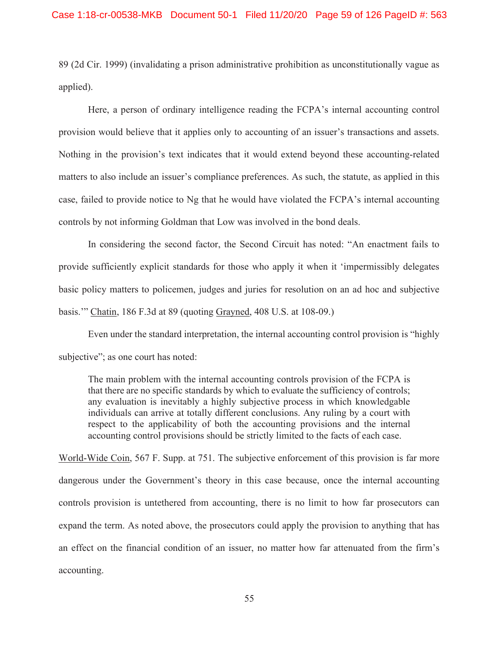89 (2d Cir. 1999) (invalidating a prison administrative prohibition as unconstitutionally vague as applied).

Here, a person of ordinary intelligence reading the FCPA's internal accounting control provision would believe that it applies only to accounting of an issuer's transactions and assets. Nothing in the provision's text indicates that it would extend beyond these accounting-related matters to also include an issuer's compliance preferences. As such, the statute, as applied in this case, failed to provide notice to Ng that he would have violated the FCPA's internal accounting controls by not informing Goldman that Low was involved in the bond deals.

In considering the second factor, the Second Circuit has noted: "An enactment fails to provide sufficiently explicit standards for those who apply it when it 'impermissibly delegates basic policy matters to policemen, judges and juries for resolution on an ad hoc and subjective basis.'" Chatin, 186 F.3d at 89 (quoting Grayned, 408 U.S. at 108-09.)

Even under the standard interpretation, the internal accounting control provision is "highly subjective"; as one court has noted:

The main problem with the internal accounting controls provision of the FCPA is that there are no specific standards by which to evaluate the sufficiency of controls; any evaluation is inevitably a highly subjective process in which knowledgable individuals can arrive at totally different conclusions. Any ruling by a court with respect to the applicability of both the accounting provisions and the internal accounting control provisions should be strictly limited to the facts of each case.

World-Wide Coin, 567 F. Supp. at 751. The subjective enforcement of this provision is far more dangerous under the Government's theory in this case because, once the internal accounting controls provision is untethered from accounting, there is no limit to how far prosecutors can expand the term. As noted above, the prosecutors could apply the provision to anything that has an effect on the financial condition of an issuer, no matter how far attenuated from the firm's accounting.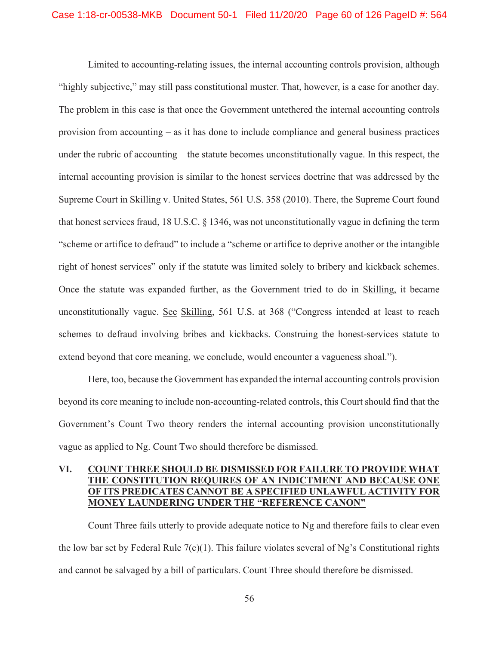Limited to accounting-relating issues, the internal accounting controls provision, although "highly subjective," may still pass constitutional muster. That, however, is a case for another day. The problem in this case is that once the Government untethered the internal accounting controls provision from accounting – as it has done to include compliance and general business practices under the rubric of accounting – the statute becomes unconstitutionally vague. In this respect, the internal accounting provision is similar to the honest services doctrine that was addressed by the Supreme Court in Skilling v. United States, 561 U.S. 358 (2010). There, the Supreme Court found that honest services fraud, 18 U.S.C. § 1346, was not unconstitutionally vague in defining the term "scheme or artifice to defraud" to include a "scheme or artifice to deprive another or the intangible right of honest services" only if the statute was limited solely to bribery and kickback schemes. Once the statute was expanded further, as the Government tried to do in Skilling, it became unconstitutionally vague. See Skilling, 561 U.S. at 368 ("Congress intended at least to reach schemes to defraud involving bribes and kickbacks. Construing the honest-services statute to extend beyond that core meaning, we conclude, would encounter a vagueness shoal.").

Here, too, because the Government has expanded the internal accounting controls provision beyond its core meaning to include non-accounting-related controls, this Court should find that the Government's Count Two theory renders the internal accounting provision unconstitutionally vague as applied to Ng. Count Two should therefore be dismissed.

# VI. COUNT THREE SHOULD BE DISMISSED FOR FAILURE TO PROVIDE WHAT THE CONSTITUTION REQUIRES OF AN INDICTMENT AND BECAUSE ONE OF ITS PREDICATES CANNOT BE A SPECIFIED UNLAWFUL ACTIVITY FOR MONEY LAUNDERING UNDER THE "REFERENCE CANON"

Count Three fails utterly to provide adequate notice to Ng and therefore fails to clear even the low bar set by Federal Rule 7(c)(1). This failure violates several of Ng's Constitutional rights and cannot be salvaged by a bill of particulars. Count Three should therefore be dismissed.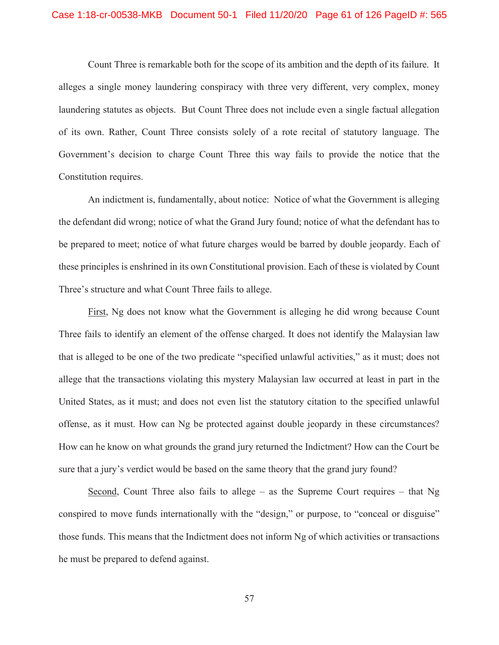Count Three is remarkable both for the scope of its ambition and the depth of its failure. It alleges a single money laundering conspiracy with three very different, very complex, money laundering statutes as objects. But Count Three does not include even a single factual allegation of its own. Rather, Count Three consists solely of a rote recital of statutory language. The Government's decision to charge Count Three this way fails to provide the notice that the Constitution requires.

An indictment is, fundamentally, about notice: Notice of what the Government is alleging the defendant did wrong; notice of what the Grand Jury found; notice of what the defendant has to be prepared to meet; notice of what future charges would be barred by double jeopardy. Each of these principles is enshrined in its own Constitutional provision. Each of these is violated by Count Three's structure and what Count Three fails to allege.

First, Ng does not know what the Government is alleging he did wrong because Count Three fails to identify an element of the offense charged. It does not identify the Malaysian law that is alleged to be one of the two predicate "specified unlawful activities," as it must; does not allege that the transactions violating this mystery Malaysian law occurred at least in part in the United States, as it must; and does not even list the statutory citation to the specified unlawful offense, as it must. How can Ng be protected against double jeopardy in these circumstances? How can he know on what grounds the grand jury returned the Indictment? How can the Court be sure that a jury's verdict would be based on the same theory that the grand jury found?

Second, Count Three also fails to allege – as the Supreme Court requires – that Ng conspired to move funds internationally with the "design," or purpose, to "conceal or disguise" those funds. This means that the Indictment does not inform Ng of which activities or transactions he must be prepared to defend against.

57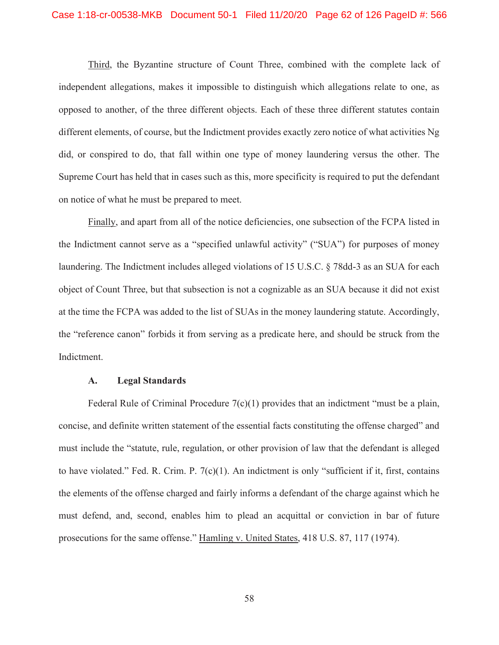Third, the Byzantine structure of Count Three, combined with the complete lack of independent allegations, makes it impossible to distinguish which allegations relate to one, as opposed to another, of the three different objects. Each of these three different statutes contain different elements, of course, but the Indictment provides exactly zero notice of what activities Ng did, or conspired to do, that fall within one type of money laundering versus the other. The Supreme Court has held that in cases such as this, more specificity is required to put the defendant on notice of what he must be prepared to meet.

Finally, and apart from all of the notice deficiencies, one subsection of the FCPA listed in the Indictment cannot serve as a "specified unlawful activity" ("SUA") for purposes of money laundering. The Indictment includes alleged violations of 15 U.S.C. § 78dd-3 as an SUA for each object of Count Three, but that subsection is not a cognizable as an SUA because it did not exist at the time the FCPA was added to the list of SUAs in the money laundering statute. Accordingly, the "reference canon" forbids it from serving as a predicate here, and should be struck from the Indictment.

### A. Legal Standards

Federal Rule of Criminal Procedure  $7(c)(1)$  provides that an indictment "must be a plain, concise, and definite written statement of the essential facts constituting the offense charged" and must include the "statute, rule, regulation, or other provision of law that the defendant is alleged to have violated." Fed. R. Crim. P. 7(c)(1). An indictment is only "sufficient if it, first, contains the elements of the offense charged and fairly informs a defendant of the charge against which he must defend, and, second, enables him to plead an acquittal or conviction in bar of future prosecutions for the same offense." Hamling v. United States, 418 U.S. 87, 117 (1974).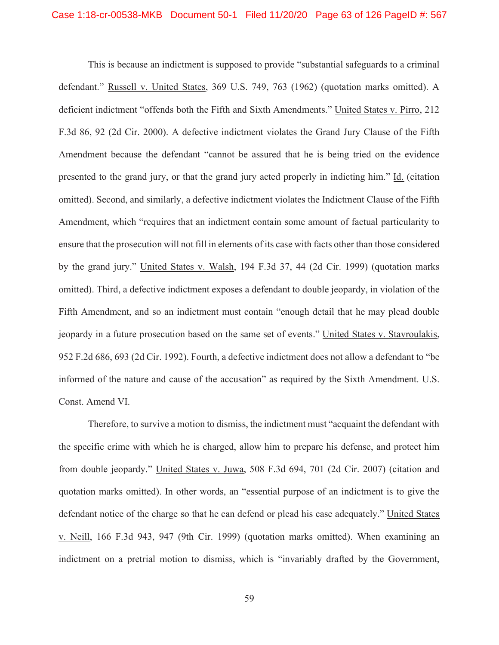This is because an indictment is supposed to provide "substantial safeguards to a criminal defendant." Russell v. United States, 369 U.S. 749, 763 (1962) (quotation marks omitted). A deficient indictment "offends both the Fifth and Sixth Amendments." United States v. Pirro, 212 F.3d 86, 92 (2d Cir. 2000). A defective indictment violates the Grand Jury Clause of the Fifth Amendment because the defendant "cannot be assured that he is being tried on the evidence presented to the grand jury, or that the grand jury acted properly in indicting him." Id. (citation omitted). Second, and similarly, a defective indictment violates the Indictment Clause of the Fifth Amendment, which "requires that an indictment contain some amount of factual particularity to ensure that the prosecution will not fill in elements of its case with facts other than those considered by the grand jury." United States v. Walsh, 194 F.3d 37, 44 (2d Cir. 1999) (quotation marks omitted). Third, a defective indictment exposes a defendant to double jeopardy, in violation of the Fifth Amendment, and so an indictment must contain "enough detail that he may plead double jeopardy in a future prosecution based on the same set of events." United States v. Stavroulakis, 952 F.2d 686, 693 (2d Cir. 1992). Fourth, a defective indictment does not allow a defendant to "be informed of the nature and cause of the accusation" as required by the Sixth Amendment. U.S. Const. Amend VI.

Therefore, to survive a motion to dismiss, the indictment must "acquaint the defendant with the specific crime with which he is charged, allow him to prepare his defense, and protect him from double jeopardy." United States v. Juwa, 508 F.3d 694, 701 (2d Cir. 2007) (citation and quotation marks omitted). In other words, an "essential purpose of an indictment is to give the defendant notice of the charge so that he can defend or plead his case adequately." United States v. Neill, 166 F.3d 943, 947 (9th Cir. 1999) (quotation marks omitted). When examining an indictment on a pretrial motion to dismiss, which is "invariably drafted by the Government,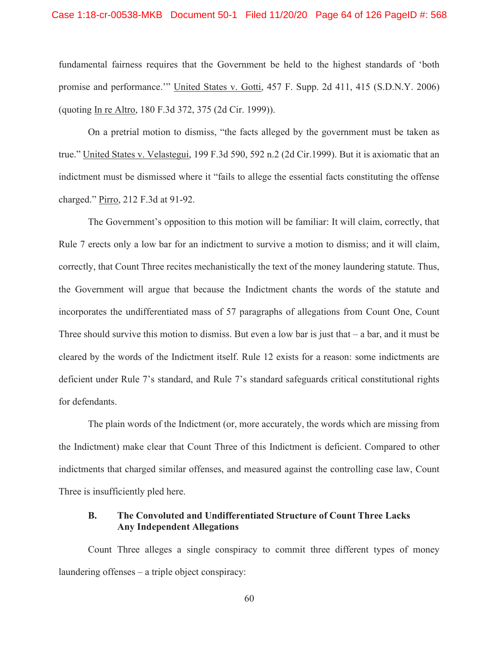#### Case 1:18-cr-00538-MKB Document 50-1 Filed 11/20/20 Page 64 of 126 PageID #: 568

fundamental fairness requires that the Government be held to the highest standards of 'both promise and performance.'" United States v. Gotti, 457 F. Supp. 2d 411, 415 (S.D.N.Y. 2006) (quoting In re Altro, 180 F.3d 372, 375 (2d Cir. 1999)).

On a pretrial motion to dismiss, "the facts alleged by the government must be taken as true." United States v. Velastegui, 199 F.3d 590, 592 n.2 (2d Cir.1999). But it is axiomatic that an indictment must be dismissed where it "fails to allege the essential facts constituting the offense charged." Pirro, 212 F.3d at 91-92.

The Government's opposition to this motion will be familiar: It will claim, correctly, that Rule 7 erects only a low bar for an indictment to survive a motion to dismiss; and it will claim, correctly, that Count Three recites mechanistically the text of the money laundering statute. Thus, the Government will argue that because the Indictment chants the words of the statute and incorporates the undifferentiated mass of 57 paragraphs of allegations from Count One, Count Three should survive this motion to dismiss. But even a low bar is just that  $-$  a bar, and it must be cleared by the words of the Indictment itself. Rule 12 exists for a reason: some indictments are deficient under Rule 7's standard, and Rule 7's standard safeguards critical constitutional rights for defendants.

The plain words of the Indictment (or, more accurately, the words which are missing from the Indictment) make clear that Count Three of this Indictment is deficient. Compared to other indictments that charged similar offenses, and measured against the controlling case law, Count Three is insufficiently pled here.

# B. The Convoluted and Undifferentiated Structure of Count Three Lacks Any Independent Allegations

Count Three alleges a single conspiracy to commit three different types of money laundering offenses – a triple object conspiracy: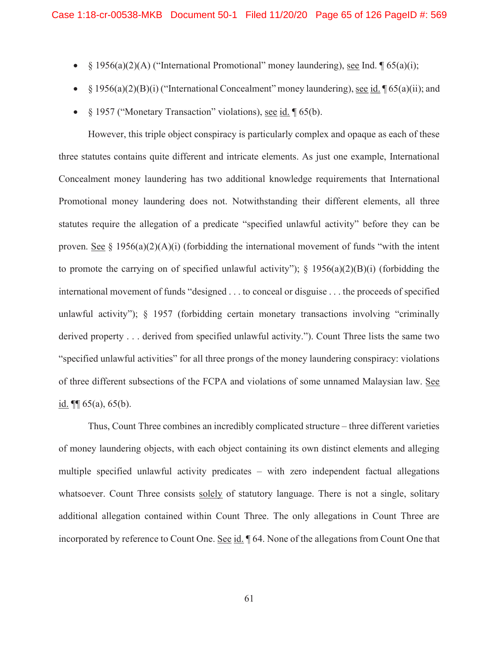- $§ 1956(a)(2)(A)$  ("International Promotional" money laundering), see Ind.  $§ 65(a)(i);$
- $\bullet$  § 1956(a)(2)(B)(i) ("International Concealment" money laundering), see id.  $\text{\textdegree}$  65(a)(ii); and
- $§ 1957$  ("Monetary Transaction" violations), see id.  $§ 65(b)$ .

However, this triple object conspiracy is particularly complex and opaque as each of these three statutes contains quite different and intricate elements. As just one example, International Concealment money laundering has two additional knowledge requirements that International Promotional money laundering does not. Notwithstanding their different elements, all three statutes require the allegation of a predicate "specified unlawful activity" before they can be proven. See  $\S$  1956(a)(2)(A)(i) (forbidding the international movement of funds "with the intent to promote the carrying on of specified unlawful activity");  $\S$  1956(a)(2)(B)(i) (forbidding the international movement of funds "designed . . . to conceal or disguise . . . the proceeds of specified unlawful activity"); § 1957 (forbidding certain monetary transactions involving "criminally derived property . . . derived from specified unlawful activity."). Count Three lists the same two "specified unlawful activities" for all three prongs of the money laundering conspiracy: violations of three different subsections of the FCPA and violations of some unnamed Malaysian law. See id.  $\P\P$  65(a), 65(b).

Thus, Count Three combines an incredibly complicated structure – three different varieties of money laundering objects, with each object containing its own distinct elements and alleging multiple specified unlawful activity predicates – with zero independent factual allegations whatsoever. Count Three consists solely of statutory language. There is not a single, solitary additional allegation contained within Count Three. The only allegations in Count Three are incorporated by reference to Count One. See id. ¶ 64. None of the allegations from Count One that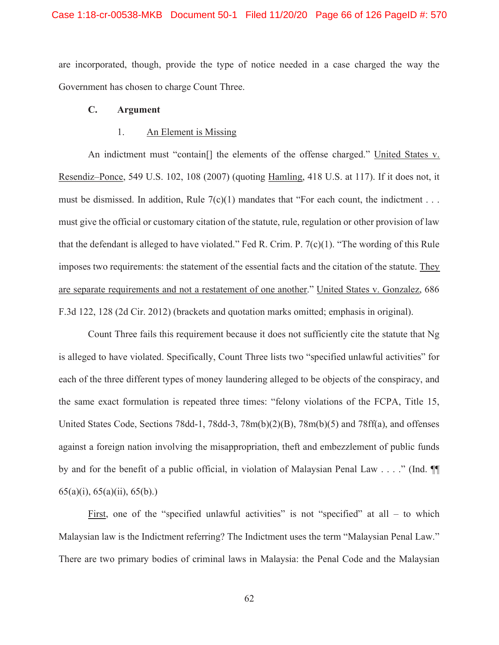are incorporated, though, provide the type of notice needed in a case charged the way the Government has chosen to charge Count Three.

### C. Argument

### 1. An Element is Missing

An indictment must "contain[] the elements of the offense charged." United States v. Resendiz–Ponce, 549 U.S. 102, 108 (2007) (quoting Hamling, 418 U.S. at 117). If it does not, it must be dismissed. In addition, Rule  $7(c)(1)$  mandates that "For each count, the indictment . . . must give the official or customary citation of the statute, rule, regulation or other provision of law that the defendant is alleged to have violated." Fed R. Crim. P. 7(c)(1). "The wording of this Rule imposes two requirements: the statement of the essential facts and the citation of the statute. They are separate requirements and not a restatement of one another." United States v. Gonzalez, 686 F.3d 122, 128 (2d Cir. 2012) (brackets and quotation marks omitted; emphasis in original).

Count Three fails this requirement because it does not sufficiently cite the statute that Ng is alleged to have violated. Specifically, Count Three lists two "specified unlawful activities" for each of the three different types of money laundering alleged to be objects of the conspiracy, and the same exact formulation is repeated three times: "felony violations of the FCPA, Title 15, United States Code, Sections 78dd-1, 78dd-3,  $78m(b)(2)(B)$ ,  $78m(b)(5)$  and  $78ff(a)$ , and offenses against a foreign nation involving the misappropriation, theft and embezzlement of public funds by and for the benefit of a public official, in violation of Malaysian Penal Law . . . ." (Ind. ¶¶  $65(a)(i)$ ,  $65(a)(ii)$ ,  $65(b)$ .

First, one of the "specified unlawful activities" is not "specified" at all  $-$  to which Malaysian law is the Indictment referring? The Indictment uses the term "Malaysian Penal Law." There are two primary bodies of criminal laws in Malaysia: the Penal Code and the Malaysian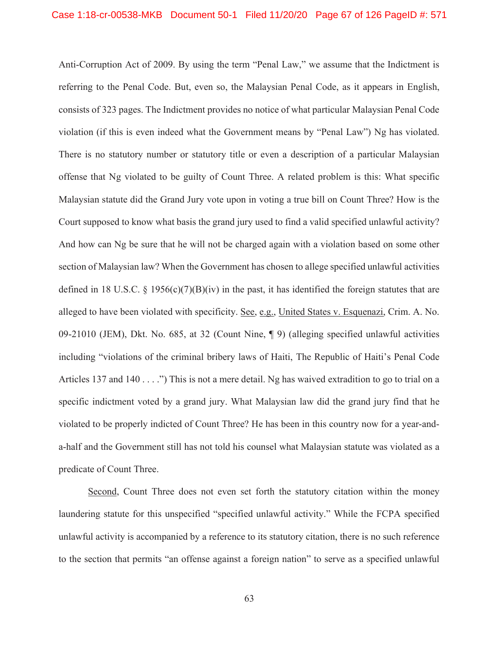Anti-Corruption Act of 2009. By using the term "Penal Law," we assume that the Indictment is referring to the Penal Code. But, even so, the Malaysian Penal Code, as it appears in English, consists of 323 pages. The Indictment provides no notice of what particular Malaysian Penal Code violation (if this is even indeed what the Government means by "Penal Law") Ng has violated. There is no statutory number or statutory title or even a description of a particular Malaysian offense that Ng violated to be guilty of Count Three. A related problem is this: What specific Malaysian statute did the Grand Jury vote upon in voting a true bill on Count Three? How is the Court supposed to know what basis the grand jury used to find a valid specified unlawful activity? And how can Ng be sure that he will not be charged again with a violation based on some other section of Malaysian law? When the Government has chosen to allege specified unlawful activities defined in 18 U.S.C.  $\S$  1956(c)(7)(B)(iv) in the past, it has identified the foreign statutes that are alleged to have been violated with specificity. See, e.g., United States v. Esquenazi, Crim. A. No. 09-21010 (JEM), Dkt. No. 685, at 32 (Count Nine, ¶ 9) (alleging specified unlawful activities including "violations of the criminal bribery laws of Haiti, The Republic of Haiti's Penal Code Articles 137 and 140 . . . .") This is not a mere detail. Ng has waived extradition to go to trial on a specific indictment voted by a grand jury. What Malaysian law did the grand jury find that he violated to be properly indicted of Count Three? He has been in this country now for a year-anda-half and the Government still has not told his counsel what Malaysian statute was violated as a predicate of Count Three.

Second, Count Three does not even set forth the statutory citation within the money laundering statute for this unspecified "specified unlawful activity." While the FCPA specified unlawful activity is accompanied by a reference to its statutory citation, there is no such reference to the section that permits "an offense against a foreign nation" to serve as a specified unlawful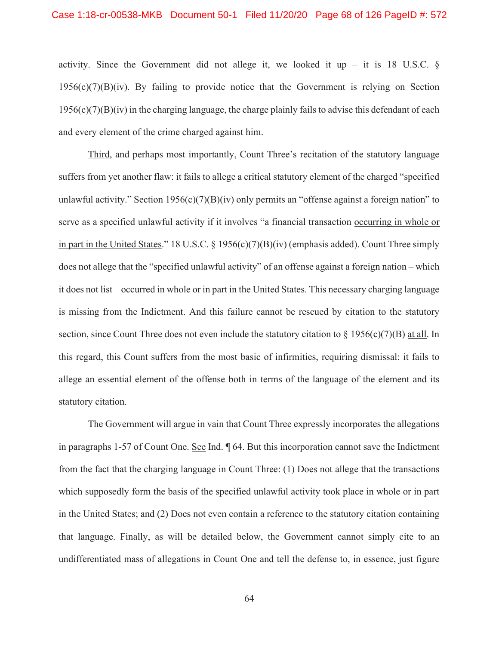activity. Since the Government did not allege it, we looked it up – it is 18 U.S.C.  $\delta$  $1956(c)(7)(B)(iv)$ . By failing to provide notice that the Government is relying on Section  $1956(c)(7)(B)(iv)$  in the charging language, the charge plainly fails to advise this defendant of each and every element of the crime charged against him.

Third, and perhaps most importantly, Count Three's recitation of the statutory language suffers from yet another flaw: it fails to allege a critical statutory element of the charged "specified unlawful activity." Section  $1956(c)(7)(B)(iv)$  only permits an "offense against a foreign nation" to serve as a specified unlawful activity if it involves "a financial transaction occurring in whole or in part in the United States." 18 U.S.C. § 1956(c)(7)(B)(iv) (emphasis added). Count Three simply does not allege that the "specified unlawful activity" of an offense against a foreign nation – which it does not list – occurred in whole or in part in the United States. This necessary charging language is missing from the Indictment. And this failure cannot be rescued by citation to the statutory section, since Count Three does not even include the statutory citation to § 1956(c)(7)(B) at all. In this regard, this Count suffers from the most basic of infirmities, requiring dismissal: it fails to allege an essential element of the offense both in terms of the language of the element and its statutory citation.

The Government will argue in vain that Count Three expressly incorporates the allegations in paragraphs 1-57 of Count One. See Ind. ¶ 64. But this incorporation cannot save the Indictment from the fact that the charging language in Count Three: (1) Does not allege that the transactions which supposedly form the basis of the specified unlawful activity took place in whole or in part in the United States; and (2) Does not even contain a reference to the statutory citation containing that language. Finally, as will be detailed below, the Government cannot simply cite to an undifferentiated mass of allegations in Count One and tell the defense to, in essence, just figure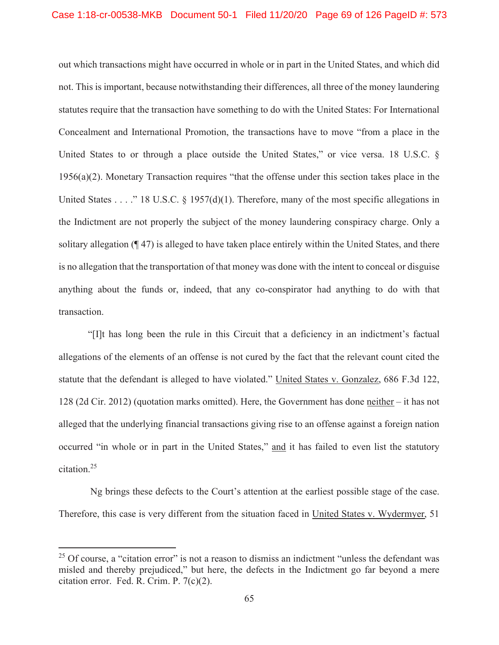out which transactions might have occurred in whole or in part in the United States, and which did not. This is important, because notwithstanding their differences, all three of the money laundering statutes require that the transaction have something to do with the United States: For International Concealment and International Promotion, the transactions have to move "from a place in the United States to or through a place outside the United States," or vice versa. 18 U.S.C. § 1956(a)(2). Monetary Transaction requires "that the offense under this section takes place in the United States . . . ." 18 U.S.C. § 1957(d)(1). Therefore, many of the most specific allegations in the Indictment are not properly the subject of the money laundering conspiracy charge. Only a solitary allegation (¶ 47) is alleged to have taken place entirely within the United States, and there is no allegation that the transportation of that money was done with the intent to conceal or disguise anything about the funds or, indeed, that any co-conspirator had anything to do with that transaction.

"[I]t has long been the rule in this Circuit that a deficiency in an indictment's factual allegations of the elements of an offense is not cured by the fact that the relevant count cited the statute that the defendant is alleged to have violated." United States v. Gonzalez, 686 F.3d 122, 128 (2d Cir. 2012) (quotation marks omitted). Here, the Government has done neither – it has not alleged that the underlying financial transactions giving rise to an offense against a foreign nation occurred "in whole or in part in the United States," and it has failed to even list the statutory citation.25

 Ng brings these defects to the Court's attention at the earliest possible stage of the case. Therefore, this case is very different from the situation faced in United States v. Wydermyer, 51

 $25$  Of course, a "citation error" is not a reason to dismiss an indictment "unless the defendant was misled and thereby prejudiced," but here, the defects in the Indictment go far beyond a mere citation error. Fed. R. Crim. P. 7(c)(2).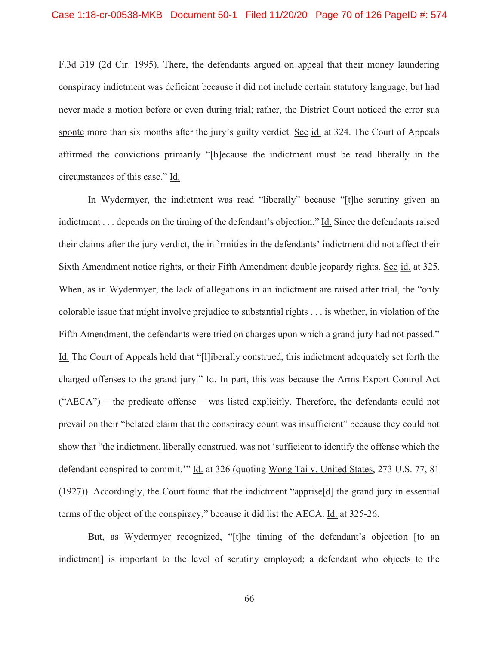F.3d 319 (2d Cir. 1995). There, the defendants argued on appeal that their money laundering conspiracy indictment was deficient because it did not include certain statutory language, but had never made a motion before or even during trial; rather, the District Court noticed the error sua sponte more than six months after the jury's guilty verdict. See id. at 324. The Court of Appeals affirmed the convictions primarily "[b]ecause the indictment must be read liberally in the circumstances of this case." Id.

In Wydermyer, the indictment was read "liberally" because "[t]he scrutiny given an indictment . . . depends on the timing of the defendant's objection." Id. Since the defendants raised their claims after the jury verdict, the infirmities in the defendants' indictment did not affect their Sixth Amendment notice rights, or their Fifth Amendment double jeopardy rights. See id. at 325. When, as in Wydermyer, the lack of allegations in an indictment are raised after trial, the "only colorable issue that might involve prejudice to substantial rights . . . is whether, in violation of the Fifth Amendment, the defendants were tried on charges upon which a grand jury had not passed." Id. The Court of Appeals held that "[l]iberally construed, this indictment adequately set forth the charged offenses to the grand jury." Id. In part, this was because the Arms Export Control Act ("AECA") – the predicate offense – was listed explicitly. Therefore, the defendants could not prevail on their "belated claim that the conspiracy count was insufficient" because they could not show that "the indictment, liberally construed, was not 'sufficient to identify the offense which the defendant conspired to commit.'" Id. at 326 (quoting Wong Tai v. United States, 273 U.S. 77, 81 (1927)). Accordingly, the Court found that the indictment "apprise[d] the grand jury in essential terms of the object of the conspiracy," because it did list the AECA. Id. at 325-26.

But, as Wydermyer recognized, "[t]he timing of the defendant's objection [to an indictment] is important to the level of scrutiny employed; a defendant who objects to the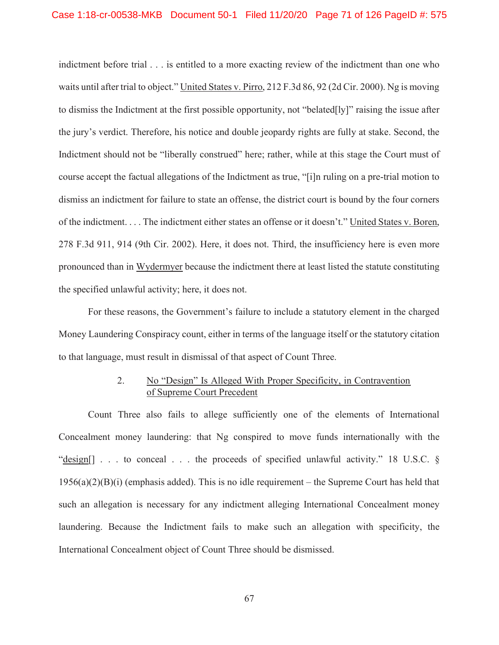indictment before trial . . . is entitled to a more exacting review of the indictment than one who waits until after trial to object." United States v. Pirro, 212 F.3d 86, 92 (2d Cir. 2000). Ng is moving to dismiss the Indictment at the first possible opportunity, not "belated[ly]" raising the issue after the jury's verdict. Therefore, his notice and double jeopardy rights are fully at stake. Second, the Indictment should not be "liberally construed" here; rather, while at this stage the Court must of course accept the factual allegations of the Indictment as true, "[i]n ruling on a pre-trial motion to dismiss an indictment for failure to state an offense, the district court is bound by the four corners of the indictment. . . . The indictment either states an offense or it doesn't." United States v. Boren, 278 F.3d 911, 914 (9th Cir. 2002). Here, it does not. Third, the insufficiency here is even more pronounced than in Wydermyer because the indictment there at least listed the statute constituting the specified unlawful activity; here, it does not.

For these reasons, the Government's failure to include a statutory element in the charged Money Laundering Conspiracy count, either in terms of the language itself or the statutory citation to that language, must result in dismissal of that aspect of Count Three.

### 2. No "Design" Is Alleged With Proper Specificity, in Contravention of Supreme Court Precedent

Count Three also fails to allege sufficiently one of the elements of International Concealment money laundering: that Ng conspired to move funds internationally with the "design[] . . . to conceal . . . the proceeds of specified unlawful activity." 18 U.S.C.  $\S$  $1956(a)(2)(B)(i)$  (emphasis added). This is no idle requirement – the Supreme Court has held that such an allegation is necessary for any indictment alleging International Concealment money laundering. Because the Indictment fails to make such an allegation with specificity, the International Concealment object of Count Three should be dismissed.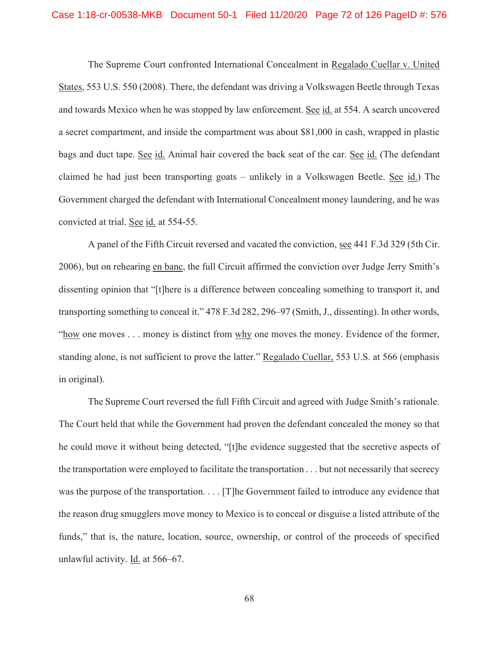The Supreme Court confronted International Concealment in Regalado Cuellar v. United States, 553 U.S. 550 (2008). There, the defendant was driving a Volkswagen Beetle through Texas and towards Mexico when he was stopped by law enforcement. See id. at 554. A search uncovered a secret compartment, and inside the compartment was about \$81,000 in cash, wrapped in plastic bags and duct tape. See id. Animal hair covered the back seat of the car. See id. (The defendant claimed he had just been transporting goats – unlikely in a Volkswagen Beetle. See id.) The Government charged the defendant with International Concealment money laundering, and he was convicted at trial. See id. at 554-55.

A panel of the Fifth Circuit reversed and vacated the conviction, see 441 F.3d 329 (5th Cir. 2006), but on rehearing en banc, the full Circuit affirmed the conviction over Judge Jerry Smith's dissenting opinion that "[t]here is a difference between concealing something to transport it, and transporting something to conceal it." 478 F.3d 282, 296–97 (Smith, J., dissenting). In other words, "how one moves . . . money is distinct from why one moves the money. Evidence of the former, standing alone, is not sufficient to prove the latter." Regalado Cuellar, 553 U.S. at 566 (emphasis in original).

 The Supreme Court reversed the full Fifth Circuit and agreed with Judge Smith's rationale. The Court held that while the Government had proven the defendant concealed the money so that he could move it without being detected, "[t]he evidence suggested that the secretive aspects of the transportation were employed to facilitate the transportation . . . but not necessarily that secrecy was the purpose of the transportation. . . . [T]he Government failed to introduce any evidence that the reason drug smugglers move money to Mexico is to conceal or disguise a listed attribute of the funds," that is, the nature, location, source, ownership, or control of the proceeds of specified unlawful activity. Id. at 566–67.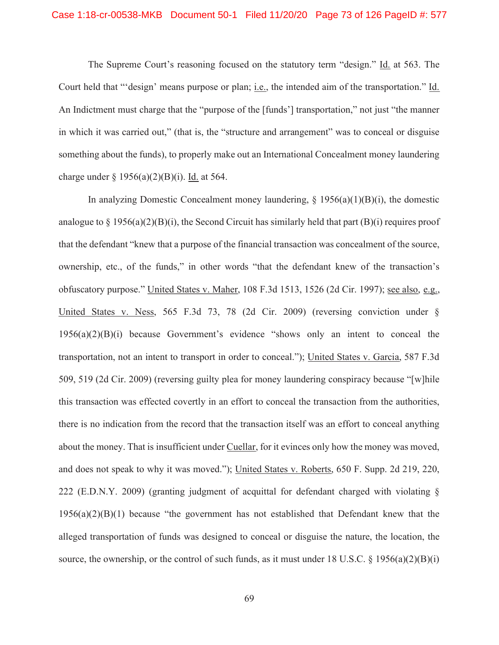The Supreme Court's reasoning focused on the statutory term "design." Id. at 563. The Court held that "'design' means purpose or plan; i.e., the intended aim of the transportation." Id. An Indictment must charge that the "purpose of the [funds'] transportation," not just "the manner in which it was carried out," (that is, the "structure and arrangement" was to conceal or disguise something about the funds), to properly make out an International Concealment money laundering charge under  $\S 1956(a)(2)(B)(i)$ . Id. at 564.

In analyzing Domestic Concealment money laundering,  $\S$  1956(a)(1)(B)(i), the domestic analogue to  $\S 1956(a)(2)(B)(i)$ , the Second Circuit has similarly held that part  $(B)(i)$  requires proof that the defendant "knew that a purpose of the financial transaction was concealment of the source, ownership, etc., of the funds," in other words "that the defendant knew of the transaction's obfuscatory purpose." United States v. Maher, 108 F.3d 1513, 1526 (2d Cir. 1997); see also, e.g., United States v. Ness, 565 F.3d 73, 78 (2d Cir. 2009) (reversing conviction under § 1956(a)(2)(B)(i) because Government's evidence "shows only an intent to conceal the transportation, not an intent to transport in order to conceal."); United States v. Garcia, 587 F.3d 509, 519 (2d Cir. 2009) (reversing guilty plea for money laundering conspiracy because "[w]hile this transaction was effected covertly in an effort to conceal the transaction from the authorities, there is no indication from the record that the transaction itself was an effort to conceal anything about the money. That is insufficient under Cuellar, for it evinces only how the money was moved, and does not speak to why it was moved."); United States v. Roberts, 650 F. Supp. 2d 219, 220, 222 (E.D.N.Y. 2009) (granting judgment of acquittal for defendant charged with violating §  $1956(a)(2)(B)(1)$  because "the government has not established that Defendant knew that the alleged transportation of funds was designed to conceal or disguise the nature, the location, the source, the ownership, or the control of such funds, as it must under 18 U.S.C.  $\S$  1956(a)(2)(B)(i)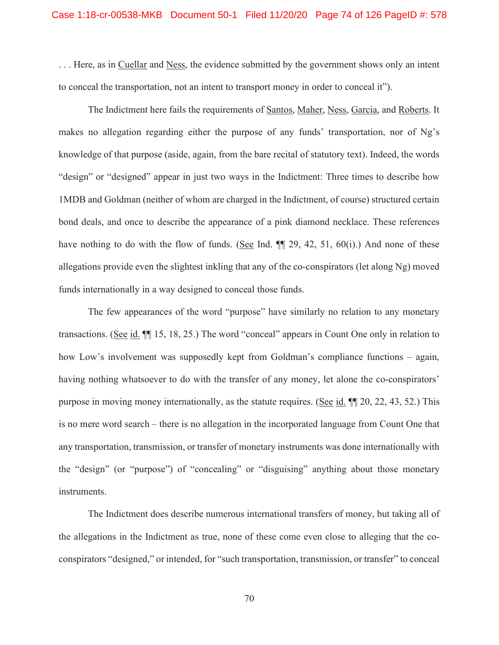. . . Here, as in Cuellar and Ness, the evidence submitted by the government shows only an intent to conceal the transportation, not an intent to transport money in order to conceal it").

The Indictment here fails the requirements of Santos, Maher, Ness, Garcia, and Roberts. It makes no allegation regarding either the purpose of any funds' transportation, nor of Ng's knowledge of that purpose (aside, again, from the bare recital of statutory text). Indeed, the words "design" or "designed" appear in just two ways in the Indictment: Three times to describe how 1MDB and Goldman (neither of whom are charged in the Indictment, of course) structured certain bond deals, and once to describe the appearance of a pink diamond necklace. These references have nothing to do with the flow of funds. (See Ind.  $\P$  29, 42, 51, 60(i).) And none of these allegations provide even the slightest inkling that any of the co-conspirators (let along Ng) moved funds internationally in a way designed to conceal those funds.

The few appearances of the word "purpose" have similarly no relation to any monetary transactions. (See id. ¶¶ 15, 18, 25.) The word "conceal" appears in Count One only in relation to how Low's involvement was supposedly kept from Goldman's compliance functions – again, having nothing whatsoever to do with the transfer of any money, let alone the co-conspirators' purpose in moving money internationally, as the statute requires. (See id. ¶¶ 20, 22, 43, 52.) This is no mere word search – there is no allegation in the incorporated language from Count One that any transportation, transmission, or transfer of monetary instruments was done internationally with the "design" (or "purpose") of "concealing" or "disguising" anything about those monetary instruments.

The Indictment does describe numerous international transfers of money, but taking all of the allegations in the Indictment as true, none of these come even close to alleging that the coconspirators "designed," or intended, for "such transportation, transmission, or transfer" to conceal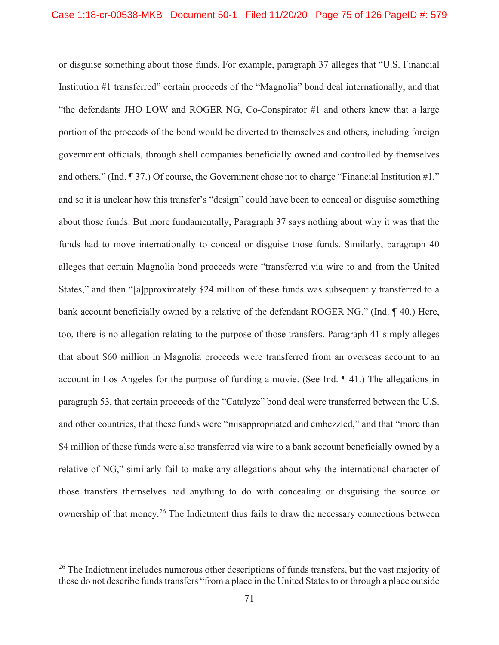or disguise something about those funds. For example, paragraph 37 alleges that "U.S. Financial Institution #1 transferred" certain proceeds of the "Magnolia" bond deal internationally, and that "the defendants JHO LOW and ROGER NG, Co-Conspirator #1 and others knew that a large portion of the proceeds of the bond would be diverted to themselves and others, including foreign government officials, through shell companies beneficially owned and controlled by themselves and others." (Ind. ¶ 37.) Of course, the Government chose not to charge "Financial Institution #1," and so it is unclear how this transfer's "design" could have been to conceal or disguise something about those funds. But more fundamentally, Paragraph 37 says nothing about why it was that the funds had to move internationally to conceal or disguise those funds. Similarly, paragraph 40 alleges that certain Magnolia bond proceeds were "transferred via wire to and from the United States," and then "[a]pproximately \$24 million of these funds was subsequently transferred to a bank account beneficially owned by a relative of the defendant ROGER NG." (Ind. ¶ 40.) Here, too, there is no allegation relating to the purpose of those transfers. Paragraph 41 simply alleges that about \$60 million in Magnolia proceeds were transferred from an overseas account to an account in Los Angeles for the purpose of funding a movie. (See Ind. ¶ 41.) The allegations in paragraph 53, that certain proceeds of the "Catalyze" bond deal were transferred between the U.S. and other countries, that these funds were "misappropriated and embezzled," and that "more than \$4 million of these funds were also transferred via wire to a bank account beneficially owned by a relative of NG," similarly fail to make any allegations about why the international character of those transfers themselves had anything to do with concealing or disguising the source or ownership of that money.<sup>26</sup> The Indictment thus fails to draw the necessary connections between

 $26$  The Indictment includes numerous other descriptions of funds transfers, but the vast majority of these do not describe funds transfers "from a place in the United States to or through a place outside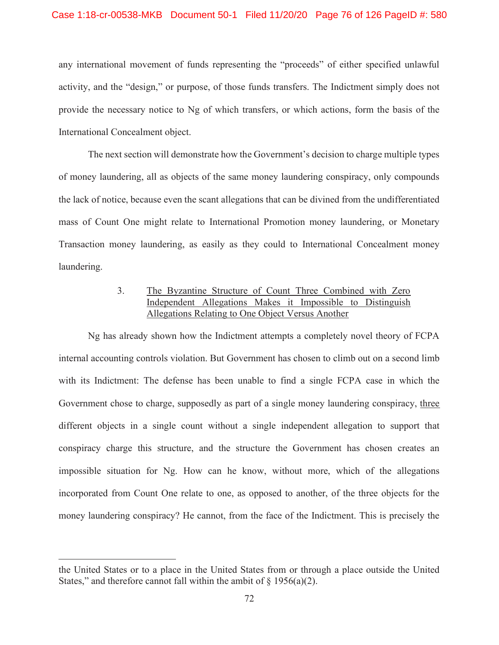#### Case 1:18-cr-00538-MKB Document 50-1 Filed 11/20/20 Page 76 of 126 PageID #: 580

any international movement of funds representing the "proceeds" of either specified unlawful activity, and the "design," or purpose, of those funds transfers. The Indictment simply does not provide the necessary notice to Ng of which transfers, or which actions, form the basis of the International Concealment object.

The next section will demonstrate how the Government's decision to charge multiple types of money laundering, all as objects of the same money laundering conspiracy, only compounds the lack of notice, because even the scant allegations that can be divined from the undifferentiated mass of Count One might relate to International Promotion money laundering, or Monetary Transaction money laundering, as easily as they could to International Concealment money laundering.

# 3. The Byzantine Structure of Count Three Combined with Zero Independent Allegations Makes it Impossible to Distinguish Allegations Relating to One Object Versus Another

Ng has already shown how the Indictment attempts a completely novel theory of FCPA internal accounting controls violation. But Government has chosen to climb out on a second limb with its Indictment: The defense has been unable to find a single FCPA case in which the Government chose to charge, supposedly as part of a single money laundering conspiracy, three different objects in a single count without a single independent allegation to support that conspiracy charge this structure, and the structure the Government has chosen creates an impossible situation for Ng. How can he know, without more, which of the allegations incorporated from Count One relate to one, as opposed to another, of the three objects for the money laundering conspiracy? He cannot, from the face of the Indictment. This is precisely the

the United States or to a place in the United States from or through a place outside the United States," and therefore cannot fall within the ambit of  $\S$  1956(a)(2).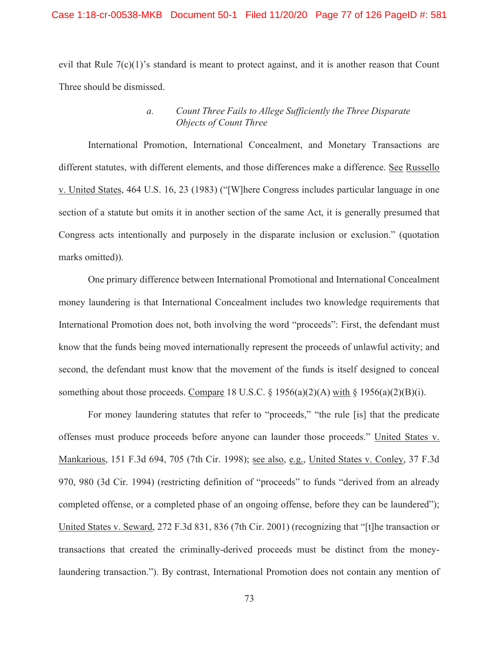evil that Rule  $7(c)(1)$ 's standard is meant to protect against, and it is another reason that Count Three should be dismissed.

### a. Count Three Fails to Allege Sufficiently the Three Disparate Objects of Count Three

 International Promotion, International Concealment, and Monetary Transactions are different statutes, with different elements, and those differences make a difference. See Russello v. United States, 464 U.S. 16, 23 (1983) ("[W]here Congress includes particular language in one section of a statute but omits it in another section of the same Act, it is generally presumed that Congress acts intentionally and purposely in the disparate inclusion or exclusion." (quotation marks omitted)).

One primary difference between International Promotional and International Concealment money laundering is that International Concealment includes two knowledge requirements that International Promotion does not, both involving the word "proceeds": First, the defendant must know that the funds being moved internationally represent the proceeds of unlawful activity; and second, the defendant must know that the movement of the funds is itself designed to conceal something about those proceeds. Compare 18 U.S.C.  $\S$  1956(a)(2)(A) with  $\S$  1956(a)(2)(B)(i).

For money laundering statutes that refer to "proceeds," "the rule [is] that the predicate offenses must produce proceeds before anyone can launder those proceeds." United States v. Mankarious, 151 F.3d 694, 705 (7th Cir. 1998); see also, e.g., United States v. Conley, 37 F.3d 970, 980 (3d Cir. 1994) (restricting definition of "proceeds" to funds "derived from an already completed offense, or a completed phase of an ongoing offense, before they can be laundered"); United States v. Seward, 272 F.3d 831, 836 (7th Cir. 2001) (recognizing that "[t]he transaction or transactions that created the criminally-derived proceeds must be distinct from the moneylaundering transaction."). By contrast, International Promotion does not contain any mention of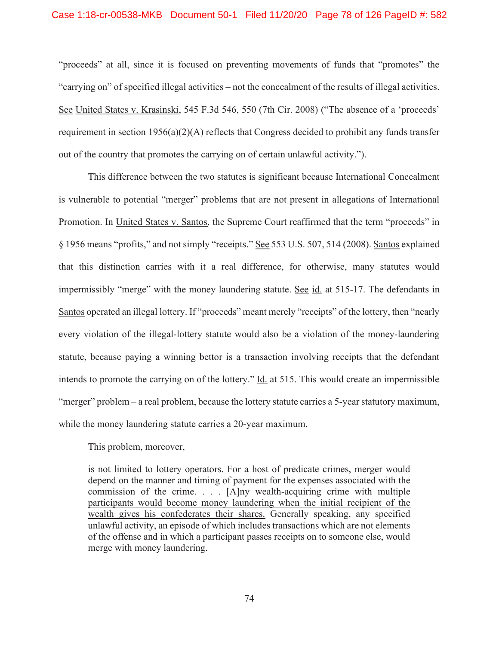"proceeds" at all, since it is focused on preventing movements of funds that "promotes" the "carrying on" of specified illegal activities – not the concealment of the results of illegal activities. See United States v. Krasinski, 545 F.3d 546, 550 (7th Cir. 2008) ("The absence of a 'proceeds' requirement in section 1956(a)(2)(A) reflects that Congress decided to prohibit any funds transfer out of the country that promotes the carrying on of certain unlawful activity.").

This difference between the two statutes is significant because International Concealment is vulnerable to potential "merger" problems that are not present in allegations of International Promotion. In United States v. Santos, the Supreme Court reaffirmed that the term "proceeds" in § 1956 means "profits," and not simply "receipts." See 553 U.S. 507, 514 (2008). Santos explained that this distinction carries with it a real difference, for otherwise, many statutes would impermissibly "merge" with the money laundering statute. See id. at 515-17. The defendants in Santos operated an illegal lottery. If "proceeds" meant merely "receipts" of the lottery, then "nearly every violation of the illegal-lottery statute would also be a violation of the money-laundering statute, because paying a winning bettor is a transaction involving receipts that the defendant intends to promote the carrying on of the lottery." Id. at 515. This would create an impermissible "merger" problem – a real problem, because the lottery statute carries a 5-year statutory maximum, while the money laundering statute carries a 20-year maximum.

This problem, moreover,

is not limited to lottery operators. For a host of predicate crimes, merger would depend on the manner and timing of payment for the expenses associated with the commission of the crime. . . . [A]ny wealth-acquiring crime with multiple participants would become money laundering when the initial recipient of the wealth gives his confederates their shares. Generally speaking, any specified unlawful activity, an episode of which includes transactions which are not elements of the offense and in which a participant passes receipts on to someone else, would merge with money laundering.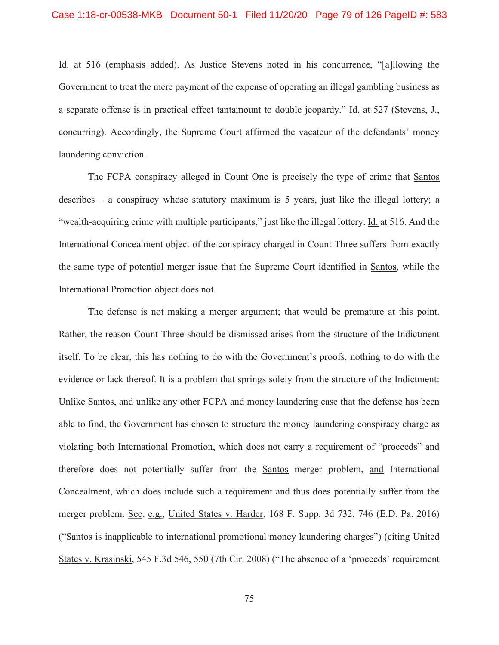Id. at 516 (emphasis added). As Justice Stevens noted in his concurrence, "[a]llowing the Government to treat the mere payment of the expense of operating an illegal gambling business as a separate offense is in practical effect tantamount to double jeopardy." Id. at 527 (Stevens, J., concurring). Accordingly, the Supreme Court affirmed the vacateur of the defendants' money laundering conviction.

The FCPA conspiracy alleged in Count One is precisely the type of crime that Santos describes – a conspiracy whose statutory maximum is 5 years, just like the illegal lottery; a "wealth-acquiring crime with multiple participants," just like the illegal lottery. Id. at 516. And the International Concealment object of the conspiracy charged in Count Three suffers from exactly the same type of potential merger issue that the Supreme Court identified in Santos, while the International Promotion object does not.

The defense is not making a merger argument; that would be premature at this point. Rather, the reason Count Three should be dismissed arises from the structure of the Indictment itself. To be clear, this has nothing to do with the Government's proofs, nothing to do with the evidence or lack thereof. It is a problem that springs solely from the structure of the Indictment: Unlike Santos, and unlike any other FCPA and money laundering case that the defense has been able to find, the Government has chosen to structure the money laundering conspiracy charge as violating both International Promotion, which does not carry a requirement of "proceeds" and therefore does not potentially suffer from the Santos merger problem, and International Concealment, which does include such a requirement and thus does potentially suffer from the merger problem. See, e.g., United States v. Harder, 168 F. Supp. 3d 732, 746 (E.D. Pa. 2016) ("Santos is inapplicable to international promotional money laundering charges") (citing United States v. Krasinski, 545 F.3d 546, 550 (7th Cir. 2008) ("The absence of a 'proceeds' requirement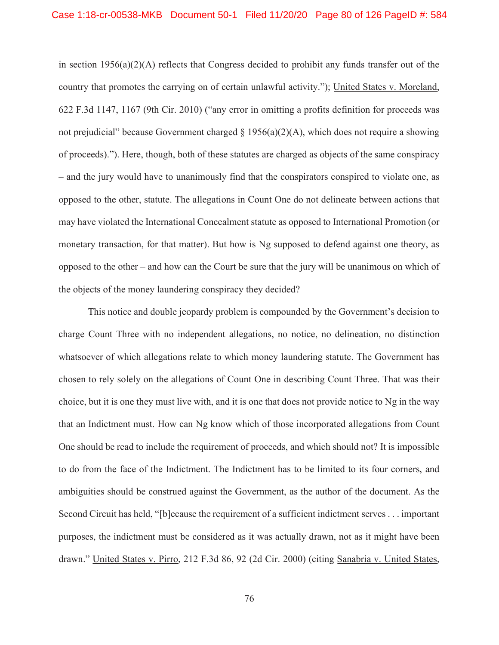in section  $1956(a)(2)(A)$  reflects that Congress decided to prohibit any funds transfer out of the country that promotes the carrying on of certain unlawful activity."); United States v. Moreland, 622 F.3d 1147, 1167 (9th Cir. 2010) ("any error in omitting a profits definition for proceeds was not prejudicial" because Government charged  $\S 1956(a)(2)(A)$ , which does not require a showing of proceeds)."). Here, though, both of these statutes are charged as objects of the same conspiracy – and the jury would have to unanimously find that the conspirators conspired to violate one, as opposed to the other, statute. The allegations in Count One do not delineate between actions that may have violated the International Concealment statute as opposed to International Promotion (or monetary transaction, for that matter). But how is Ng supposed to defend against one theory, as opposed to the other – and how can the Court be sure that the jury will be unanimous on which of the objects of the money laundering conspiracy they decided?

This notice and double jeopardy problem is compounded by the Government's decision to charge Count Three with no independent allegations, no notice, no delineation, no distinction whatsoever of which allegations relate to which money laundering statute. The Government has chosen to rely solely on the allegations of Count One in describing Count Three. That was their choice, but it is one they must live with, and it is one that does not provide notice to Ng in the way that an Indictment must. How can Ng know which of those incorporated allegations from Count One should be read to include the requirement of proceeds, and which should not? It is impossible to do from the face of the Indictment. The Indictment has to be limited to its four corners, and ambiguities should be construed against the Government, as the author of the document. As the Second Circuit has held, "[b]ecause the requirement of a sufficient indictment serves . . . important purposes, the indictment must be considered as it was actually drawn, not as it might have been drawn." United States v. Pirro, 212 F.3d 86, 92 (2d Cir. 2000) (citing Sanabria v. United States,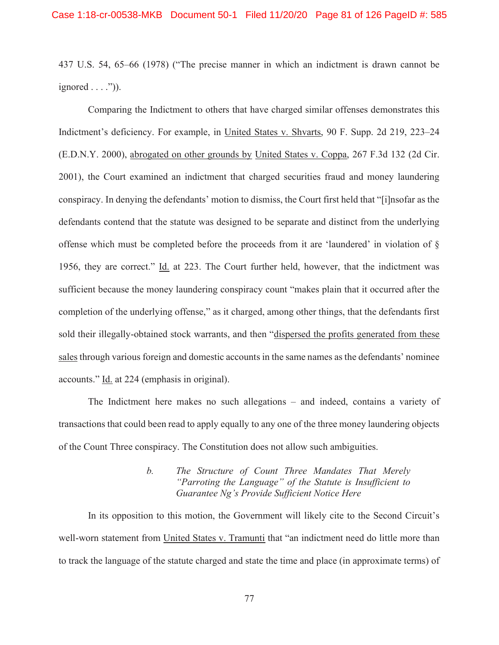437 U.S. 54, 65–66 (1978) ("The precise manner in which an indictment is drawn cannot be ignored  $\dots$ .")).

Comparing the Indictment to others that have charged similar offenses demonstrates this Indictment's deficiency. For example, in United States v. Shvarts, 90 F. Supp. 2d 219, 223–24 (E.D.N.Y. 2000), abrogated on other grounds by United States v. Coppa, 267 F.3d 132 (2d Cir. 2001), the Court examined an indictment that charged securities fraud and money laundering conspiracy. In denying the defendants' motion to dismiss, the Court first held that "[i]nsofar as the defendants contend that the statute was designed to be separate and distinct from the underlying offense which must be completed before the proceeds from it are 'laundered' in violation of § 1956, they are correct." Id. at 223. The Court further held, however, that the indictment was sufficient because the money laundering conspiracy count "makes plain that it occurred after the completion of the underlying offense," as it charged, among other things, that the defendants first sold their illegally-obtained stock warrants, and then "dispersed the profits generated from these sales through various foreign and domestic accounts in the same names as the defendants' nominee accounts." Id. at 224 (emphasis in original).

The Indictment here makes no such allegations – and indeed, contains a variety of transactions that could been read to apply equally to any one of the three money laundering objects of the Count Three conspiracy. The Constitution does not allow such ambiguities.

# b. The Structure of Count Three Mandates That Merely "Parroting the Language" of the Statute is Insufficient to Guarantee Ng's Provide Sufficient Notice Here

In its opposition to this motion, the Government will likely cite to the Second Circuit's well-worn statement from United States v. Tramunti that "an indictment need do little more than to track the language of the statute charged and state the time and place (in approximate terms) of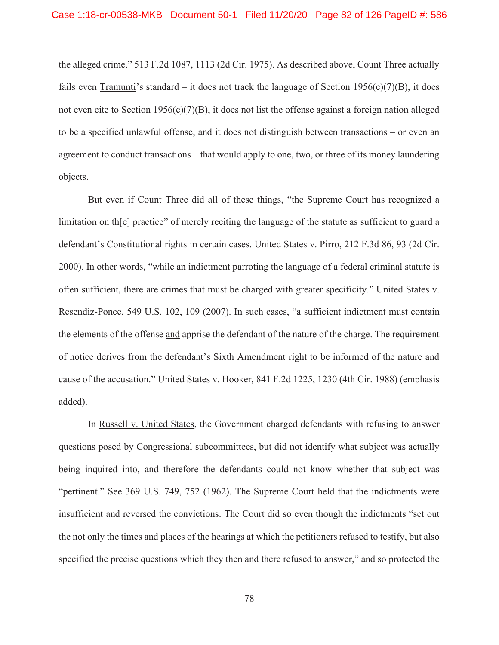the alleged crime." 513 F.2d 1087, 1113 (2d Cir. 1975). As described above, Count Three actually fails even Tramunti's standard – it does not track the language of Section 1956(c)(7)(B), it does not even cite to Section 1956(c)(7)(B), it does not list the offense against a foreign nation alleged to be a specified unlawful offense, and it does not distinguish between transactions – or even an agreement to conduct transactions – that would apply to one, two, or three of its money laundering objects.

But even if Count Three did all of these things, "the Supreme Court has recognized a limitation on the ractice" of merely reciting the language of the statute as sufficient to guard a defendant's Constitutional rights in certain cases. United States v. Pirro, 212 F.3d 86, 93 (2d Cir. 2000). In other words, "while an indictment parroting the language of a federal criminal statute is often sufficient, there are crimes that must be charged with greater specificity." United States v. Resendiz-Ponce, 549 U.S. 102, 109 (2007). In such cases, "a sufficient indictment must contain the elements of the offense and apprise the defendant of the nature of the charge. The requirement of notice derives from the defendant's Sixth Amendment right to be informed of the nature and cause of the accusation." United States v. Hooker, 841 F.2d 1225, 1230 (4th Cir. 1988) (emphasis added).

In Russell v. United States, the Government charged defendants with refusing to answer questions posed by Congressional subcommittees, but did not identify what subject was actually being inquired into, and therefore the defendants could not know whether that subject was "pertinent." See 369 U.S. 749, 752 (1962). The Supreme Court held that the indictments were insufficient and reversed the convictions. The Court did so even though the indictments "set out the not only the times and places of the hearings at which the petitioners refused to testify, but also specified the precise questions which they then and there refused to answer," and so protected the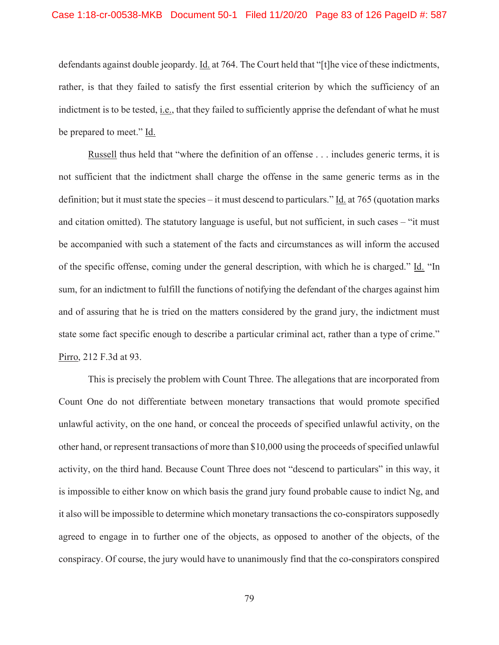defendants against double jeopardy. Id. at 764. The Court held that "[t]he vice of these indictments, rather, is that they failed to satisfy the first essential criterion by which the sufficiency of an indictment is to be tested, i.e., that they failed to sufficiently apprise the defendant of what he must be prepared to meet." Id.

Russell thus held that "where the definition of an offense . . . includes generic terms, it is not sufficient that the indictment shall charge the offense in the same generic terms as in the definition; but it must state the species – it must descend to particulars." Id. at 765 (quotation marks and citation omitted). The statutory language is useful, but not sufficient, in such cases – "it must be accompanied with such a statement of the facts and circumstances as will inform the accused of the specific offense, coming under the general description, with which he is charged." Id. "In sum, for an indictment to fulfill the functions of notifying the defendant of the charges against him and of assuring that he is tried on the matters considered by the grand jury, the indictment must state some fact specific enough to describe a particular criminal act, rather than a type of crime." Pirro, 212 F.3d at 93.

This is precisely the problem with Count Three. The allegations that are incorporated from Count One do not differentiate between monetary transactions that would promote specified unlawful activity, on the one hand, or conceal the proceeds of specified unlawful activity, on the other hand, or represent transactions of more than \$10,000 using the proceeds of specified unlawful activity, on the third hand. Because Count Three does not "descend to particulars" in this way, it is impossible to either know on which basis the grand jury found probable cause to indict Ng, and it also will be impossible to determine which monetary transactions the co-conspirators supposedly agreed to engage in to further one of the objects, as opposed to another of the objects, of the conspiracy. Of course, the jury would have to unanimously find that the co-conspirators conspired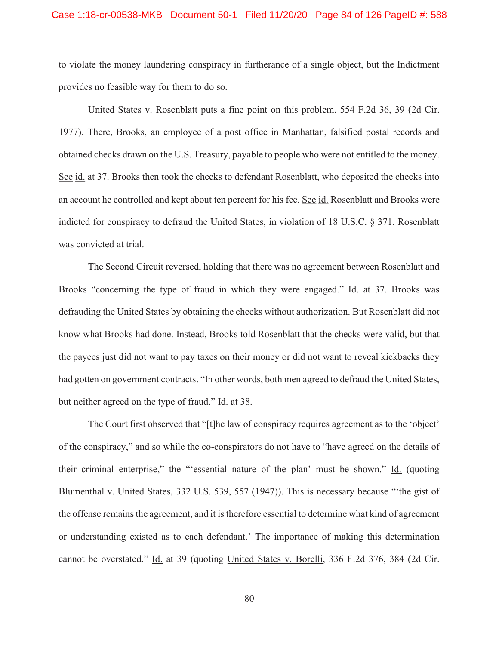#### Case 1:18-cr-00538-MKB Document 50-1 Filed 11/20/20 Page 84 of 126 PageID #: 588

to violate the money laundering conspiracy in furtherance of a single object, but the Indictment provides no feasible way for them to do so.

 United States v. Rosenblatt puts a fine point on this problem. 554 F.2d 36, 39 (2d Cir. 1977). There, Brooks, an employee of a post office in Manhattan, falsified postal records and obtained checks drawn on the U.S. Treasury, payable to people who were not entitled to the money. See id. at 37. Brooks then took the checks to defendant Rosenblatt, who deposited the checks into an account he controlled and kept about ten percent for his fee. See id. Rosenblatt and Brooks were indicted for conspiracy to defraud the United States, in violation of 18 U.S.C. § 371. Rosenblatt was convicted at trial.

 The Second Circuit reversed, holding that there was no agreement between Rosenblatt and Brooks "concerning the type of fraud in which they were engaged." Id. at 37. Brooks was defrauding the United States by obtaining the checks without authorization. But Rosenblatt did not know what Brooks had done. Instead, Brooks told Rosenblatt that the checks were valid, but that the payees just did not want to pay taxes on their money or did not want to reveal kickbacks they had gotten on government contracts. "In other words, both men agreed to defraud the United States, but neither agreed on the type of fraud." Id. at 38.

 The Court first observed that "[t]he law of conspiracy requires agreement as to the 'object' of the conspiracy," and so while the co-conspirators do not have to "have agreed on the details of their criminal enterprise," the "'essential nature of the plan' must be shown." Id. (quoting Blumenthal v. United States, 332 U.S. 539, 557 (1947)). This is necessary because "'the gist of the offense remains the agreement, and it is therefore essential to determine what kind of agreement or understanding existed as to each defendant.' The importance of making this determination cannot be overstated." Id. at 39 (quoting United States v. Borelli, 336 F.2d 376, 384 (2d Cir.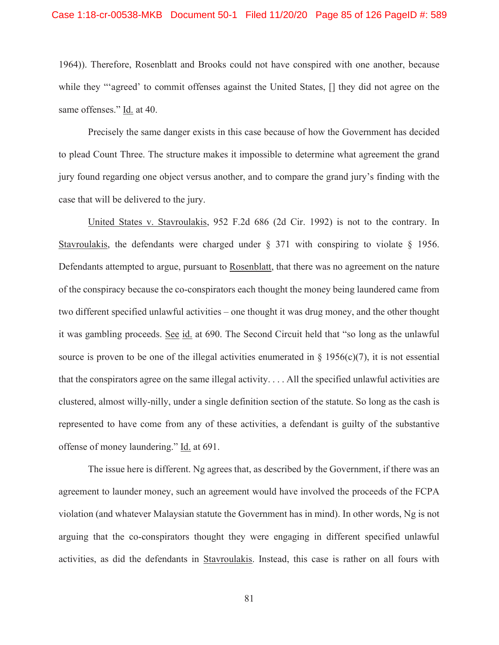1964)). Therefore, Rosenblatt and Brooks could not have conspired with one another, because while they "'agreed' to commit offenses against the United States, [] they did not agree on the same offenses." Id. at 40.

 Precisely the same danger exists in this case because of how the Government has decided to plead Count Three. The structure makes it impossible to determine what agreement the grand jury found regarding one object versus another, and to compare the grand jury's finding with the case that will be delivered to the jury.

United States v. Stavroulakis, 952 F.2d 686 (2d Cir. 1992) is not to the contrary. In Stavroulakis, the defendants were charged under § 371 with conspiring to violate § 1956. Defendants attempted to argue, pursuant to Rosenblatt, that there was no agreement on the nature of the conspiracy because the co-conspirators each thought the money being laundered came from two different specified unlawful activities – one thought it was drug money, and the other thought it was gambling proceeds. See id. at 690. The Second Circuit held that "so long as the unlawful source is proven to be one of the illegal activities enumerated in  $\S$  1956(c)(7), it is not essential that the conspirators agree on the same illegal activity. . . . All the specified unlawful activities are clustered, almost willy-nilly, under a single definition section of the statute. So long as the cash is represented to have come from any of these activities, a defendant is guilty of the substantive offense of money laundering." Id. at 691.

The issue here is different. Ng agrees that, as described by the Government, if there was an agreement to launder money, such an agreement would have involved the proceeds of the FCPA violation (and whatever Malaysian statute the Government has in mind). In other words, Ng is not arguing that the co-conspirators thought they were engaging in different specified unlawful activities, as did the defendants in Stavroulakis. Instead, this case is rather on all fours with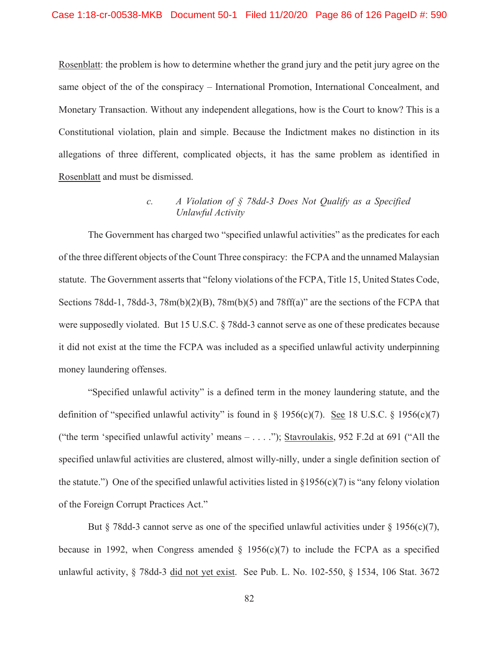Rosenblatt: the problem is how to determine whether the grand jury and the petit jury agree on the same object of the of the conspiracy – International Promotion, International Concealment, and Monetary Transaction. Without any independent allegations, how is the Court to know? This is a Constitutional violation, plain and simple. Because the Indictment makes no distinction in its allegations of three different, complicated objects, it has the same problem as identified in Rosenblatt and must be dismissed.

# c. A Violation of § 78dd-3 Does Not Qualify as a Specified Unlawful Activity

The Government has charged two "specified unlawful activities" as the predicates for each of the three different objects of the Count Three conspiracy: the FCPA and the unnamed Malaysian statute. The Government asserts that "felony violations of the FCPA, Title 15, United States Code, Sections 78dd-1, 78dd-3, 78m(b)(2)(B), 78m(b)(5) and 78ff(a)" are the sections of the FCPA that were supposedly violated. But 15 U.S.C. § 78dd-3 cannot serve as one of these predicates because it did not exist at the time the FCPA was included as a specified unlawful activity underpinning money laundering offenses.

"Specified unlawful activity" is a defined term in the money laundering statute, and the definition of "specified unlawful activity" is found in  $\S$  1956(c)(7). See 18 U.S.C.  $\S$  1956(c)(7) ("the term 'specified unlawful activity' means  $-\ldots$ "); Stavroulakis, 952 F.2d at 691 ("All the specified unlawful activities are clustered, almost willy-nilly, under a single definition section of the statute.") One of the specified unlawful activities listed in  $\S1956(c)(7)$  is "any felony violation of the Foreign Corrupt Practices Act."

But § 78dd-3 cannot serve as one of the specified unlawful activities under § 1956(c)(7), because in 1992, when Congress amended  $\S$  1956(c)(7) to include the FCPA as a specified unlawful activity, § 78dd-3 did not yet exist. See Pub. L. No. 102-550, § 1534, 106 Stat. 3672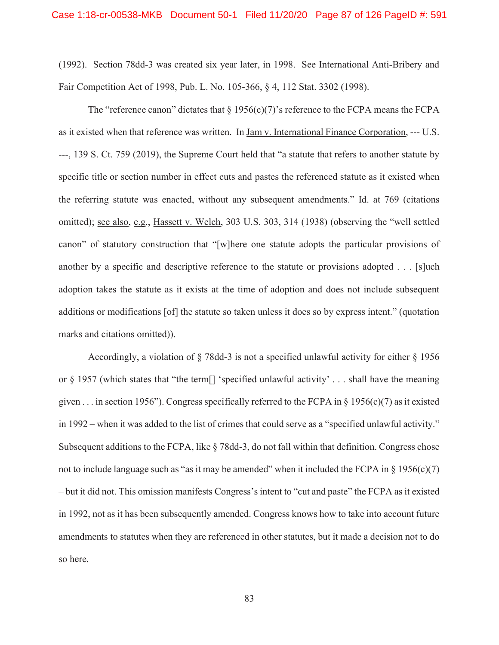(1992). Section 78dd-3 was created six year later, in 1998. See International Anti-Bribery and Fair Competition Act of 1998, Pub. L. No. 105-366, § 4, 112 Stat. 3302 (1998).

The "reference canon" dictates that  $\S 1956(c)(7)$ 's reference to the FCPA means the FCPA as it existed when that reference was written. In Jam v. International Finance Corporation, --- U.S. ---, 139 S. Ct. 759 (2019), the Supreme Court held that "a statute that refers to another statute by specific title or section number in effect cuts and pastes the referenced statute as it existed when the referring statute was enacted, without any subsequent amendments." Id. at 769 (citations omitted); see also, e.g., Hassett v. Welch, 303 U.S. 303, 314 (1938) (observing the "well settled canon" of statutory construction that "[w]here one statute adopts the particular provisions of another by a specific and descriptive reference to the statute or provisions adopted . . . [s]uch adoption takes the statute as it exists at the time of adoption and does not include subsequent additions or modifications [of] the statute so taken unless it does so by express intent." (quotation marks and citations omitted)).

Accordingly, a violation of § 78dd-3 is not a specified unlawful activity for either § 1956 or § 1957 (which states that "the term[] 'specified unlawful activity' . . . shall have the meaning given . . . in section 1956"). Congress specifically referred to the FCPA in  $\S$  1956(c)(7) as it existed in 1992 – when it was added to the list of crimes that could serve as a "specified unlawful activity." Subsequent additions to the FCPA, like § 78dd-3, do not fall within that definition. Congress chose not to include language such as "as it may be amended" when it included the FCPA in  $\S 1956(c)(7)$ – but it did not. This omission manifests Congress's intent to "cut and paste" the FCPA as it existed in 1992, not as it has been subsequently amended. Congress knows how to take into account future amendments to statutes when they are referenced in other statutes, but it made a decision not to do so here.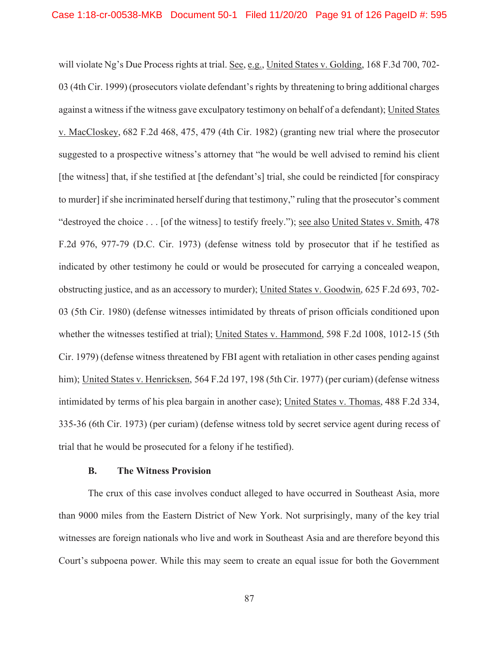will violate Ng's Due Process rights at trial. See, e.g., United States v. Golding, 168 F.3d 700, 702-03 (4th Cir. 1999) (prosecutors violate defendant's rights by threatening to bring additional charges against a witness if the witness gave exculpatory testimony on behalf of a defendant); United States v. MacCloskey, 682 F.2d 468, 475, 479 (4th Cir. 1982) (granting new trial where the prosecutor suggested to a prospective witness's attorney that "he would be well advised to remind his client [the witness] that, if she testified at [the defendant's] trial, she could be reindicted [for conspiracy to murder] if she incriminated herself during that testimony," ruling that the prosecutor's comment "destroyed the choice . . . [of the witness] to testify freely."); see also United States v. Smith, 478 F.2d 976, 977-79 (D.C. Cir. 1973) (defense witness told by prosecutor that if he testified as indicated by other testimony he could or would be prosecuted for carrying a concealed weapon, obstructing justice, and as an accessory to murder); United States v. Goodwin, 625 F.2d 693, 702- 03 (5th Cir. 1980) (defense witnesses intimidated by threats of prison officials conditioned upon whether the witnesses testified at trial); United States v. Hammond, 598 F.2d 1008, 1012-15 (5th Cir. 1979) (defense witness threatened by FBI agent with retaliation in other cases pending against him); United States v. Henricksen, 564 F.2d 197, 198 (5th Cir. 1977) (per curiam) (defense witness intimidated by terms of his plea bargain in another case); United States v. Thomas, 488 F.2d 334, 335-36 (6th Cir. 1973) (per curiam) (defense witness told by secret service agent during recess of trial that he would be prosecuted for a felony if he testified).

### B. The Witness Provision

The crux of this case involves conduct alleged to have occurred in Southeast Asia, more than 9000 miles from the Eastern District of New York. Not surprisingly, many of the key trial witnesses are foreign nationals who live and work in Southeast Asia and are therefore beyond this Court's subpoena power. While this may seem to create an equal issue for both the Government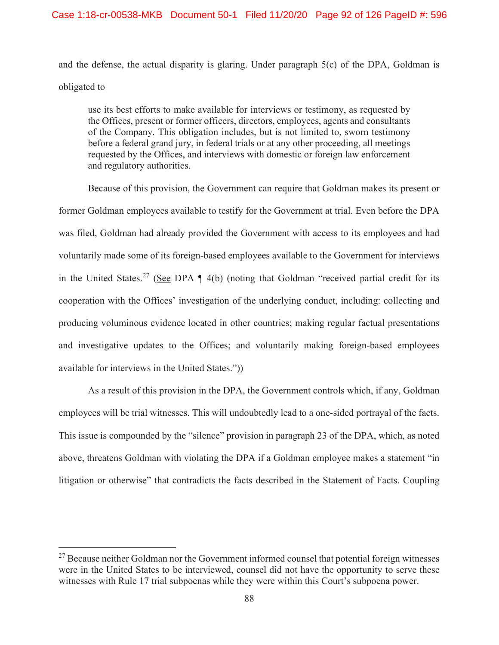and the defense, the actual disparity is glaring. Under paragraph 5(c) of the DPA, Goldman is obligated to

use its best efforts to make available for interviews or testimony, as requested by the Offices, present or former officers, directors, employees, agents and consultants of the Company. This obligation includes, but is not limited to, sworn testimony before a federal grand jury, in federal trials or at any other proceeding, all meetings requested by the Offices, and interviews with domestic or foreign law enforcement and regulatory authorities.

Because of this provision, the Government can require that Goldman makes its present or former Goldman employees available to testify for the Government at trial. Even before the DPA was filed, Goldman had already provided the Government with access to its employees and had voluntarily made some of its foreign-based employees available to the Government for interviews in the United States.<sup>27</sup> (See DPA  $\P$  4(b) (noting that Goldman "received partial credit for its cooperation with the Offices' investigation of the underlying conduct, including: collecting and producing voluminous evidence located in other countries; making regular factual presentations and investigative updates to the Offices; and voluntarily making foreign-based employees available for interviews in the United States."))

 As a result of this provision in the DPA, the Government controls which, if any, Goldman employees will be trial witnesses. This will undoubtedly lead to a one-sided portrayal of the facts. This issue is compounded by the "silence" provision in paragraph 23 of the DPA, which, as noted above, threatens Goldman with violating the DPA if a Goldman employee makes a statement "in litigation or otherwise" that contradicts the facts described in the Statement of Facts. Coupling

 $27$  Because neither Goldman nor the Government informed counsel that potential foreign witnesses were in the United States to be interviewed, counsel did not have the opportunity to serve these witnesses with Rule 17 trial subpoenas while they were within this Court's subpoena power.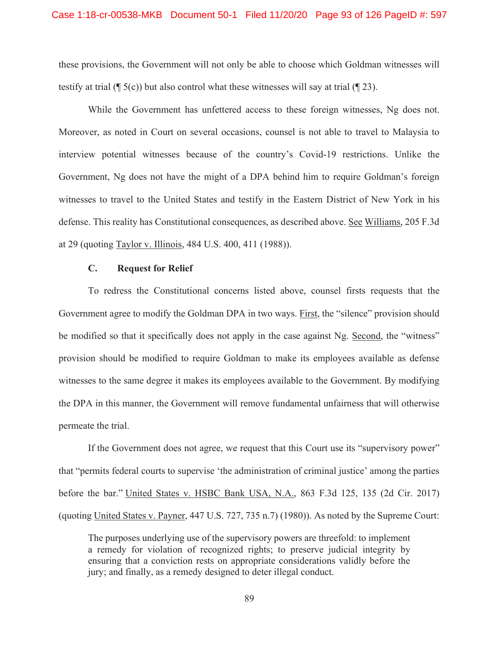these provisions, the Government will not only be able to choose which Goldman witnesses will testify at trial ( $\sqrt{\frac{5(c)}}$ ) but also control what these witnesses will say at trial ( $\sqrt{\frac{23}{}}$ ).

 While the Government has unfettered access to these foreign witnesses, Ng does not. Moreover, as noted in Court on several occasions, counsel is not able to travel to Malaysia to interview potential witnesses because of the country's Covid-19 restrictions. Unlike the Government, Ng does not have the might of a DPA behind him to require Goldman's foreign witnesses to travel to the United States and testify in the Eastern District of New York in his defense. This reality has Constitutional consequences, as described above. See Williams, 205 F.3d at 29 (quoting Taylor v. Illinois, 484 U.S. 400, 411 (1988)).

### C. Request for Relief

 To redress the Constitutional concerns listed above, counsel firsts requests that the Government agree to modify the Goldman DPA in two ways. First, the "silence" provision should be modified so that it specifically does not apply in the case against Ng. Second, the "witness" provision should be modified to require Goldman to make its employees available as defense witnesses to the same degree it makes its employees available to the Government. By modifying the DPA in this manner, the Government will remove fundamental unfairness that will otherwise permeate the trial.

 If the Government does not agree, we request that this Court use its "supervisory power" that "permits federal courts to supervise 'the administration of criminal justice' among the parties before the bar." United States v. HSBC Bank USA, N.A., 863 F.3d 125, 135 (2d Cir. 2017) (quoting United States v. Payner, 447 U.S. 727, 735 n.7) (1980)). As noted by the Supreme Court:

The purposes underlying use of the supervisory powers are threefold: to implement a remedy for violation of recognized rights; to preserve judicial integrity by ensuring that a conviction rests on appropriate considerations validly before the jury; and finally, as a remedy designed to deter illegal conduct.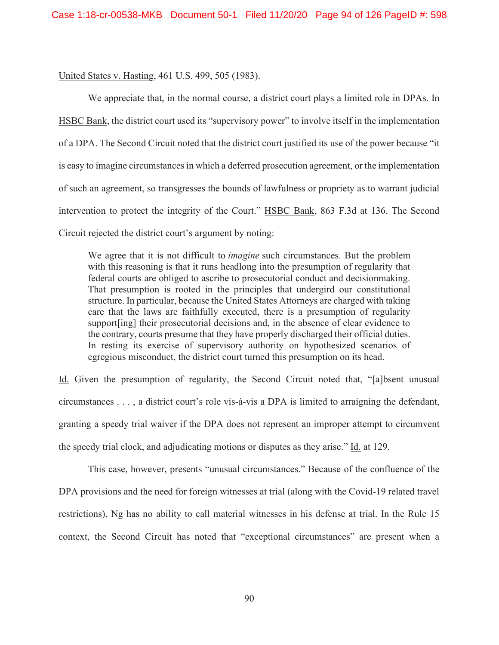United States v. Hasting, 461 U.S. 499, 505 (1983).

 We appreciate that, in the normal course, a district court plays a limited role in DPAs. In HSBC Bank, the district court used its "supervisory power" to involve itself in the implementation of a DPA. The Second Circuit noted that the district court justified its use of the power because "it is easy to imagine circumstances in which a deferred prosecution agreement, or the implementation of such an agreement, so transgresses the bounds of lawfulness or propriety as to warrant judicial intervention to protect the integrity of the Court." HSBC Bank, 863 F.3d at 136. The Second Circuit rejected the district court's argument by noting:

We agree that it is not difficult to *imagine* such circumstances. But the problem with this reasoning is that it runs headlong into the presumption of regularity that federal courts are obliged to ascribe to prosecutorial conduct and decisionmaking. That presumption is rooted in the principles that undergird our constitutional structure. In particular, because the United States Attorneys are charged with taking care that the laws are faithfully executed, there is a presumption of regularity support[ing] their prosecutorial decisions and, in the absence of clear evidence to the contrary, courts presume that they have properly discharged their official duties. In resting its exercise of supervisory authority on hypothesized scenarios of egregious misconduct, the district court turned this presumption on its head.

Id. Given the presumption of regularity, the Second Circuit noted that, "[a]bsent unusual circumstances . . . , a district court's role vis-à-vis a DPA is limited to arraigning the defendant, granting a speedy trial waiver if the DPA does not represent an improper attempt to circumvent the speedy trial clock, and adjudicating motions or disputes as they arise." Id. at 129.

This case, however, presents "unusual circumstances." Because of the confluence of the DPA provisions and the need for foreign witnesses at trial (along with the Covid-19 related travel restrictions), Ng has no ability to call material witnesses in his defense at trial. In the Rule 15 context, the Second Circuit has noted that "exceptional circumstances" are present when a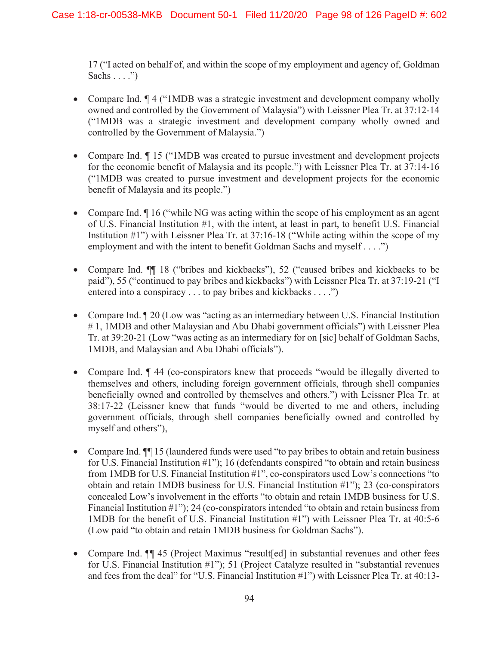17 ("I acted on behalf of, and within the scope of my employment and agency of, Goldman Sachs  $\dots$ .")

- Compare Ind.  $\P$  4 ("IMDB was a strategic investment and development company wholly owned and controlled by the Government of Malaysia") with Leissner Plea Tr. at 37:12-14 ("1MDB was a strategic investment and development company wholly owned and controlled by the Government of Malaysia.")
- Compare Ind. ¶ 15 ("1MDB was created to pursue investment and development projects for the economic benefit of Malaysia and its people.") with Leissner Plea Tr. at 37:14-16 ("1MDB was created to pursue investment and development projects for the economic benefit of Malaysia and its people.")
- Compare Ind.  $\P$  16 ("while NG was acting within the scope of his employment as an agent of U.S. Financial Institution #1, with the intent, at least in part, to benefit U.S. Financial Institution #1") with Leissner Plea Tr. at 37:16-18 ("While acting within the scope of my employment and with the intent to benefit Goldman Sachs and myself . . . .")
- Compare Ind.  $\P$  18 ("bribes and kickbacks"), 52 ("caused bribes and kickbacks to be paid"), 55 ("continued to pay bribes and kickbacks") with Leissner Plea Tr. at 37:19-21 ("I entered into a conspiracy . . . to pay bribes and kickbacks . . . .")
- Compare Ind.  $\sqrt{20}$  (Low was "acting as an intermediary between U.S. Financial Institution # 1, 1MDB and other Malaysian and Abu Dhabi government officials") with Leissner Plea Tr. at 39:20-21 (Low "was acting as an intermediary for on [sic] behalf of Goldman Sachs, 1MDB, and Malaysian and Abu Dhabi officials").
- Compare Ind. ¶ 44 (co-conspirators knew that proceeds "would be illegally diverted to themselves and others, including foreign government officials, through shell companies beneficially owned and controlled by themselves and others.") with Leissner Plea Tr. at 38:17-22 (Leissner knew that funds "would be diverted to me and others, including government officials, through shell companies beneficially owned and controlled by myself and others"),
- Compare Ind.  $\P$  15 (laundered funds were used "to pay bribes to obtain and retain business for U.S. Financial Institution #1"); 16 (defendants conspired "to obtain and retain business from 1MDB for U.S. Financial Institution #1", co-conspirators used Low's connections "to obtain and retain 1MDB business for U.S. Financial Institution #1"); 23 (co-conspirators concealed Low's involvement in the efforts "to obtain and retain 1MDB business for U.S. Financial Institution #1"); 24 (co-conspirators intended "to obtain and retain business from 1MDB for the benefit of U.S. Financial Institution #1") with Leissner Plea Tr. at 40:5-6 (Low paid "to obtain and retain 1MDB business for Goldman Sachs").
- Compare Ind.  $\P$  45 (Project Maximus "result[ed] in substantial revenues and other fees for U.S. Financial Institution #1"); 51 (Project Catalyze resulted in "substantial revenues and fees from the deal" for "U.S. Financial Institution #1") with Leissner Plea Tr. at 40:13-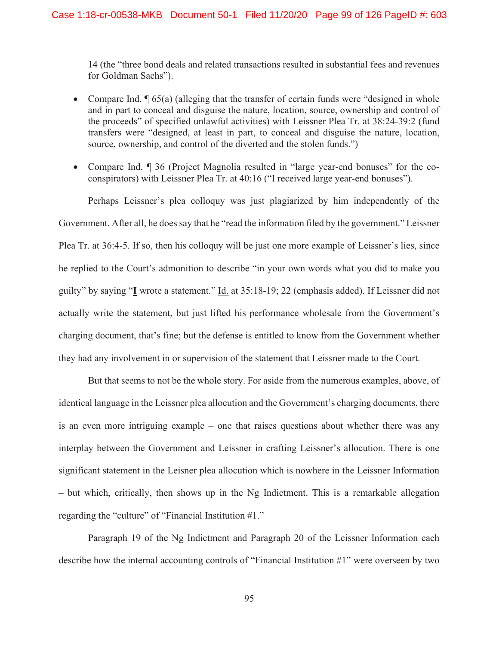14 (the "three bond deals and related transactions resulted in substantial fees and revenues for Goldman Sachs").

- Compare Ind.  $\lceil \sqrt{65(a)} \rceil$  (alleging that the transfer of certain funds were "designed in whole and in part to conceal and disguise the nature, location, source, ownership and control of the proceeds" of specified unlawful activities) with Leissner Plea Tr. at 38:24-39:2 (fund transfers were "designed, at least in part, to conceal and disguise the nature, location, source, ownership, and control of the diverted and the stolen funds.")
- Compare Ind. ¶ 36 (Project Magnolia resulted in "large year-end bonuses" for the coconspirators) with Leissner Plea Tr. at 40:16 ("I received large year-end bonuses").

Perhaps Leissner's plea colloquy was just plagiarized by him independently of the Government. After all, he does say that he "read the information filed by the government." Leissner Plea Tr. at 36:4-5. If so, then his colloquy will be just one more example of Leissner's lies, since he replied to the Court's admonition to describe "in your own words what you did to make you guilty" by saying "I wrote a statement." Id. at 35:18-19; 22 (emphasis added). If Leissner did not actually write the statement, but just lifted his performance wholesale from the Government's charging document, that's fine; but the defense is entitled to know from the Government whether they had any involvement in or supervision of the statement that Leissner made to the Court.

But that seems to not be the whole story. For aside from the numerous examples, above, of identical language in the Leissner plea allocution and the Government's charging documents, there is an even more intriguing example – one that raises questions about whether there was any interplay between the Government and Leissner in crafting Leissner's allocution. There is one significant statement in the Leisner plea allocution which is nowhere in the Leissner Information – but which, critically, then shows up in the Ng Indictment. This is a remarkable allegation regarding the "culture" of "Financial Institution #1."

Paragraph 19 of the Ng Indictment and Paragraph 20 of the Leissner Information each describe how the internal accounting controls of "Financial Institution #1" were overseen by two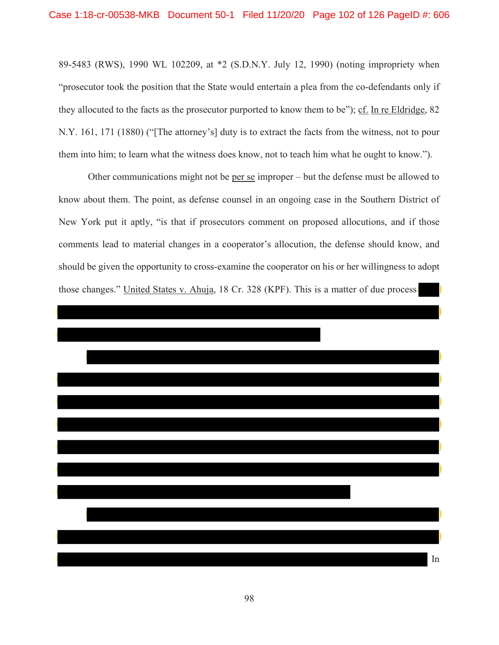89-5483 (RWS), 1990 WL 102209, at \*2 (S.D.N.Y. July 12, 1990) (noting impropriety when "prosecutor took the position that the State would entertain a plea from the co-defendants only if they allocuted to the facts as the prosecutor purported to know them to be"); cf. In re Eldridge, 82 N.Y. 161, 171 (1880) ("[The attorney's] duty is to extract the facts from the witness, not to pour them into him; to learn what the witness does know, not to teach him what he ought to know.").

Other communications might not be per se improper – but the defense must be allowed to know about them. The point, as defense counsel in an ongoing case in the Southern District of New York put it aptly, "is that if prosecutors comment on proposed allocutions, and if those comments lead to material changes in a cooperator's allocution, the defense should know, and should be given the opportunity to cross-examine the cooperator on his or her willingness to adopt those changes." United States v. Ahuja, 18 Cr. 328 (KPF). This is a matter of due process

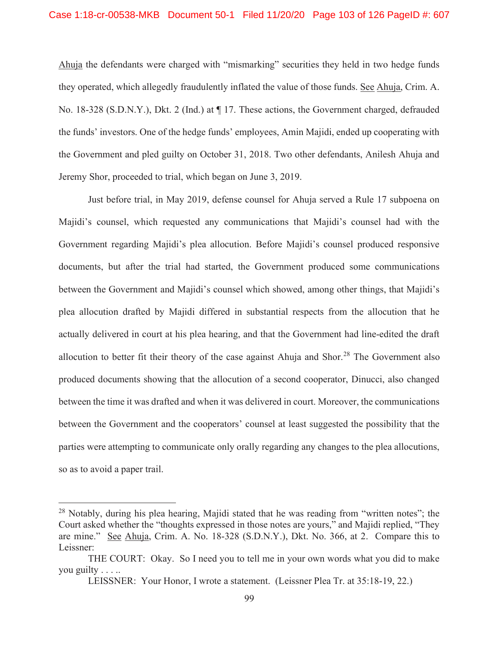Ahuja the defendants were charged with "mismarking" securities they held in two hedge funds they operated, which allegedly fraudulently inflated the value of those funds. See Ahuja, Crim. A. No. 18-328 (S.D.N.Y.), Dkt. 2 (Ind.) at ¶ 17. These actions, the Government charged, defrauded the funds' investors. One of the hedge funds' employees, Amin Majidi, ended up cooperating with the Government and pled guilty on October 31, 2018. Two other defendants, Anilesh Ahuja and Jeremy Shor, proceeded to trial, which began on June 3, 2019.

 Just before trial, in May 2019, defense counsel for Ahuja served a Rule 17 subpoena on Majidi's counsel, which requested any communications that Majidi's counsel had with the Government regarding Majidi's plea allocution. Before Majidi's counsel produced responsive documents, but after the trial had started, the Government produced some communications between the Government and Majidi's counsel which showed, among other things, that Majidi's plea allocution drafted by Majidi differed in substantial respects from the allocution that he actually delivered in court at his plea hearing, and that the Government had line-edited the draft allocution to better fit their theory of the case against Ahuja and Shor.<sup>28</sup> The Government also produced documents showing that the allocution of a second cooperator, Dinucci, also changed between the time it was drafted and when it was delivered in court. Moreover, the communications between the Government and the cooperators' counsel at least suggested the possibility that the parties were attempting to communicate only orally regarding any changes to the plea allocutions, so as to avoid a paper trail.

<sup>&</sup>lt;sup>28</sup> Notably, during his plea hearing, Majidi stated that he was reading from "written notes"; the Court asked whether the "thoughts expressed in those notes are yours," and Majidi replied, "They are mine." See Ahuja, Crim. A. No. 18-328 (S.D.N.Y.), Dkt. No. 366, at 2. Compare this to Leissner:

THE COURT: Okay. So I need you to tell me in your own words what you did to make you guilty . . . ..

LEISSNER: Your Honor, I wrote a statement. (Leissner Plea Tr. at 35:18-19, 22.)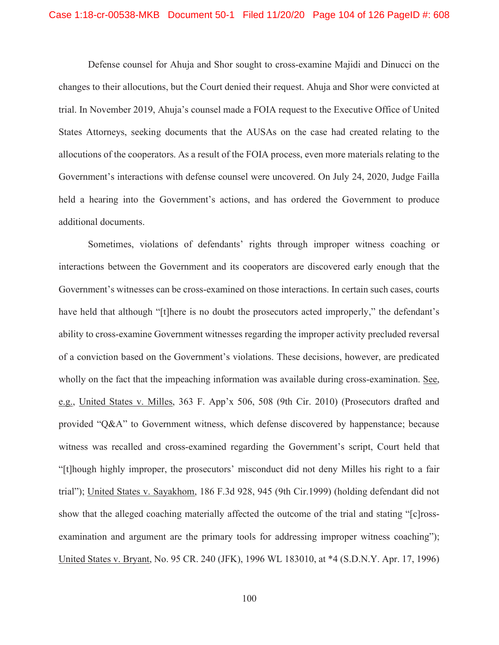Defense counsel for Ahuja and Shor sought to cross-examine Majidi and Dinucci on the changes to their allocutions, but the Court denied their request. Ahuja and Shor were convicted at trial. In November 2019, Ahuja's counsel made a FOIA request to the Executive Office of United States Attorneys, seeking documents that the AUSAs on the case had created relating to the allocutions of the cooperators. As a result of the FOIA process, even more materials relating to the Government's interactions with defense counsel were uncovered. On July 24, 2020, Judge Failla held a hearing into the Government's actions, and has ordered the Government to produce additional documents.

Sometimes, violations of defendants' rights through improper witness coaching or interactions between the Government and its cooperators are discovered early enough that the Government's witnesses can be cross-examined on those interactions. In certain such cases, courts have held that although "[t]here is no doubt the prosecutors acted improperly," the defendant's ability to cross-examine Government witnesses regarding the improper activity precluded reversal of a conviction based on the Government's violations. These decisions, however, are predicated wholly on the fact that the impeaching information was available during cross-examination. See, e.g., United States v. Milles, 363 F. App'x 506, 508 (9th Cir. 2010) (Prosecutors drafted and provided "Q&A" to Government witness, which defense discovered by happenstance; because witness was recalled and cross-examined regarding the Government's script, Court held that "[t]hough highly improper, the prosecutors' misconduct did not deny Milles his right to a fair trial"); United States v. Sayakhom, 186 F.3d 928, 945 (9th Cir.1999) (holding defendant did not show that the alleged coaching materially affected the outcome of the trial and stating "[c]rossexamination and argument are the primary tools for addressing improper witness coaching"); United States v. Bryant, No. 95 CR. 240 (JFK), 1996 WL 183010, at \*4 (S.D.N.Y. Apr. 17, 1996)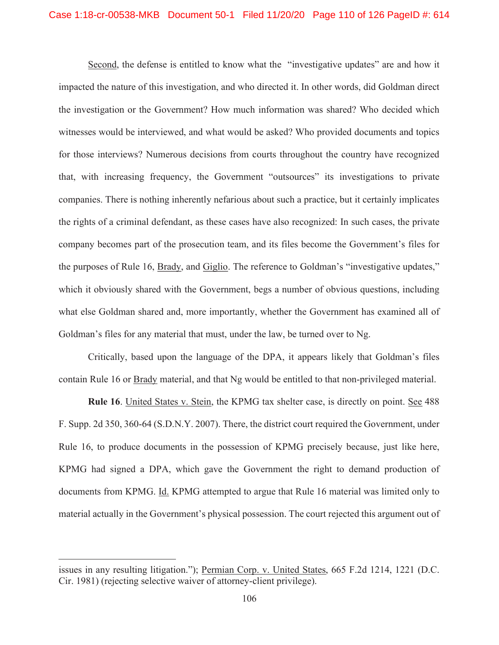Second, the defense is entitled to know what the "investigative updates" are and how it impacted the nature of this investigation, and who directed it. In other words, did Goldman direct the investigation or the Government? How much information was shared? Who decided which witnesses would be interviewed, and what would be asked? Who provided documents and topics for those interviews? Numerous decisions from courts throughout the country have recognized that, with increasing frequency, the Government "outsources" its investigations to private companies. There is nothing inherently nefarious about such a practice, but it certainly implicates the rights of a criminal defendant, as these cases have also recognized: In such cases, the private company becomes part of the prosecution team, and its files become the Government's files for the purposes of Rule 16, Brady, and Giglio. The reference to Goldman's "investigative updates," which it obviously shared with the Government, begs a number of obvious questions, including what else Goldman shared and, more importantly, whether the Government has examined all of Goldman's files for any material that must, under the law, be turned over to Ng.

Critically, based upon the language of the DPA, it appears likely that Goldman's files contain Rule 16 or Brady material, and that Ng would be entitled to that non-privileged material.

Rule 16. United States v. Stein, the KPMG tax shelter case, is directly on point. See 488 F. Supp. 2d 350, 360-64 (S.D.N.Y. 2007). There, the district court required the Government, under Rule 16, to produce documents in the possession of KPMG precisely because, just like here, KPMG had signed a DPA, which gave the Government the right to demand production of documents from KPMG. Id. KPMG attempted to argue that Rule 16 material was limited only to material actually in the Government's physical possession. The court rejected this argument out of

issues in any resulting litigation."); Permian Corp. v. United States, 665 F.2d 1214, 1221 (D.C. Cir. 1981) (rejecting selective waiver of attorney-client privilege).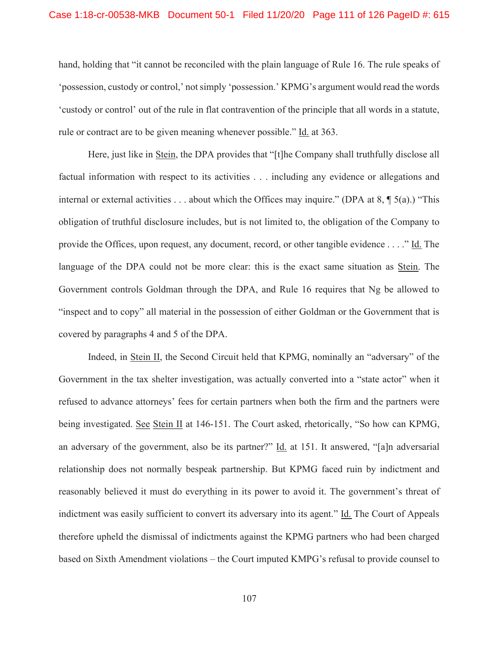hand, holding that "it cannot be reconciled with the plain language of Rule 16. The rule speaks of 'possession, custody or control,' not simply 'possession.' KPMG's argument would read the words 'custody or control' out of the rule in flat contravention of the principle that all words in a statute, rule or contract are to be given meaning whenever possible." Id. at 363.

Here, just like in Stein, the DPA provides that "[t]he Company shall truthfully disclose all factual information with respect to its activities . . . including any evidence or allegations and internal or external activities . . . about which the Offices may inquire." (DPA at 8, ¶ 5(a).) "This obligation of truthful disclosure includes, but is not limited to, the obligation of the Company to provide the Offices, upon request, any document, record, or other tangible evidence . . . ." Id. The language of the DPA could not be more clear: this is the exact same situation as Stein. The Government controls Goldman through the DPA, and Rule 16 requires that Ng be allowed to "inspect and to copy" all material in the possession of either Goldman or the Government that is covered by paragraphs 4 and 5 of the DPA.

Indeed, in Stein II, the Second Circuit held that KPMG, nominally an "adversary" of the Government in the tax shelter investigation, was actually converted into a "state actor" when it refused to advance attorneys' fees for certain partners when both the firm and the partners were being investigated. See Stein II at 146-151. The Court asked, rhetorically, "So how can KPMG, an adversary of the government, also be its partner?" Id. at 151. It answered, "[a]n adversarial relationship does not normally bespeak partnership. But KPMG faced ruin by indictment and reasonably believed it must do everything in its power to avoid it. The government's threat of indictment was easily sufficient to convert its adversary into its agent." Id. The Court of Appeals therefore upheld the dismissal of indictments against the KPMG partners who had been charged based on Sixth Amendment violations – the Court imputed KMPG's refusal to provide counsel to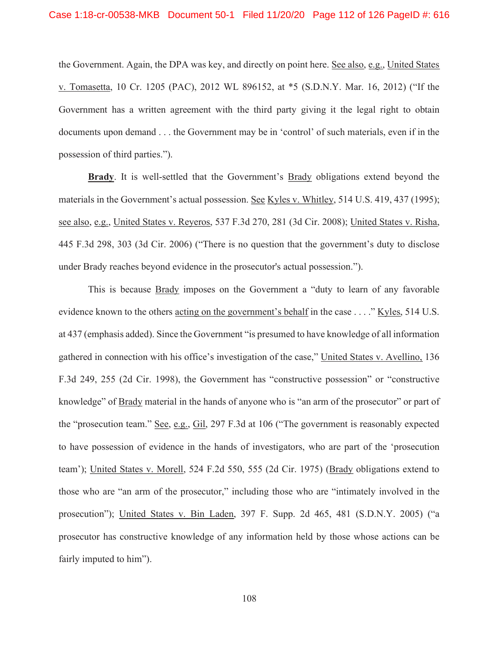the Government. Again, the DPA was key, and directly on point here. See also, e.g., United States v. Tomasetta, 10 Cr. 1205 (PAC), 2012 WL 896152, at \*5 (S.D.N.Y. Mar. 16, 2012) ("If the Government has a written agreement with the third party giving it the legal right to obtain documents upon demand . . . the Government may be in 'control' of such materials, even if in the possession of third parties.").

Brady. It is well-settled that the Government's Brady obligations extend beyond the materials in the Government's actual possession. See Kyles v. Whitley, 514 U.S. 419, 437 (1995); see also, e.g., United States v. Reyeros, 537 F.3d 270, 281 (3d Cir. 2008); United States v. Risha, 445 F.3d 298, 303 (3d Cir. 2006) ("There is no question that the government's duty to disclose under Brady reaches beyond evidence in the prosecutor's actual possession.").

This is because Brady imposes on the Government a "duty to learn of any favorable evidence known to the others acting on the government's behalf in the case . . . ." Kyles, 514 U.S. at 437 (emphasis added). Since the Government "is presumed to have knowledge of all information gathered in connection with his office's investigation of the case," United States v. Avellino, 136 F.3d 249, 255 (2d Cir. 1998), the Government has "constructive possession" or "constructive knowledge" of Brady material in the hands of anyone who is "an arm of the prosecutor" or part of the "prosecution team." See, e.g., Gil, 297 F.3d at 106 ("The government is reasonably expected to have possession of evidence in the hands of investigators, who are part of the 'prosecution team'); United States v. Morell, 524 F.2d 550, 555 (2d Cir. 1975) (Brady obligations extend to those who are "an arm of the prosecutor," including those who are "intimately involved in the prosecution"); United States v. Bin Laden, 397 F. Supp. 2d 465, 481 (S.D.N.Y. 2005) ("a prosecutor has constructive knowledge of any information held by those whose actions can be fairly imputed to him").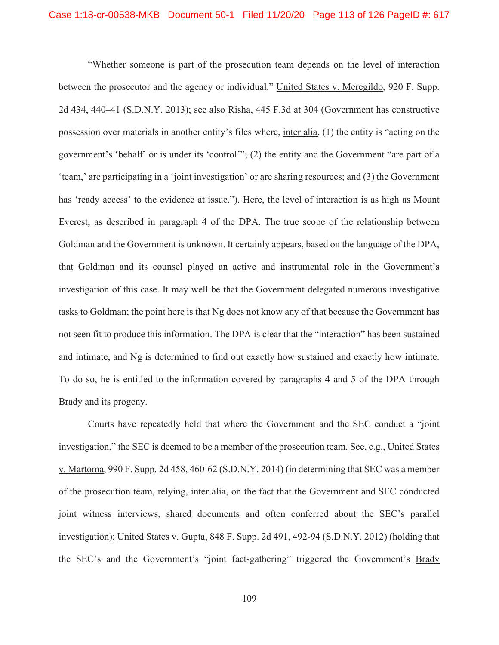"Whether someone is part of the prosecution team depends on the level of interaction between the prosecutor and the agency or individual." United States v. Meregildo, 920 F. Supp. 2d 434, 440–41 (S.D.N.Y. 2013); see also Risha, 445 F.3d at 304 (Government has constructive possession over materials in another entity's files where, inter alia, (1) the entity is "acting on the government's 'behalf' or is under its 'control'"; (2) the entity and the Government "are part of a 'team,' are participating in a 'joint investigation' or are sharing resources; and (3) the Government has 'ready access' to the evidence at issue."). Here, the level of interaction is as high as Mount Everest, as described in paragraph 4 of the DPA. The true scope of the relationship between Goldman and the Government is unknown. It certainly appears, based on the language of the DPA, that Goldman and its counsel played an active and instrumental role in the Government's investigation of this case. It may well be that the Government delegated numerous investigative tasks to Goldman; the point here is that Ng does not know any of that because the Government has not seen fit to produce this information. The DPA is clear that the "interaction" has been sustained and intimate, and Ng is determined to find out exactly how sustained and exactly how intimate. To do so, he is entitled to the information covered by paragraphs 4 and 5 of the DPA through Brady and its progeny.

 Courts have repeatedly held that where the Government and the SEC conduct a "joint investigation," the SEC is deemed to be a member of the prosecution team. See, e.g., United States v. Martoma, 990 F. Supp. 2d 458, 460-62 (S.D.N.Y. 2014) (in determining that SEC was a member of the prosecution team, relying, inter alia, on the fact that the Government and SEC conducted joint witness interviews, shared documents and often conferred about the SEC's parallel investigation); United States v. Gupta, 848 F. Supp. 2d 491, 492-94 (S.D.N.Y. 2012) (holding that the SEC's and the Government's "joint fact-gathering" triggered the Government's Brady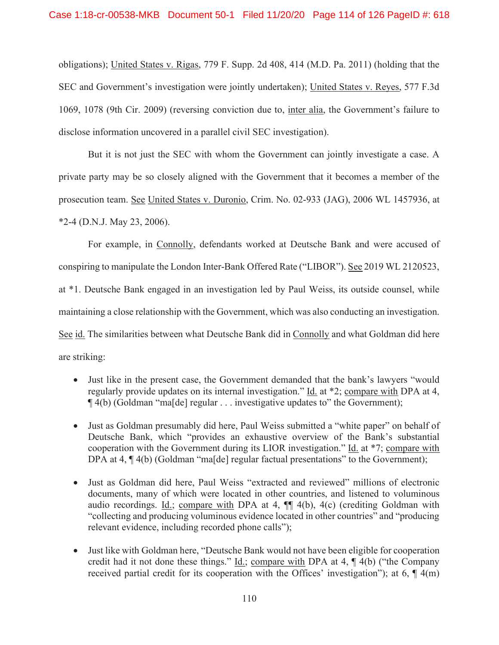obligations); United States v. Rigas, 779 F. Supp. 2d 408, 414 (M.D. Pa. 2011) (holding that the SEC and Government's investigation were jointly undertaken); United States v. Reyes, 577 F.3d 1069, 1078 (9th Cir. 2009) (reversing conviction due to, inter alia, the Government's failure to disclose information uncovered in a parallel civil SEC investigation).

But it is not just the SEC with whom the Government can jointly investigate a case. A private party may be so closely aligned with the Government that it becomes a member of the prosecution team. See United States v. Duronio, Crim. No. 02-933 (JAG), 2006 WL 1457936, at \*2-4 (D.N.J. May 23, 2006).

For example, in Connolly, defendants worked at Deutsche Bank and were accused of conspiring to manipulate the London Inter-Bank Offered Rate ("LIBOR"). See 2019 WL 2120523, at \*1. Deutsche Bank engaged in an investigation led by Paul Weiss, its outside counsel, while maintaining a close relationship with the Government, which was also conducting an investigation. See id. The similarities between what Deutsche Bank did in Connolly and what Goldman did here are striking:

- Just like in the present case, the Government demanded that the bank's lawyers "would regularly provide updates on its internal investigation." Id. at \*2; compare with DPA at 4, ¶ 4(b) (Goldman "ma[de] regular . . . investigative updates to" the Government);
- Just as Goldman presumably did here, Paul Weiss submitted a "white paper" on behalf of Deutsche Bank, which "provides an exhaustive overview of the Bank's substantial cooperation with the Government during its LIOR investigation." Id. at \*7; compare with DPA at 4,  $\P$  4(b) (Goldman "ma[de] regular factual presentations" to the Government);
- Just as Goldman did here, Paul Weiss "extracted and reviewed" millions of electronic documents, many of which were located in other countries, and listened to voluminous audio recordings. Id.; compare with DPA at 4,  $\P$  4(b), 4(c) (crediting Goldman with "collecting and producing voluminous evidence located in other countries" and "producing relevant evidence, including recorded phone calls");
- Just like with Goldman here, "Deutsche Bank would not have been eligible for cooperation credit had it not done these things." Id.; compare with DPA at 4, ¶ 4(b) ("the Company received partial credit for its cooperation with the Offices' investigation"); at 6,  $\P$  4(m)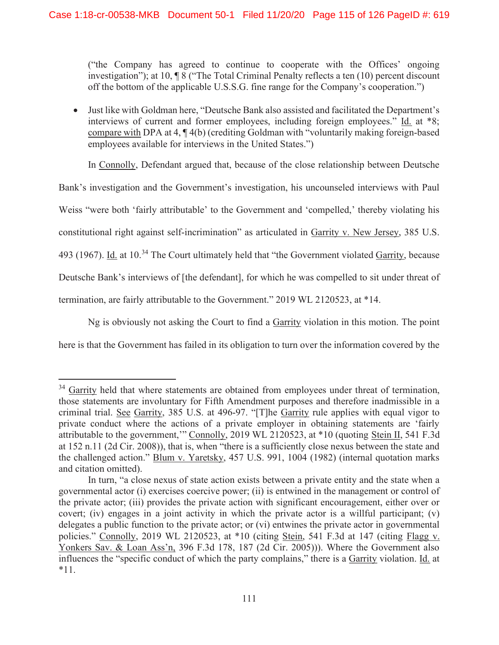("the Company has agreed to continue to cooperate with the Offices' ongoing investigation"); at 10, ¶ 8 ("The Total Criminal Penalty reflects a ten (10) percent discount off the bottom of the applicable U.S.S.G. fine range for the Company's cooperation.")

• Just like with Goldman here, "Deutsche Bank also assisted and facilitated the Department's interviews of current and former employees, including foreign employees." Id. at \*8; compare with DPA at 4, ¶ 4(b) (crediting Goldman with "voluntarily making foreign-based employees available for interviews in the United States.")

In Connolly, Defendant argued that, because of the close relationship between Deutsche

Bank's investigation and the Government's investigation, his uncounseled interviews with Paul

Weiss "were both 'fairly attributable' to the Government and 'compelled,' thereby violating his

constitutional right against self-incrimination" as articulated in Garrity v. New Jersey, 385 U.S.

493 (1967). Id. at 10.<sup>34</sup> The Court ultimately held that "the Government violated Garrity, because

Deutsche Bank's interviews of [the defendant], for which he was compelled to sit under threat of

termination, are fairly attributable to the Government." 2019 WL 2120523, at \*14.

Ng is obviously not asking the Court to find a Garrity violation in this motion. The point here is that the Government has failed in its obligation to turn over the information covered by the

<sup>&</sup>lt;sup>34</sup> Garrity held that where statements are obtained from employees under threat of termination, those statements are involuntary for Fifth Amendment purposes and therefore inadmissible in a criminal trial. See Garrity, 385 U.S. at 496-97. "[T]he Garrity rule applies with equal vigor to private conduct where the actions of a private employer in obtaining statements are 'fairly attributable to the government,'" Connolly, 2019 WL 2120523, at \*10 (quoting Stein II, 541 F.3d at 152 n.11 (2d Cir. 2008)), that is, when "there is a sufficiently close nexus between the state and the challenged action." Blum v. Yaretsky, 457 U.S. 991, 1004 (1982) (internal quotation marks and citation omitted).

In turn, "a close nexus of state action exists between a private entity and the state when a governmental actor (i) exercises coercive power; (ii) is entwined in the management or control of the private actor; (iii) provides the private action with significant encouragement, either over or covert; (iv) engages in a joint activity in which the private actor is a willful participant; (v) delegates a public function to the private actor; or (vi) entwines the private actor in governmental policies." Connolly, 2019 WL 2120523, at \*10 (citing Stein, 541 F.3d at 147 (citing Flagg v. Yonkers Sav. & Loan Ass'n, 396 F.3d 178, 187 (2d Cir. 2005))). Where the Government also influences the "specific conduct of which the party complains," there is a Garrity violation. Id. at \*11.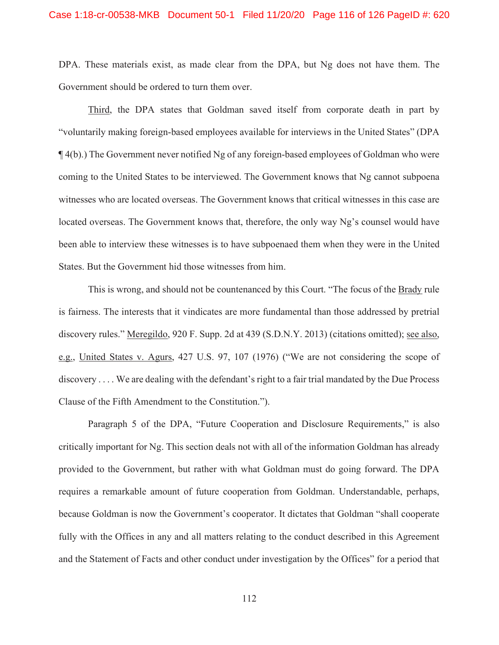DPA. These materials exist, as made clear from the DPA, but Ng does not have them. The Government should be ordered to turn them over.

Third, the DPA states that Goldman saved itself from corporate death in part by "voluntarily making foreign-based employees available for interviews in the United States" (DPA ¶ 4(b).) The Government never notified Ng of any foreign-based employees of Goldman who were coming to the United States to be interviewed. The Government knows that Ng cannot subpoena witnesses who are located overseas. The Government knows that critical witnesses in this case are located overseas. The Government knows that, therefore, the only way Ng's counsel would have been able to interview these witnesses is to have subpoenaed them when they were in the United States. But the Government hid those witnesses from him.

This is wrong, and should not be countenanced by this Court. "The focus of the Brady rule is fairness. The interests that it vindicates are more fundamental than those addressed by pretrial discovery rules." Meregildo, 920 F. Supp. 2d at 439 (S.D.N.Y. 2013) (citations omitted); see also, e.g., United States v. Agurs, 427 U.S. 97, 107 (1976) ("We are not considering the scope of discovery . . . . We are dealing with the defendant's right to a fair trial mandated by the Due Process Clause of the Fifth Amendment to the Constitution.").

 Paragraph 5 of the DPA, "Future Cooperation and Disclosure Requirements," is also critically important for Ng. This section deals not with all of the information Goldman has already provided to the Government, but rather with what Goldman must do going forward. The DPA requires a remarkable amount of future cooperation from Goldman. Understandable, perhaps, because Goldman is now the Government's cooperator. It dictates that Goldman "shall cooperate fully with the Offices in any and all matters relating to the conduct described in this Agreement and the Statement of Facts and other conduct under investigation by the Offices" for a period that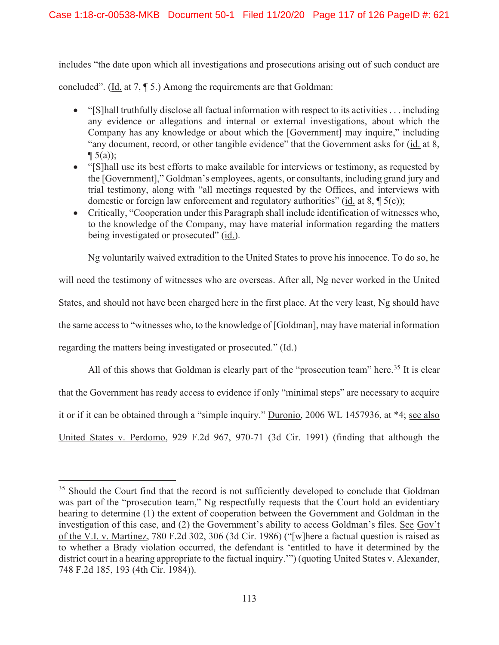includes "the date upon which all investigations and prosecutions arising out of such conduct are

concluded". (Id. at 7, ¶ 5.) Among the requirements are that Goldman:

- $\bullet$  "[S]hall truthfully disclose all factual information with respect to its activities . . . including any evidence or allegations and internal or external investigations, about which the Company has any knowledge or about which the [Government] may inquire," including "any document, record, or other tangible evidence" that the Government asks for (id. at 8,  $\P(5(a));$
- "[S]hall use its best efforts to make available for interviews or testimony, as requested by the [Government]," Goldman's employees, agents, or consultants, including grand jury and trial testimony, along with "all meetings requested by the Offices, and interviews with domestic or foreign law enforcement and regulatory authorities" (id. at  $8$ ,  $\sqrt{ }$  5(c));
- Critically, "Cooperation under this Paragraph shall include identification of witnesses who, to the knowledge of the Company, may have material information regarding the matters being investigated or prosecuted" (id.).

Ng voluntarily waived extradition to the United States to prove his innocence. To do so, he

will need the testimony of witnesses who are overseas. After all, Ng never worked in the United States, and should not have been charged here in the first place. At the very least, Ng should have the same access to "witnesses who, to the knowledge of [Goldman], may have material information regarding the matters being investigated or prosecuted." (Id.)

All of this shows that Goldman is clearly part of the "prosecution team" here.<sup>35</sup> It is clear that the Government has ready access to evidence if only "minimal steps" are necessary to acquire it or if it can be obtained through a "simple inquiry." Duronio, 2006 WL 1457936, at \*4; see also United States v. Perdomo, 929 F.2d 967, 970-71 (3d Cir. 1991) (finding that although the

<sup>&</sup>lt;sup>35</sup> Should the Court find that the record is not sufficiently developed to conclude that Goldman was part of the "prosecution team," Ng respectfully requests that the Court hold an evidentiary hearing to determine (1) the extent of cooperation between the Government and Goldman in the investigation of this case, and (2) the Government's ability to access Goldman's files. See Gov't of the V.I. v. Martinez, 780 F.2d 302, 306 (3d Cir. 1986) ("[w]here a factual question is raised as to whether a Brady violation occurred, the defendant is 'entitled to have it determined by the district court in a hearing appropriate to the factual inquiry."") (quoting United States v. Alexander, 748 F.2d 185, 193 (4th Cir. 1984)).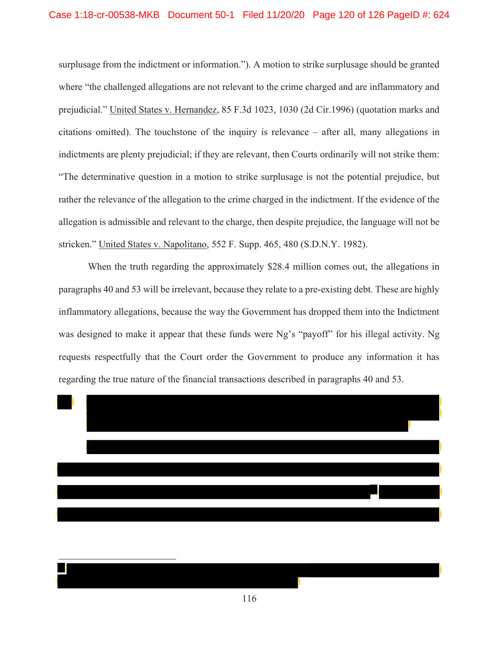surplusage from the indictment or information."). A motion to strike surplusage should be granted where "the challenged allegations are not relevant to the crime charged and are inflammatory and prejudicial." United States v. Hernandez, 85 F.3d 1023, 1030 (2d Cir.1996) (quotation marks and citations omitted). The touchstone of the inquiry is relevance – after all, many allegations in indictments are plenty prejudicial; if they are relevant, then Courts ordinarily will not strike them: "The determinative question in a motion to strike surplusage is not the potential prejudice, but rather the relevance of the allegation to the crime charged in the indictment. If the evidence of the allegation is admissible and relevant to the charge, then despite prejudice, the language will not be stricken." United States v. Napolitano, 552 F. Supp. 465, 480 (S.D.N.Y. 1982).

When the truth regarding the approximately \$28.4 million comes out, the allegations in paragraphs 40 and 53 will be irrelevant, because they relate to a pre-existing debt. These are highly inflammatory allegations, because the way the Government has dropped them into the Indictment was designed to make it appear that these funds were Ng's "payoff" for his illegal activity. Ng requests respectfully that the Court order the Government to produce any information it has regarding the true nature of the financial transactions described in paragraphs 40 and 53.





116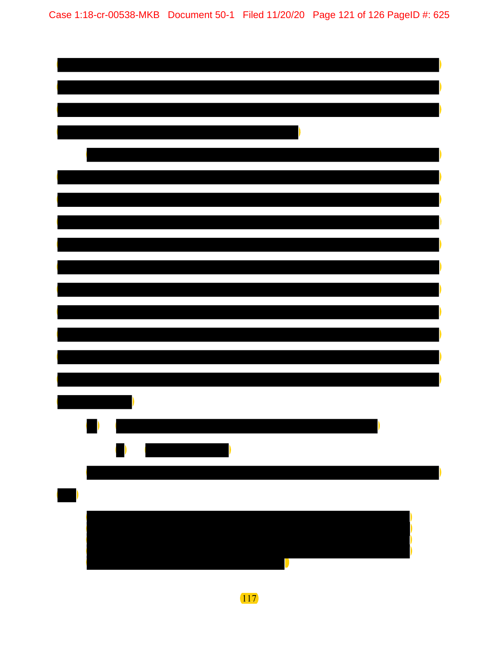Case 1:18-cr-00538-MKB Document 50-1 Filed 11/20/20 Page 121 of 126 PageID #: 625

|  | $\blacksquare$ |  |  |  |  |
|--|----------------|--|--|--|--|
|  |                |  |  |  |  |
|  |                |  |  |  |  |
|  |                |  |  |  |  |
|  |                |  |  |  |  |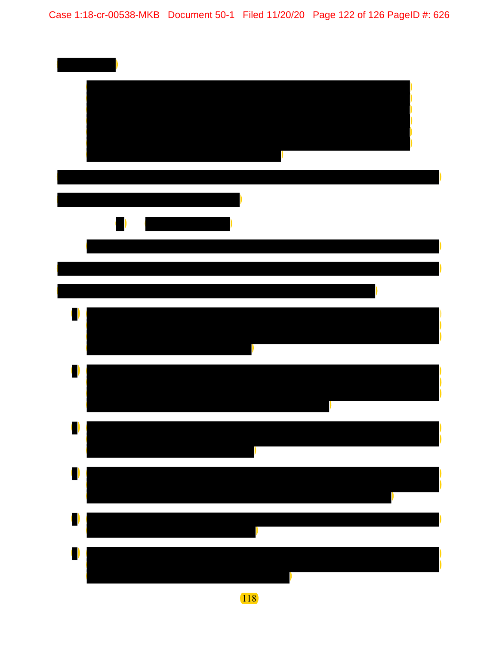| D<br>$\overline{\mathcal{L}}$<br>$\overline{\phantom{a}}$ |     |  |  |  |
|-----------------------------------------------------------|-----|--|--|--|
| $\overline{\mathcal{L}}$<br>$\blacksquare$                |     |  |  |  |
| l<br>D                                                    | 118 |  |  |  |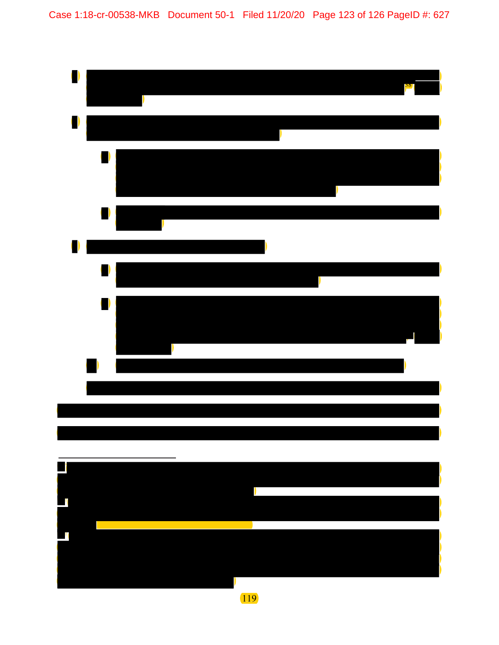

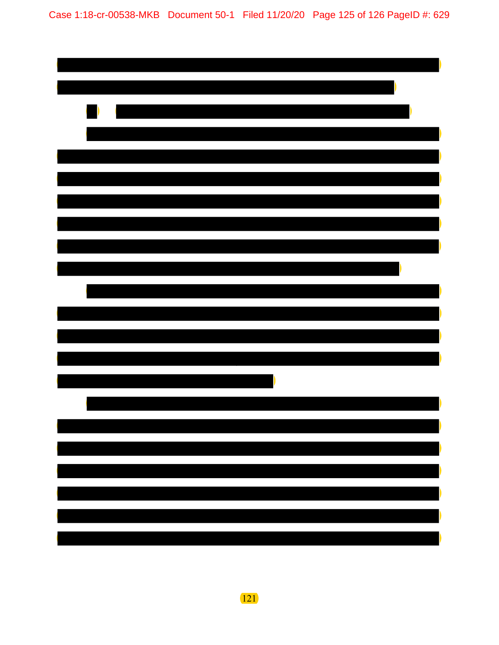Case 1:18-cr-00538-MKB Document 50-1 Filed 11/20/20 Page 125 of 126 PageID #: 629